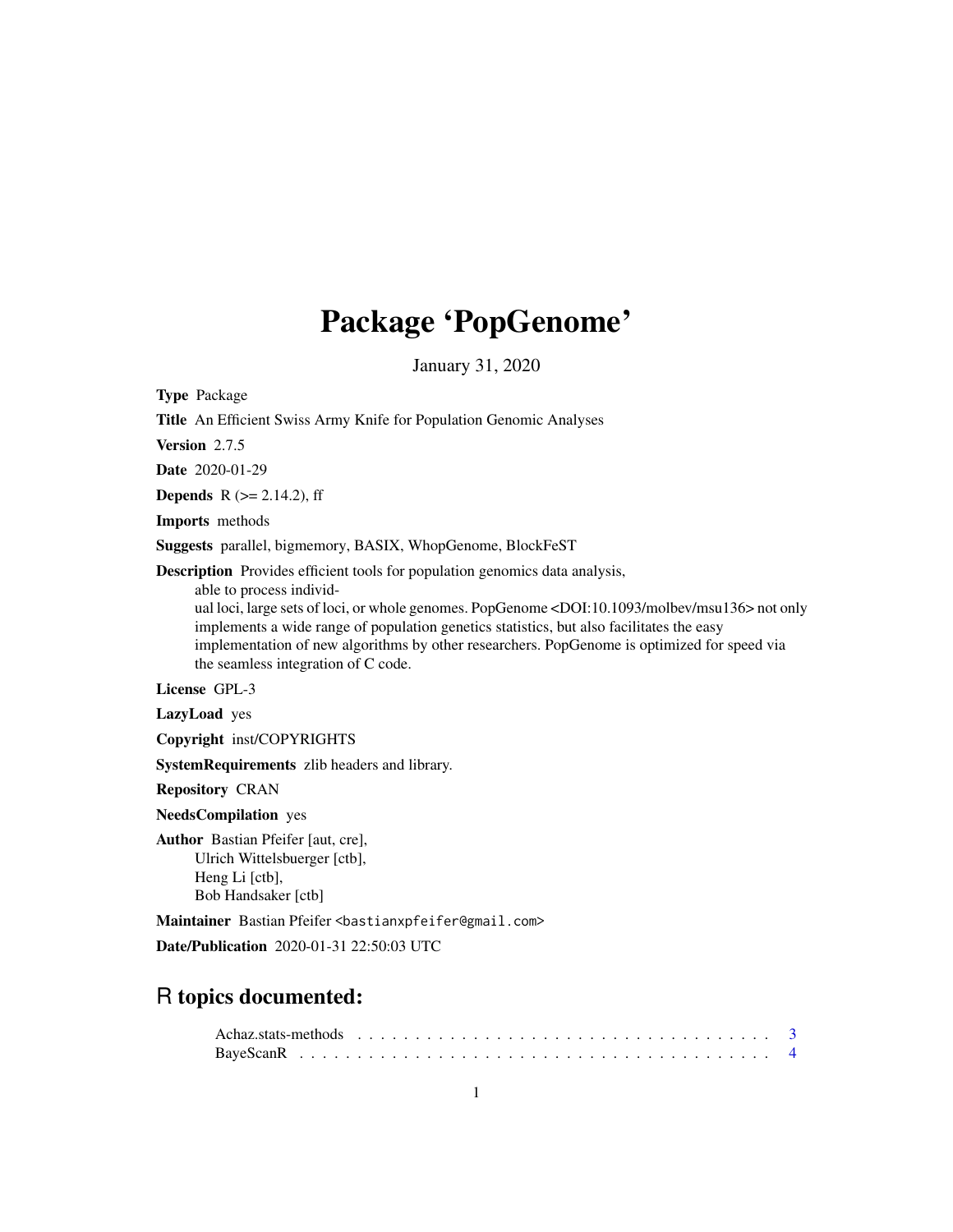# Package 'PopGenome'

January 31, 2020

Type Package

Title An Efficient Swiss Army Knife for Population Genomic Analyses

Version 2.7.5

Date 2020-01-29

**Depends** R  $(>= 2.14.2)$ , ff

Imports methods

Suggests parallel, bigmemory, BASIX, WhopGenome, BlockFeST

Description Provides efficient tools for population genomics data analysis,

able to process individ-

ual loci, large sets of loci, or whole genomes. PopGenome <DOI:10.1093/molbev/msu136> not only implements a wide range of population genetics statistics, but also facilitates the easy implementation of new algorithms by other researchers. PopGenome is optimized for speed via the seamless integration of C code.

License GPL-3

LazyLoad yes

Copyright inst/COPYRIGHTS

SystemRequirements zlib headers and library.

Repository CRAN

NeedsCompilation yes

Author Bastian Pfeifer [aut, cre], Ulrich Wittelsbuerger [ctb], Heng Li [ctb], Bob Handsaker [ctb]

Maintainer Bastian Pfeifer <br/>bastianxpfeifer@gmail.com>

Date/Publication 2020-01-31 22:50:03 UTC

# R topics documented: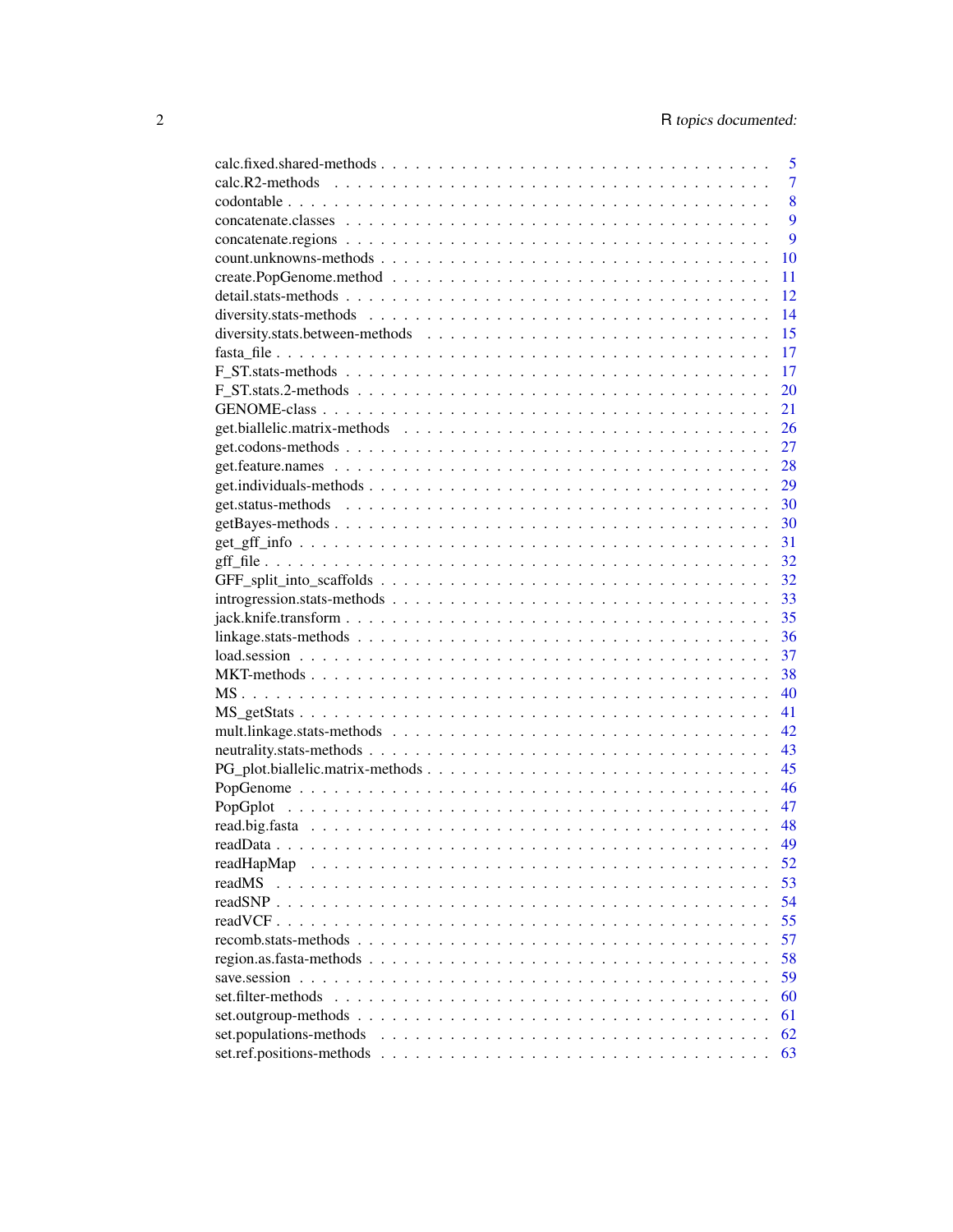|                         | 5              |
|-------------------------|----------------|
|                         | $\overline{7}$ |
|                         | 8              |
|                         | 9              |
|                         | 9              |
|                         | 10             |
|                         | 11             |
|                         | 12             |
|                         | 14             |
|                         | 15             |
|                         | 17             |
|                         | 17             |
|                         | 20             |
|                         | 21             |
|                         | 26             |
|                         | 27             |
|                         | 28             |
|                         | 29             |
|                         | 30             |
|                         | 30             |
|                         | 31             |
|                         | 32             |
|                         | 32             |
|                         | 33             |
|                         | 35             |
|                         | 36             |
|                         | 37             |
|                         | 38             |
|                         | 40             |
|                         | 41             |
|                         | 42             |
|                         | 43             |
|                         | 45             |
|                         | 46             |
|                         | 47             |
|                         | 48             |
|                         | 49             |
| readHapMap              | 52             |
| readMS                  | 53             |
| readSNP                 | 54             |
|                         | 55             |
|                         | 57             |
|                         | 58             |
| save.session            | 59             |
| set.filter-methods      | 60             |
|                         | 61             |
| set.populations-methods | 62             |
|                         | 63             |
|                         |                |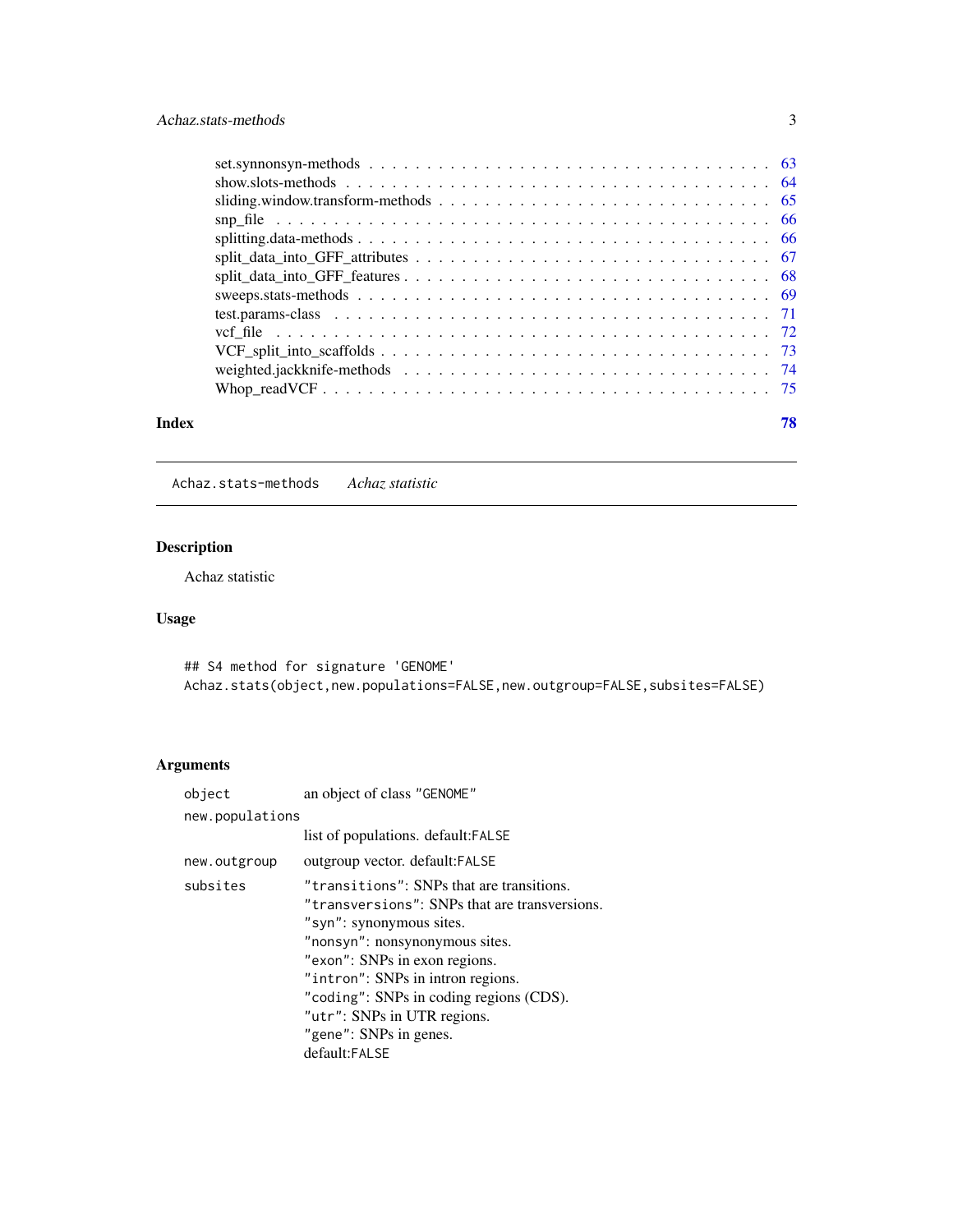<span id="page-2-0"></span>

| Index | 78 |
|-------|----|
|       |    |
|       |    |
|       |    |
|       |    |
|       |    |
|       |    |
|       |    |
|       |    |
|       |    |
|       |    |
|       |    |
|       |    |
|       |    |
|       |    |

Achaz.stats-methods *Achaz statistic*

# Description

Achaz statistic

# Usage

## S4 method for signature 'GENOME' Achaz.stats(object,new.populations=FALSE,new.outgroup=FALSE,subsites=FALSE)

| an object of class "GENOME"                                                                                                                                                                                                                                                                                                                         |
|-----------------------------------------------------------------------------------------------------------------------------------------------------------------------------------------------------------------------------------------------------------------------------------------------------------------------------------------------------|
| new.populations                                                                                                                                                                                                                                                                                                                                     |
| list of populations. default: FALSE                                                                                                                                                                                                                                                                                                                 |
| outgroup vector. default: FALSE                                                                                                                                                                                                                                                                                                                     |
| "transitions": SNPs that are transitions.<br>"transversions": SNPs that are transversions.<br>"syn": synonymous sites.<br>"nonsyn": nonsynonymous sites.<br>"exon": SNPs in exon regions.<br>"intron": SNPs in intron regions.<br>"coding": SNPs in coding regions (CDS).<br>"utr": SNPs in UTR regions.<br>"gene": SNPs in genes.<br>default:FALSE |
|                                                                                                                                                                                                                                                                                                                                                     |
|                                                                                                                                                                                                                                                                                                                                                     |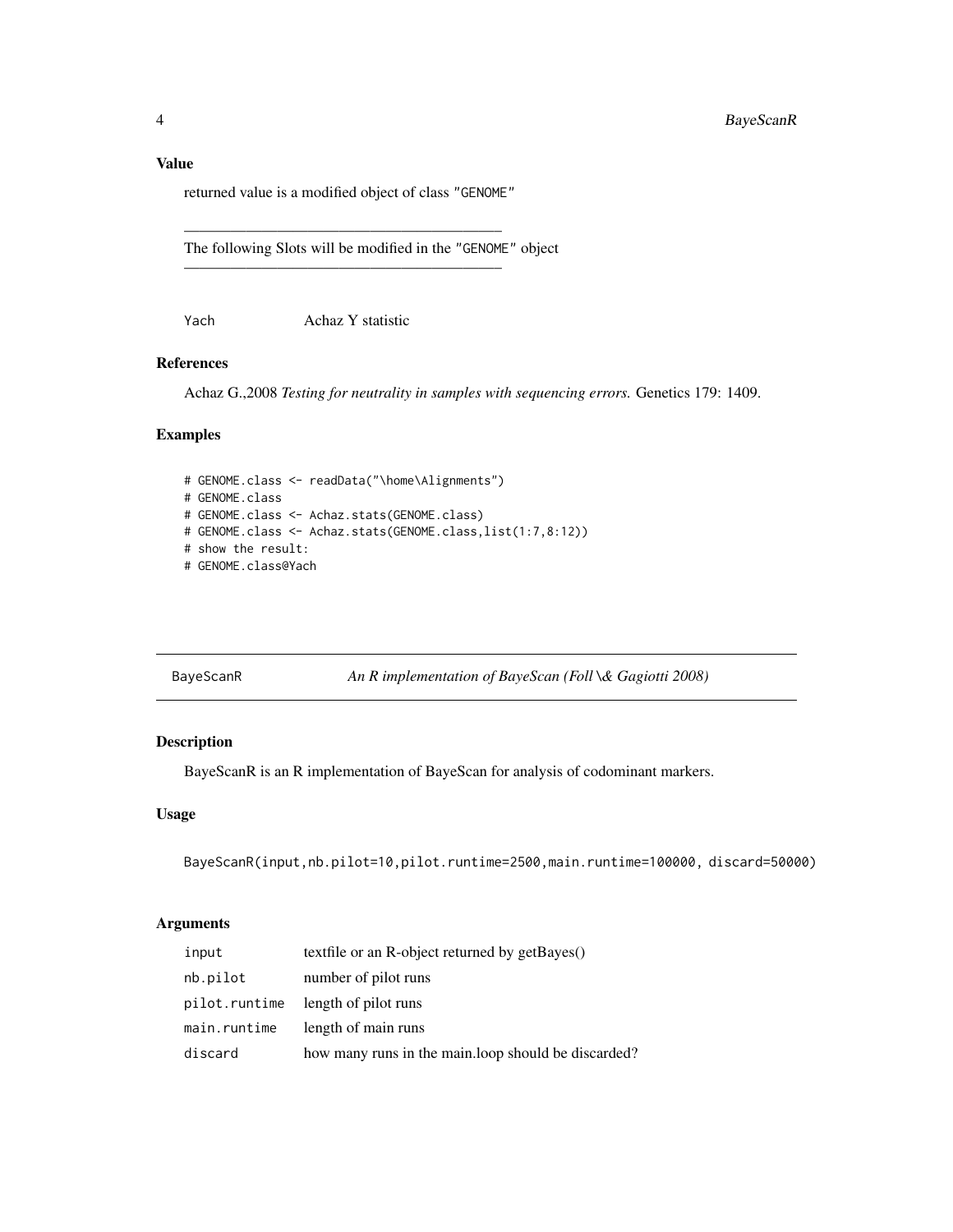# <span id="page-3-0"></span>Value

returned value is a modified object of class "GENOME"

————————————————————–

————————————————————–

The following Slots will be modified in the "GENOME" object

Yach Achaz Y statistic

# References

Achaz G.,2008 *Testing for neutrality in samples with sequencing errors.* Genetics 179: 1409.

# Examples

```
# GENOME.class <- readData("\home\Alignments")
# GENOME.class
# GENOME.class <- Achaz.stats(GENOME.class)
# GENOME.class <- Achaz.stats(GENOME.class,list(1:7,8:12))
# show the result:
# GENOME.class@Yach
```

| BayeScanR |
|-----------|
|           |

An R implementation of BayeScan (Foll \& Gagiotti 2008)

# Description

BayeScanR is an R implementation of BayeScan for analysis of codominant markers.

### Usage

BayeScanR(input,nb.pilot=10,pilot.runtime=2500,main.runtime=100000, discard=50000)

| input         | textfile or an R-object returned by getBayes()       |
|---------------|------------------------------------------------------|
| nb.pilot      | number of pilot runs                                 |
| pilot.runtime | length of pilot runs                                 |
| main.runtime  | length of main runs                                  |
| discard       | how many runs in the main. loop should be discarded? |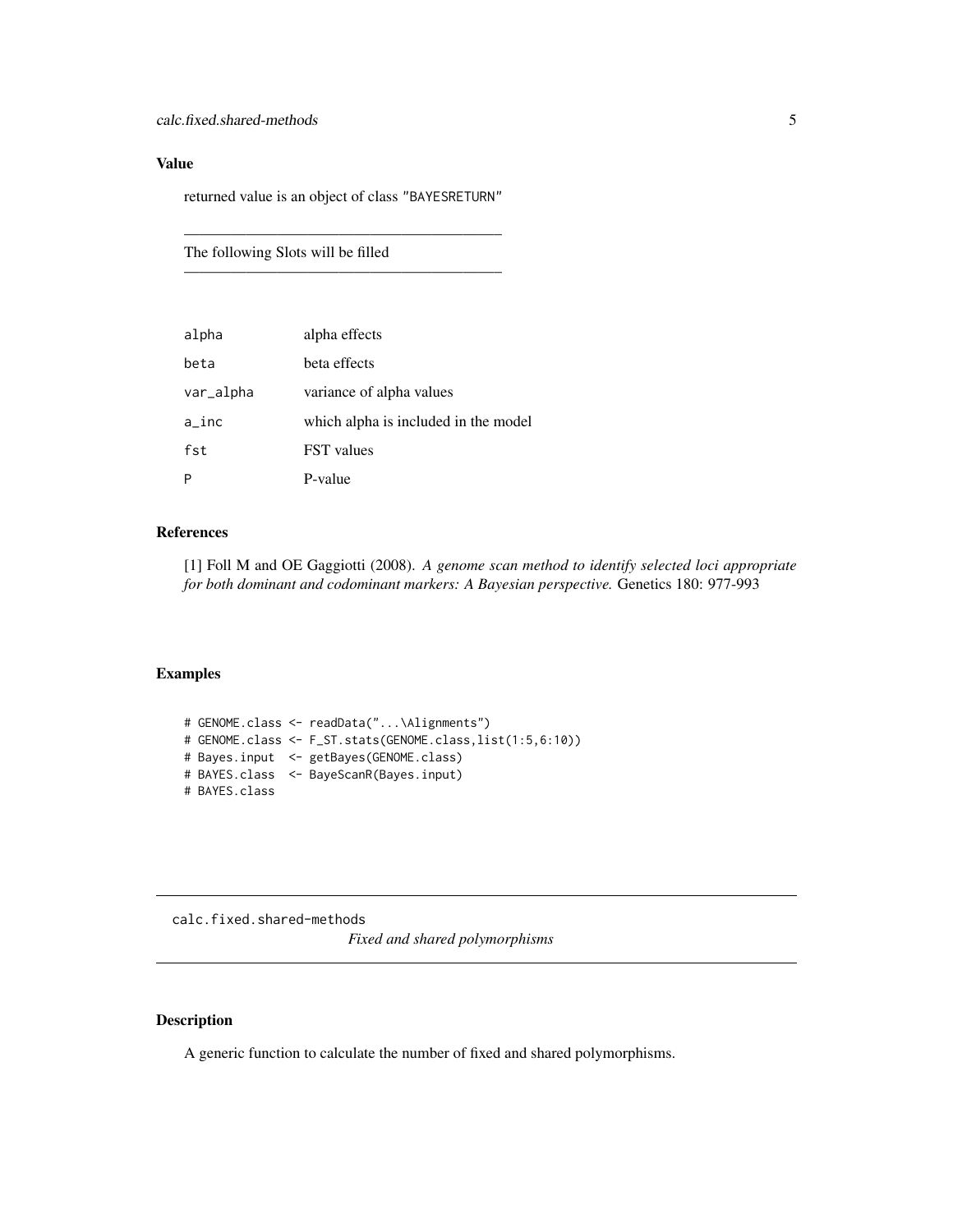# <span id="page-4-0"></span>Value

returned value is an object of class "BAYESRETURN"

————————————————————–

————————————————————–

The following Slots will be filled

| alpha     | alpha effects                        |
|-----------|--------------------------------------|
| beta      | beta effects                         |
| var_alpha | variance of alpha values             |
| a_inc     | which alpha is included in the model |
| fst       | <b>FST</b> values                    |
|           | P-value                              |

# References

[1] Foll M and OE Gaggiotti (2008). *A genome scan method to identify selected loci appropriate for both dominant and codominant markers: A Bayesian perspective.* Genetics 180: 977-993

#### Examples

```
# GENOME.class <- readData("...\Alignments")
# GENOME.class <- F_ST.stats(GENOME.class,list(1:5,6:10))
# Bayes.input <- getBayes(GENOME.class)
# BAYES.class <- BayeScanR(Bayes.input)
# BAYES.class
```
calc.fixed.shared-methods

*Fixed and shared polymorphisms*

#### Description

A generic function to calculate the number of fixed and shared polymorphisms.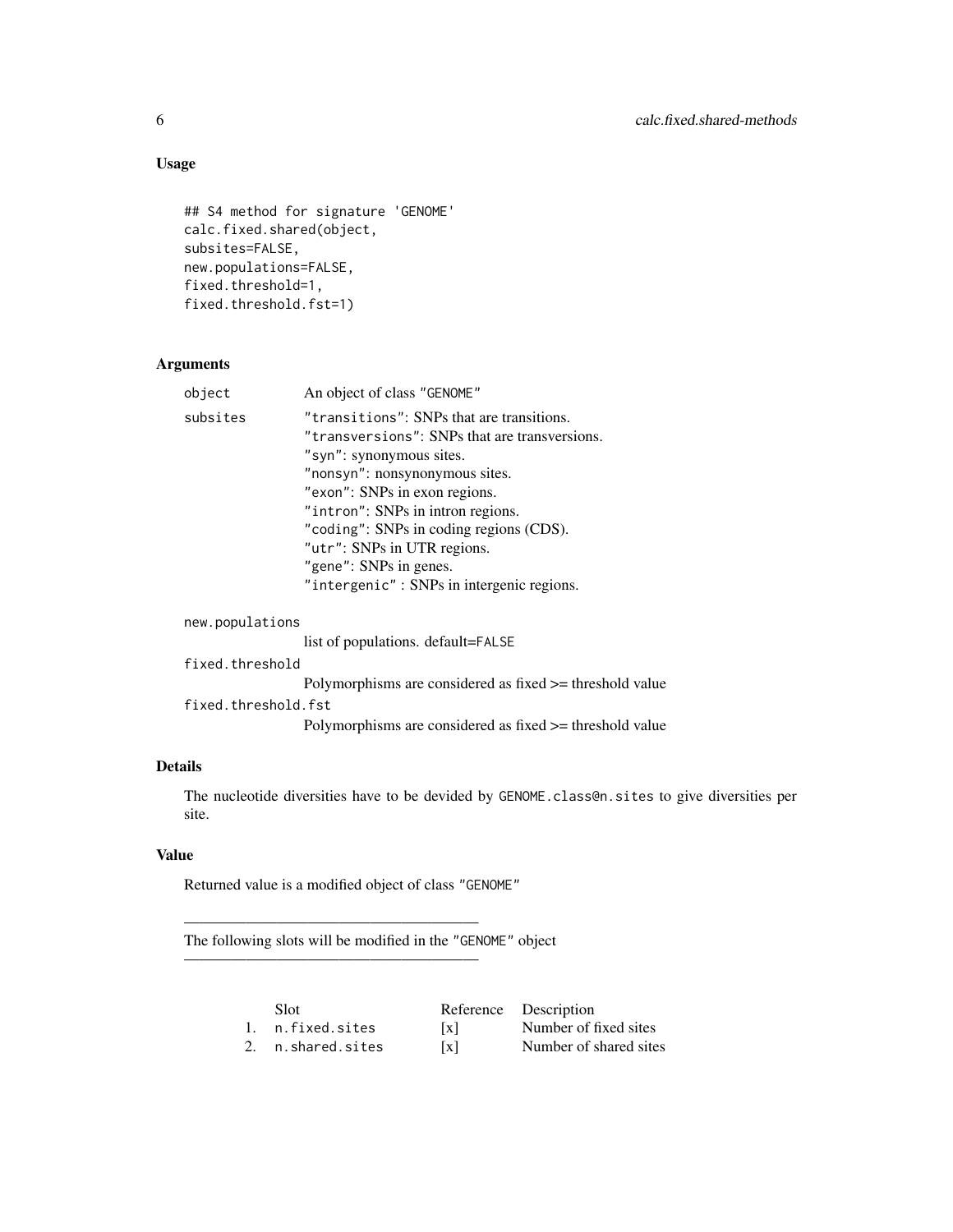# Usage

```
## S4 method for signature 'GENOME'
calc.fixed.shared(object,
subsites=FALSE,
new.populations=FALSE,
fixed.threshold=1,
fixed.threshold.fst=1)
```
# Arguments

| object   | An object of class "GENOME"                   |
|----------|-----------------------------------------------|
| subsites | "transitions": SNPs that are transitions.     |
|          | "transversions": SNPs that are transversions. |
|          | "syn": synonymous sites.                      |
|          | "nonsyn": nonsynonymous sites.                |
|          | "exon": SNPs in exon regions.                 |
|          | "intron": SNPs in intron regions.             |
|          | "coding": SNPs in coding regions (CDS).       |
|          | "utr": SNPs in UTR regions.                   |
|          | "gene": SNPs in genes.                        |
|          | "intergenic": SNPs in intergenic regions.     |
|          |                                               |

# new.populations

list of populations. default=FALSE

# fixed.threshold

Polymorphisms are considered as fixed >= threshold value

# fixed.threshold.fst

Polymorphisms are considered as fixed >= threshold value

# Details

The nucleotide diversities have to be devided by GENOME.class@n.sites to give diversities per site.

# Value

Returned value is a modified object of class "GENOME"

———————————————————

———————————————————

The following slots will be modified in the "GENOME" object

| Slot              |                   | Reference Description  |
|-------------------|-------------------|------------------------|
| 1. n.fixed.sites  | $\lceil x \rceil$ | Number of fixed sites  |
| 2. n.shared.sites | $\lceil x \rceil$ | Number of shared sites |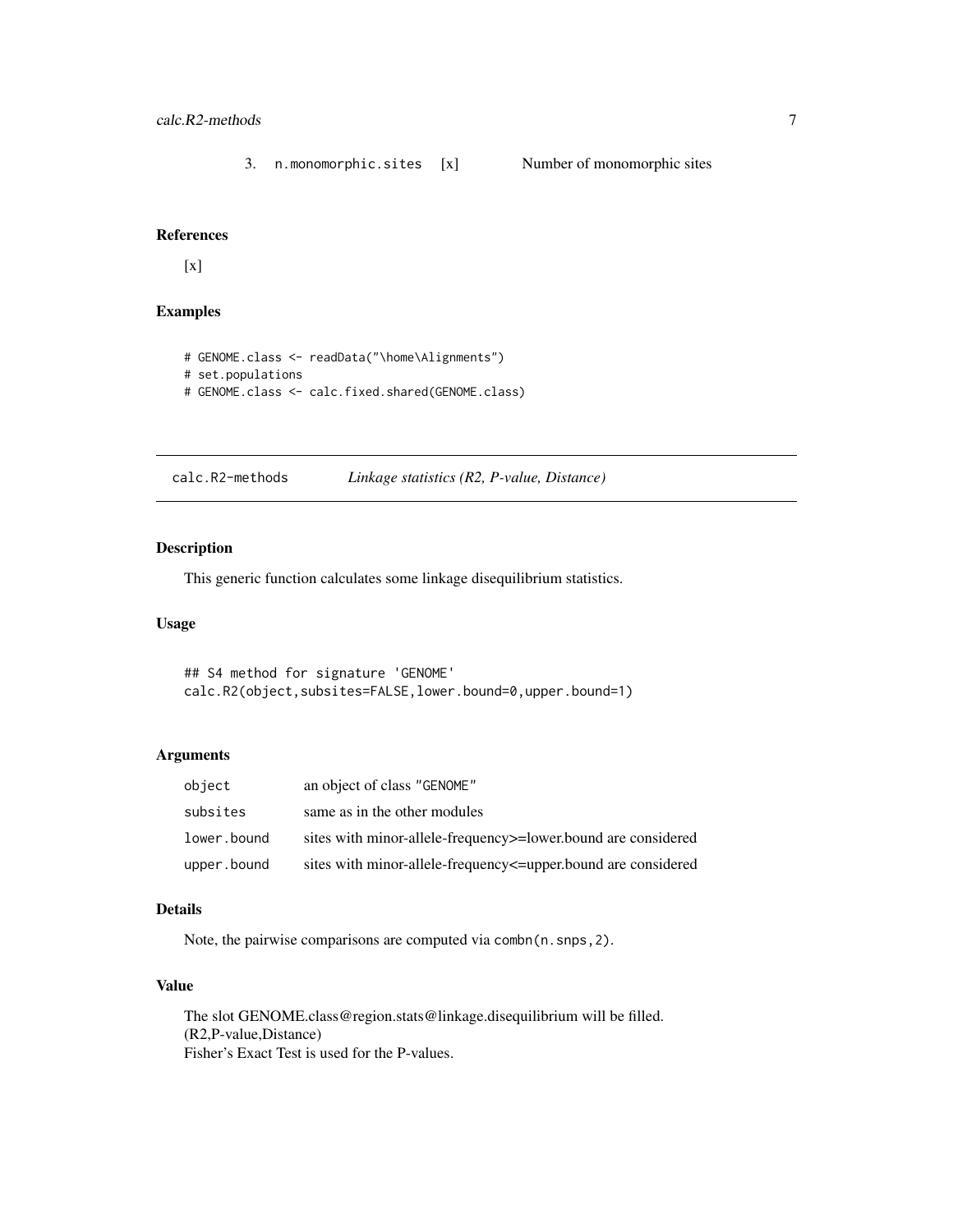<span id="page-6-0"></span>3. n.monomorphic.sites [x] Number of monomorphic sites

# References

[x]

# Examples

```
# GENOME.class <- readData("\home\Alignments")
# set.populations
# GENOME.class <- calc.fixed.shared(GENOME.class)
```
calc.R2-methods *Linkage statistics (R2, P-value, Distance)*

# Description

This generic function calculates some linkage disequilibrium statistics.

# Usage

## S4 method for signature 'GENOME' calc.R2(object,subsites=FALSE,lower.bound=0,upper.bound=1)

### Arguments

| object      | an object of class "GENOME"                                          |
|-------------|----------------------------------------------------------------------|
| subsites    | same as in the other modules                                         |
| lower.bound | sites with minor-allele-frequency >= lower bound are considered      |
| upper.bound | sites with minor-allele-frequency $\leq$ -upper bound are considered |

# Details

Note, the pairwise comparisons are computed via combn(n.snps,2).

# Value

The slot GENOME.class@region.stats@linkage.disequilibrium will be filled. (R2,P-value,Distance) Fisher's Exact Test is used for the P-values.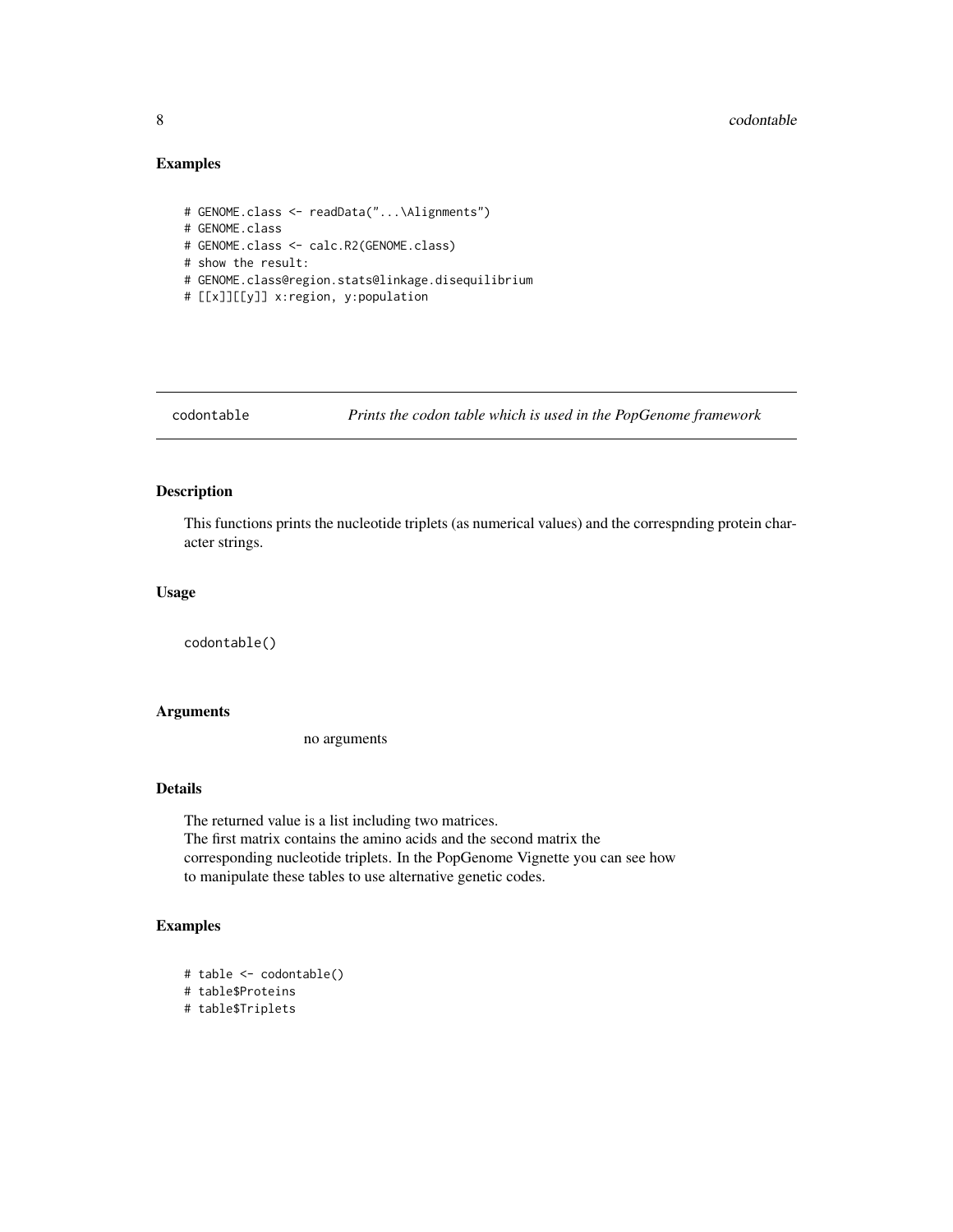#### <span id="page-7-0"></span>8 codontable control of the set of the set of the set of the set of the set of the set of the set of the set of the set of the set of the set of the set of the set of the set of the set of the set of the set of the set of

# Examples

```
# GENOME.class <- readData("...\Alignments")
# GENOME.class
# GENOME.class <- calc.R2(GENOME.class)
# show the result:
# GENOME.class@region.stats@linkage.disequilibrium
# [[x]][[y]] x:region, y:population
```
codontable *Prints the codon table which is used in the PopGenome framework*

#### Description

This functions prints the nucleotide triplets (as numerical values) and the correspnding protein character strings.

# Usage

codontable()

# Arguments

no arguments

# Details

The returned value is a list including two matrices. The first matrix contains the amino acids and the second matrix the corresponding nucleotide triplets. In the PopGenome Vignette you can see how to manipulate these tables to use alternative genetic codes.

# Examples

# table <- codontable()

```
# table$Proteins
```
# table\$Triplets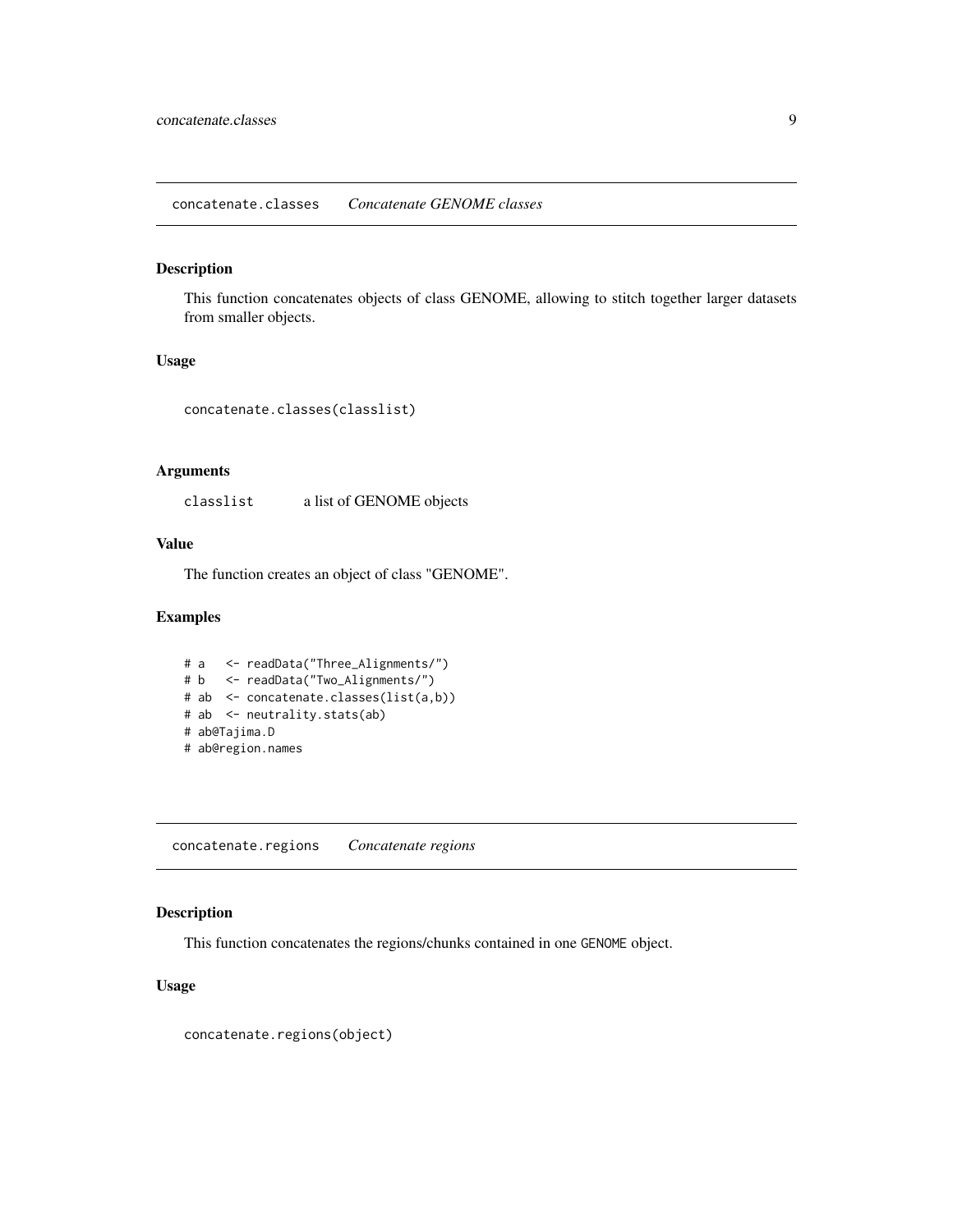#### <span id="page-8-0"></span>Description

This function concatenates objects of class GENOME, allowing to stitch together larger datasets from smaller objects.

# Usage

```
concatenate.classes(classlist)
```
# Arguments

classlist a list of GENOME objects

# Value

The function creates an object of class "GENOME".

# Examples

```
# a <- readData("Three_Alignments/")
# b <- readData("Two_Alignments/")
# ab <- concatenate.classes(list(a,b))
# ab <- neutrality.stats(ab)
# ab@Tajima.D
# ab@region.names
```
concatenate.regions *Concatenate regions*

# Description

This function concatenates the regions/chunks contained in one GENOME object.

### Usage

concatenate.regions(object)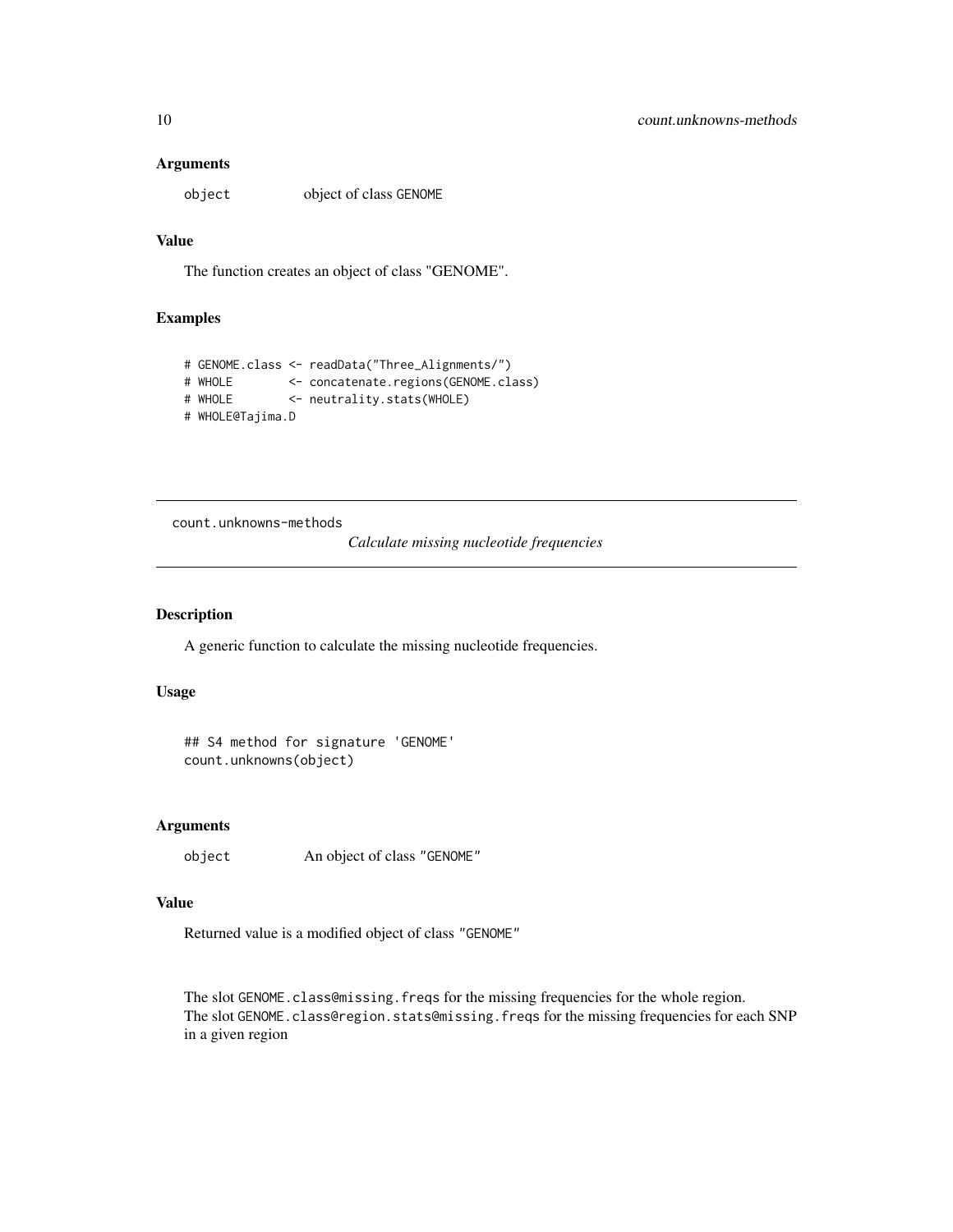#### <span id="page-9-0"></span>**Arguments**

object object of class GENOME

# Value

The function creates an object of class "GENOME".

# Examples

```
# GENOME.class <- readData("Three_Alignments/")
# WHOLE <- concatenate.regions(GENOME.class)
# WHOLE <- neutrality.stats(WHOLE)
# WHOLE@Tajima.D
```
count.unknowns-methods

# *Calculate missing nucleotide frequencies*

#### Description

A generic function to calculate the missing nucleotide frequencies.

# Usage

```
## S4 method for signature 'GENOME'
count.unknowns(object)
```
#### Arguments

```
object An object of class "GENOME"
```
#### Value

Returned value is a modified object of class "GENOME"

The slot GENOME.class@missing.freqs for the missing frequencies for the whole region. The slot GENOME.class@region.stats@missing.freqs for the missing frequencies for each SNP in a given region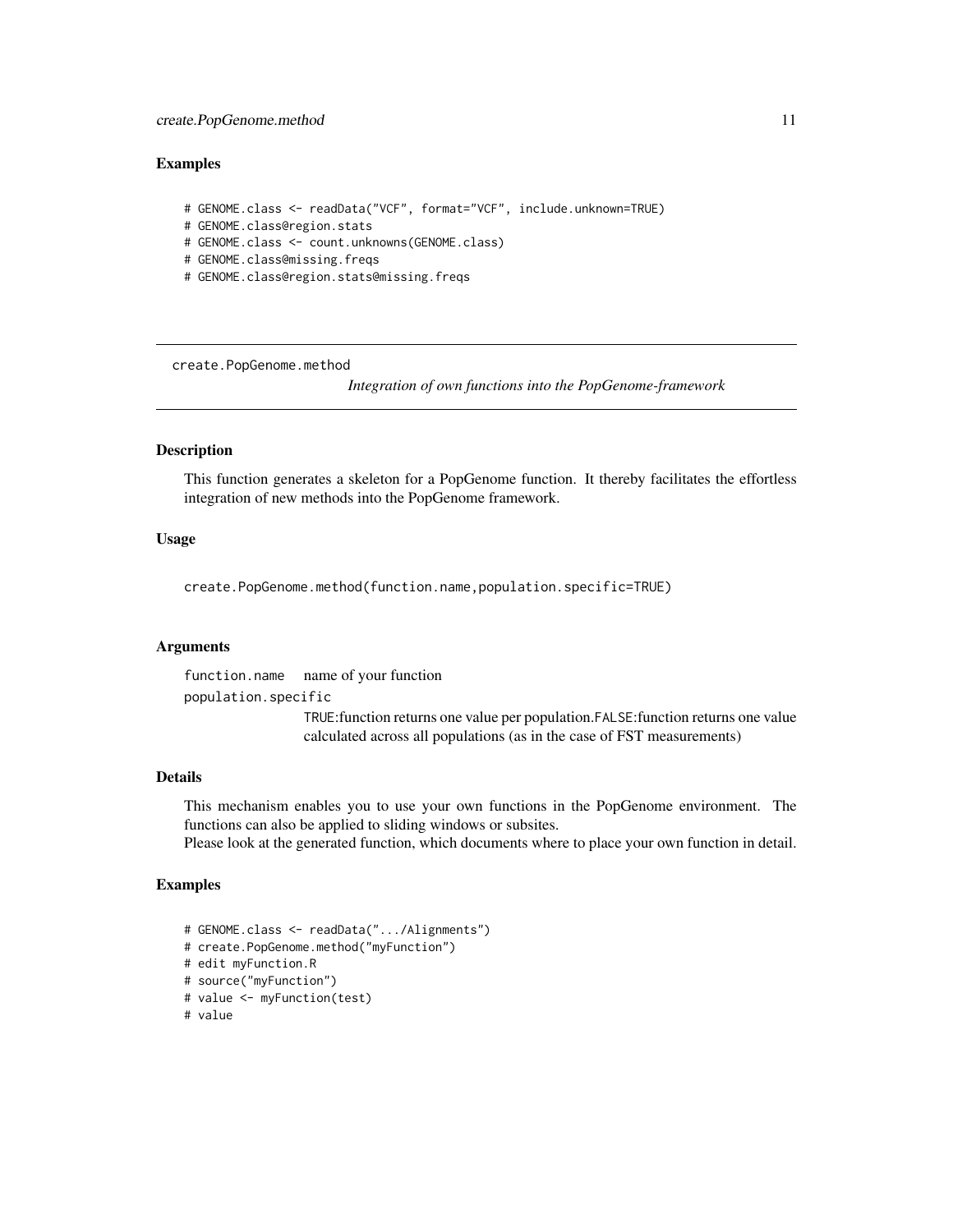#### <span id="page-10-0"></span>Examples

```
# GENOME.class <- readData("VCF", format="VCF", include.unknown=TRUE)
# GENOME.class@region.stats
# GENOME.class <- count.unknowns(GENOME.class)
# GENOME.class@missing.freqs
```
# GENOME.class@region.stats@missing.freqs

create.PopGenome.method

*Integration of own functions into the PopGenome-framework*

#### Description

This function generates a skeleton for a PopGenome function. It thereby facilitates the effortless integration of new methods into the PopGenome framework.

# Usage

create.PopGenome.method(function.name,population.specific=TRUE)

#### **Arguments**

function.name name of your function population.specific TRUE:function returns one value per population.FALSE:function returns one value calculated across all populations (as in the case of FST measurements)

# Details

This mechanism enables you to use your own functions in the PopGenome environment. The functions can also be applied to sliding windows or subsites.

Please look at the generated function, which documents where to place your own function in detail.

#### Examples

```
# GENOME.class <- readData(".../Alignments")
# create.PopGenome.method("myFunction")
# edit myFunction.R
# source("myFunction")
# value <- myFunction(test)
# value
```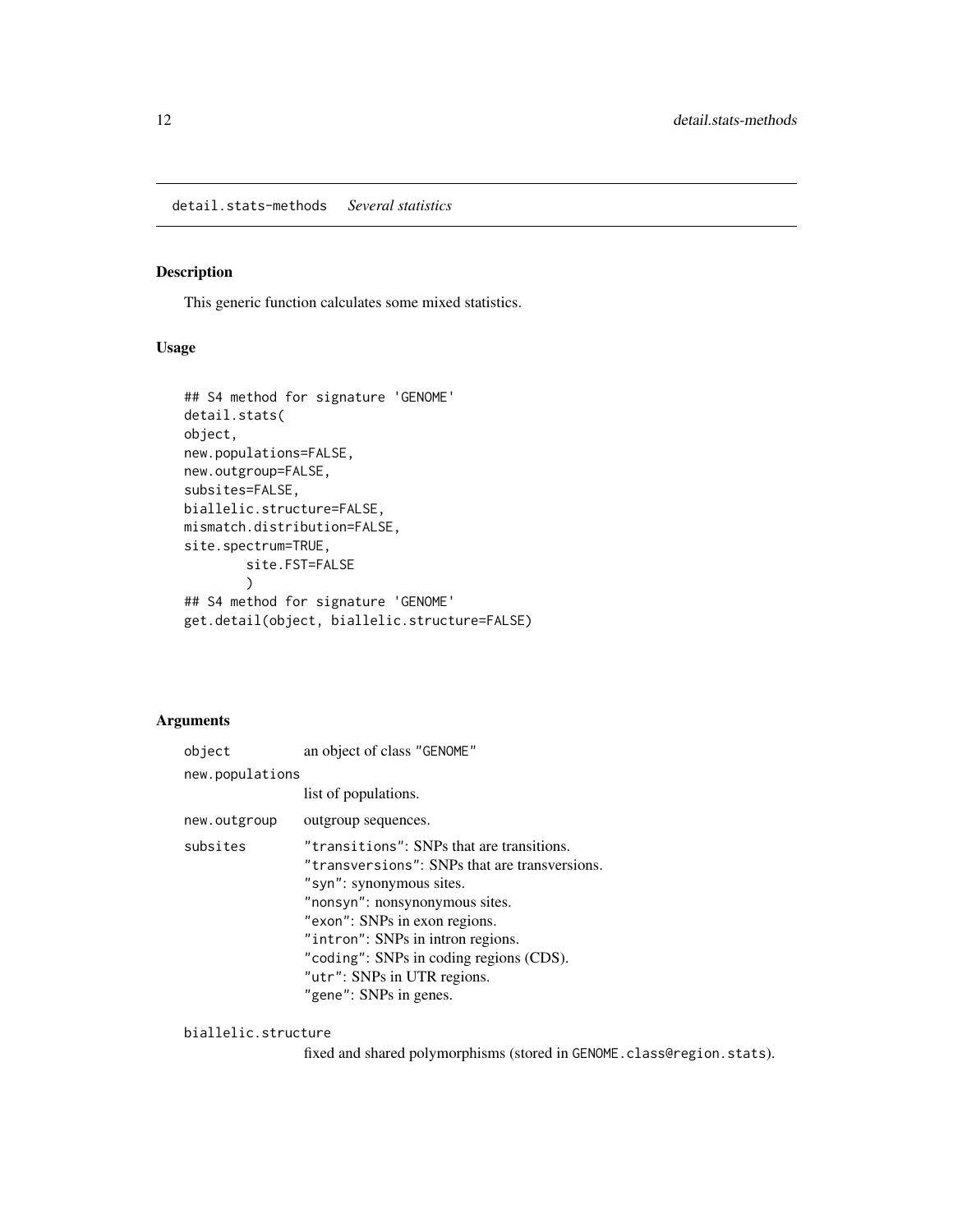# <span id="page-11-0"></span>Description

This generic function calculates some mixed statistics.

#### Usage

```
## S4 method for signature 'GENOME'
detail.stats(
object,
new.populations=FALSE,
new.outgroup=FALSE,
subsites=FALSE,
biallelic.structure=FALSE,
mismatch.distribution=FALSE,
site.spectrum=TRUE,
        site.FST=FALSE
        )
## S4 method for signature 'GENOME'
get.detail(object, biallelic.structure=FALSE)
```
# Arguments

| object          | an object of class "GENOME"                                                                                                                                                                                                                                                                                                        |  |  |  |  |
|-----------------|------------------------------------------------------------------------------------------------------------------------------------------------------------------------------------------------------------------------------------------------------------------------------------------------------------------------------------|--|--|--|--|
| new.populations |                                                                                                                                                                                                                                                                                                                                    |  |  |  |  |
|                 | list of populations.                                                                                                                                                                                                                                                                                                               |  |  |  |  |
| new.outgroup    | outgroup sequences.                                                                                                                                                                                                                                                                                                                |  |  |  |  |
| subsites        | "transitions": SNPs that are transitions.<br>"transversions": SNPs that are transversions.<br>"syn": synonymous sites.<br>"nonsyn": nonsynonymous sites.<br>"exon": SNPs in exon regions.<br>"intron": SNPs in intron regions.<br>"coding": SNPs in coding regions (CDS).<br>"utr": SNPs in UTR regions.<br>"gene": SNPs in genes. |  |  |  |  |

#### biallelic.structure

fixed and shared polymorphisms (stored in GENOME.class@region.stats).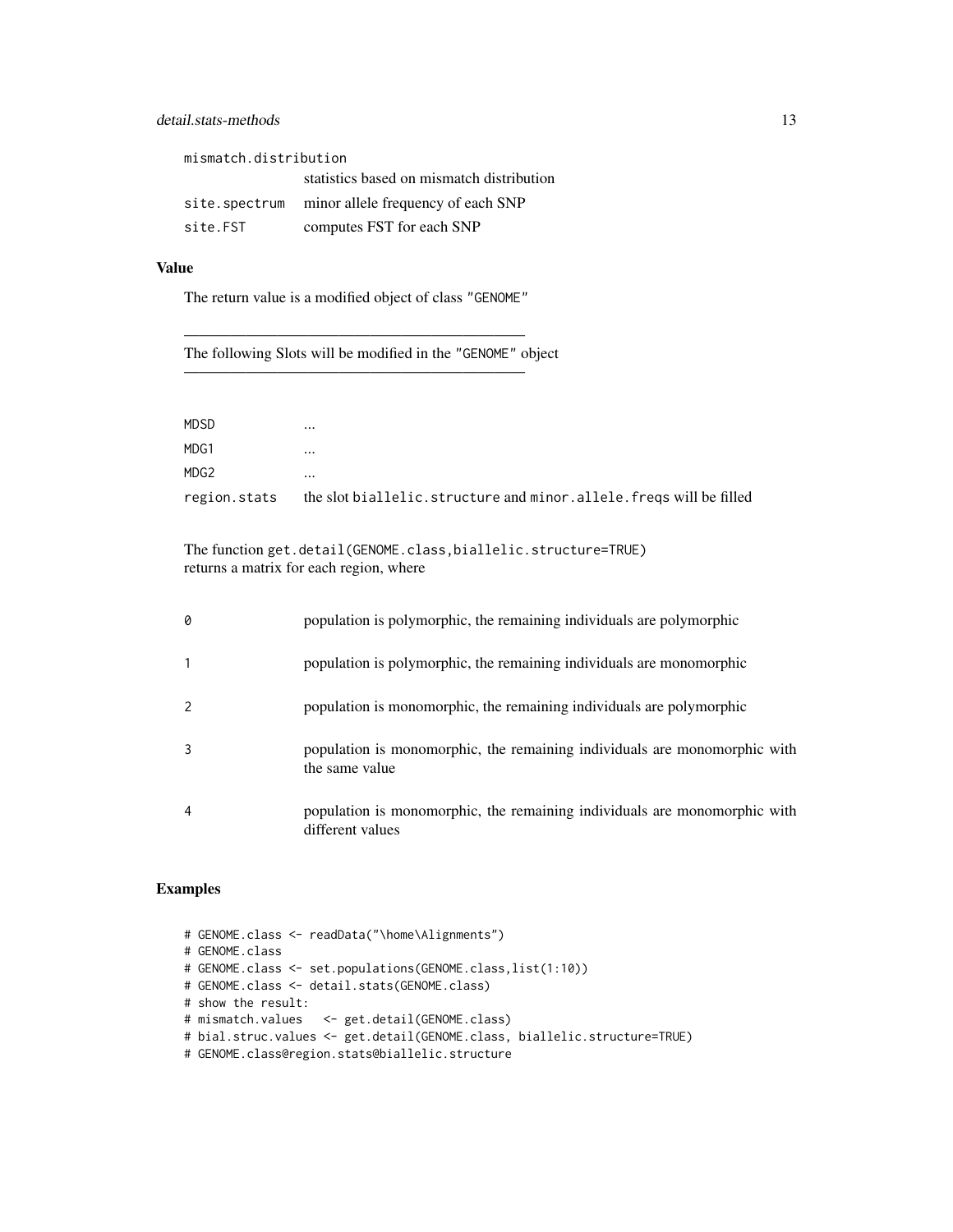# detail.stats-methods 13

| mismatch.distribution |                                                  |  |  |  |  |
|-----------------------|--------------------------------------------------|--|--|--|--|
|                       | statistics based on mismatch distribution        |  |  |  |  |
|                       | site.spectrum minor allele frequency of each SNP |  |  |  |  |
| site.FST              | computes FST for each SNP                        |  |  |  |  |

# Value

The return value is a modified object of class "GENOME"

——————————————————————

——————————————————————

The following Slots will be modified in the "GENOME" object

| <b>MDSD</b>  | $\cdots$                                                           |
|--------------|--------------------------------------------------------------------|
| MDG1         | $\cdots$                                                           |
| MDG2         | $\cdots$                                                           |
| region.stats | the slot biallelic.structure and minor.allele.freqs will be filled |

The function get.detail(GENOME.class,biallelic.structure=TRUE) returns a matrix for each region, where

| 0 | population is polymorphic, the remaining individuals are polymorphic                          |
|---|-----------------------------------------------------------------------------------------------|
|   | population is polymorphic, the remaining individuals are monomorphic                          |
|   | population is monomorphic, the remaining individuals are polymorphic                          |
|   | population is monomorphic, the remaining individuals are monomorphic with<br>the same value   |
| 4 | population is monomorphic, the remaining individuals are monomorphic with<br>different values |

# Examples

# GENOME.class <- readData("\home\Alignments") # GENOME.class # GENOME.class <- set.populations(GENOME.class,list(1:10)) # GENOME.class <- detail.stats(GENOME.class) # show the result: # mismatch.values <- get.detail(GENOME.class) # bial.struc.values <- get.detail(GENOME.class, biallelic.structure=TRUE) # GENOME.class@region.stats@biallelic.structure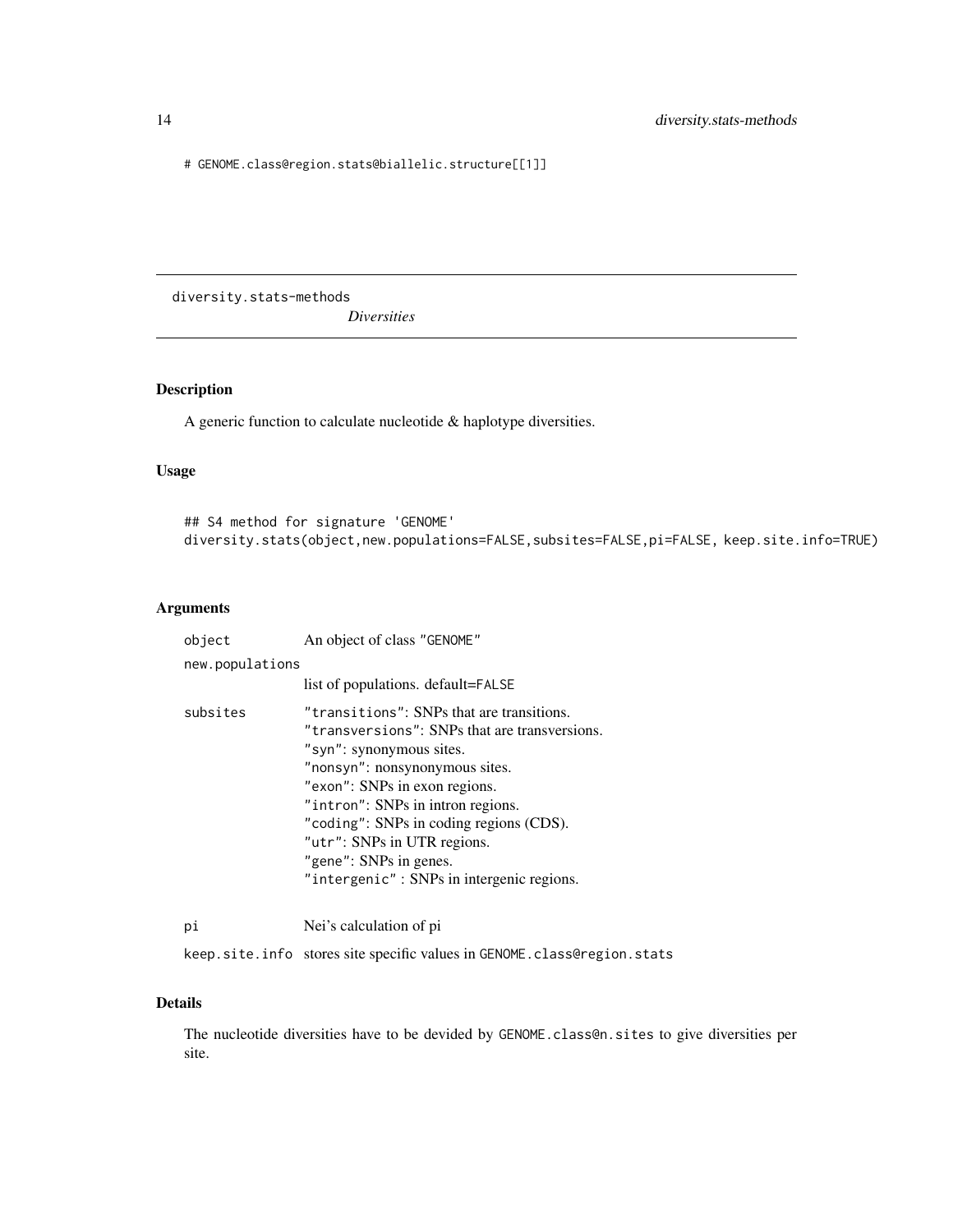<span id="page-13-0"></span># GENOME.class@region.stats@biallelic.structure[[1]]

diversity.stats-methods *Diversities*

# Description

A generic function to calculate nucleotide & haplotype diversities.

# Usage

## S4 method for signature 'GENOME' diversity.stats(object,new.populations=FALSE,subsites=FALSE,pi=FALSE, keep.site.info=TRUE)

# Arguments

| object          | An object of class "GENOME"                                                                                                                                                                                                                                                                                                                                                     |  |  |
|-----------------|---------------------------------------------------------------------------------------------------------------------------------------------------------------------------------------------------------------------------------------------------------------------------------------------------------------------------------------------------------------------------------|--|--|
| new.populations |                                                                                                                                                                                                                                                                                                                                                                                 |  |  |
|                 | list of populations. default=FALSE                                                                                                                                                                                                                                                                                                                                              |  |  |
| subsites        | "transitions": SNPs that are transitions.<br>"transversions": SNPs that are transversions.<br>"syn": synonymous sites.<br>"nonsyn": nonsynonymous sites.<br>"exon": SNPs in exon regions.<br>"intron": SNPs in intron regions.<br>"coding": SNPs in coding regions (CDS).<br>"utr": SNPs in UTR regions.<br>"gene": SNPs in genes.<br>"intergenic": SNPs in intergenic regions. |  |  |
| pi              | Nei's calculation of pi                                                                                                                                                                                                                                                                                                                                                         |  |  |

keep.site.info stores site specific values in GENOME.class@region.stats

#### Details

The nucleotide diversities have to be devided by GENOME.class@n.sites to give diversities per site.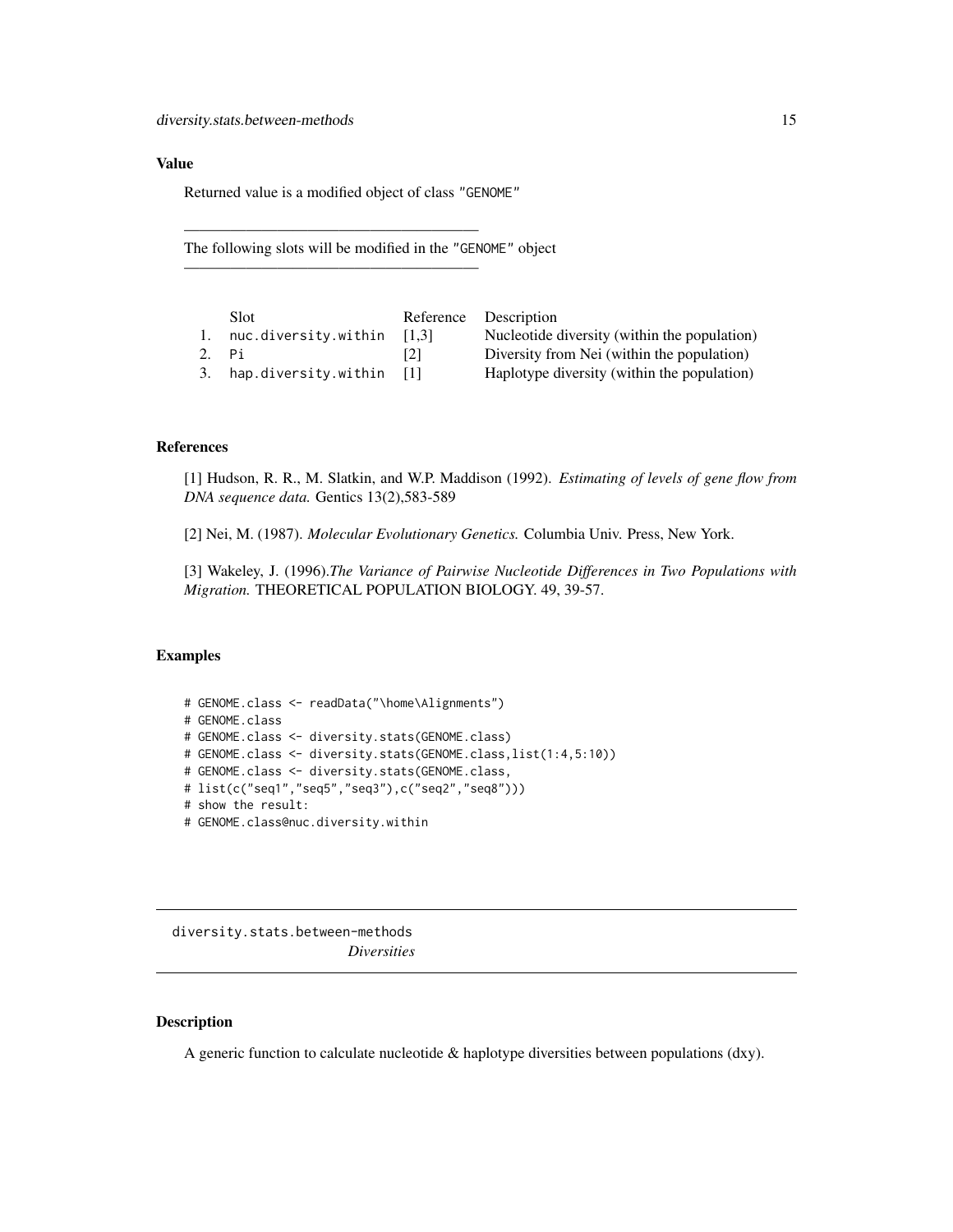#### <span id="page-14-0"></span>Value

Returned value is a modified object of class "GENOME"

———————————————————

———————————————————

The following slots will be modified in the "GENOME" object

|    | Slot                    |         | Reference Description                        |
|----|-------------------------|---------|----------------------------------------------|
| 1. | nuc.diversity.within    | - 11.31 | Nucleotide diversity (within the population) |
|    | 2. Pi                   | 121     | Diversity from Nei (within the population)   |
|    | 3. hap.diversity.within | -111    | Haplotype diversity (within the population)  |

# References

[1] Hudson, R. R., M. Slatkin, and W.P. Maddison (1992). *Estimating of levels of gene flow from DNA sequence data.* Gentics 13(2),583-589

[2] Nei, M. (1987). *Molecular Evolutionary Genetics.* Columbia Univ. Press, New York.

[3] Wakeley, J. (1996).*The Variance of Pairwise Nucleotide Differences in Two Populations with Migration.* THEORETICAL POPULATION BIOLOGY. 49, 39-57.

#### Examples

```
# GENOME.class <- readData("\home\Alignments")
# GENOME.class
# GENOME.class <- diversity.stats(GENOME.class)
# GENOME.class <- diversity.stats(GENOME.class,list(1:4,5:10))
# GENOME.class <- diversity.stats(GENOME.class,
# list(c("seq1","seq5","seq3"),c("seq2","seq8")))
# show the result:
# GENOME.class@nuc.diversity.within
```
diversity.stats.between-methods *Diversities*

#### Description

A generic function to calculate nucleotide & haplotype diversities between populations (dxy).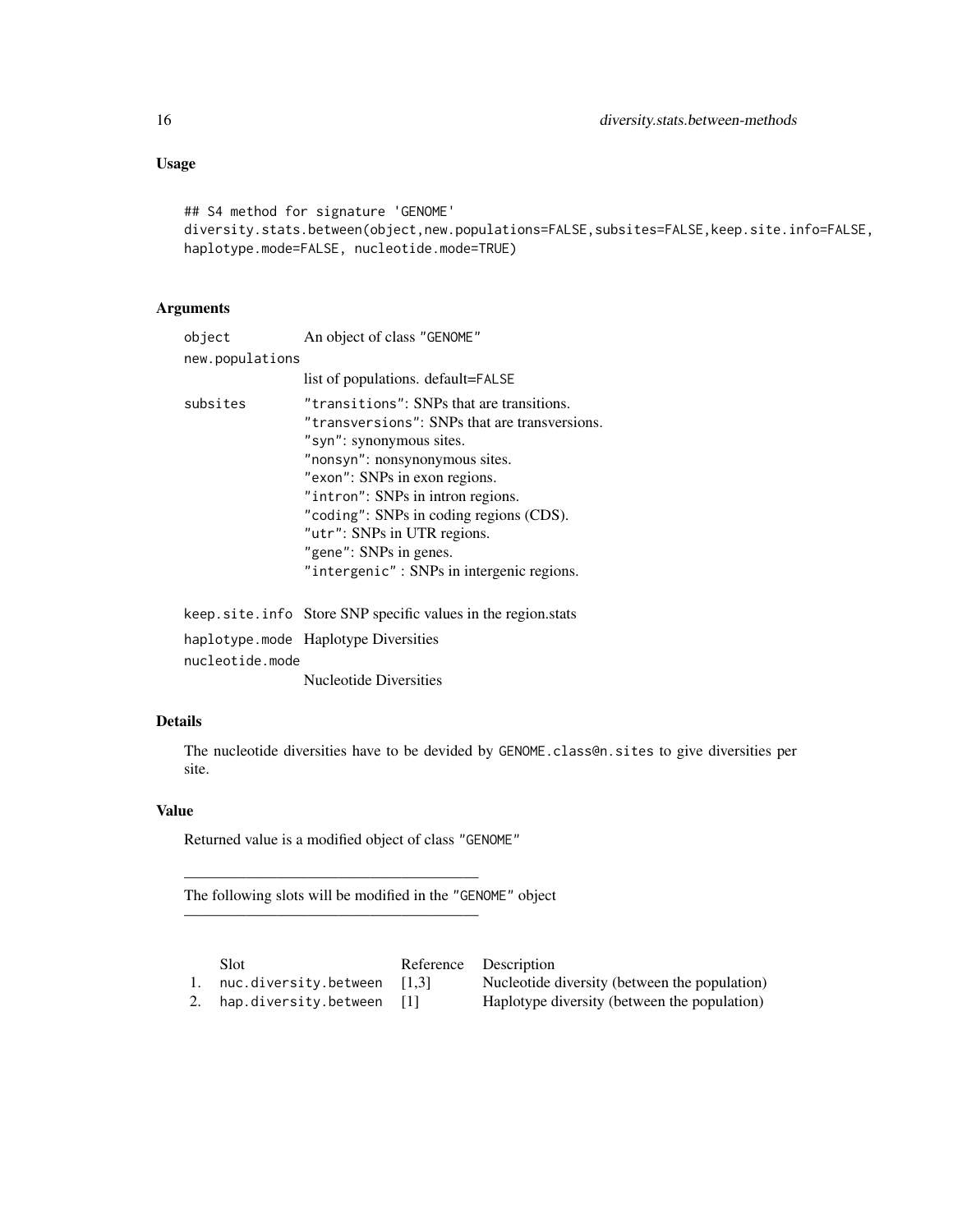# Usage

## S4 method for signature 'GENOME' diversity.stats.between(object,new.populations=FALSE,subsites=FALSE,keep.site.info=FALSE, haplotype.mode=FALSE, nucleotide.mode=TRUE)

# Arguments

| object          | An object of class "GENOME"                                                                                                                                                                                                                                                                                                                                                     |
|-----------------|---------------------------------------------------------------------------------------------------------------------------------------------------------------------------------------------------------------------------------------------------------------------------------------------------------------------------------------------------------------------------------|
| new.populations |                                                                                                                                                                                                                                                                                                                                                                                 |
|                 | list of populations. default=FALSE                                                                                                                                                                                                                                                                                                                                              |
| subsites        | "transitions": SNPs that are transitions.<br>"transversions": SNPs that are transversions.<br>"syn": synonymous sites.<br>"nonsyn": nonsynonymous sites.<br>"exon": SNPs in exon regions.<br>"intron": SNPs in intron regions.<br>"coding": SNPs in coding regions (CDS).<br>"utr": SNPs in UTR regions.<br>"gene": SNPs in genes.<br>"intergenic": SNPs in intergenic regions. |
|                 | transfer and a complete communication of the contraction of the second state                                                                                                                                                                                                                                                                                                    |

keep.site.info Store SNP specific values in the region.stats haplotype.mode Haplotype Diversities nucleotide.mode Nucleotide Diversities

# Details

The nucleotide diversities have to be devided by GENOME.class@n.sites to give diversities per site.

# Value

Returned value is a modified object of class "GENOME"

———————————————————

———————————————————

The following slots will be modified in the "GENOME" object

Slot Reference Description

1. nuc.diversity.between [1,3] Nucleotide diversity (between the population)

2. hap.diversity.between [1] Haplotype diversity (between the population)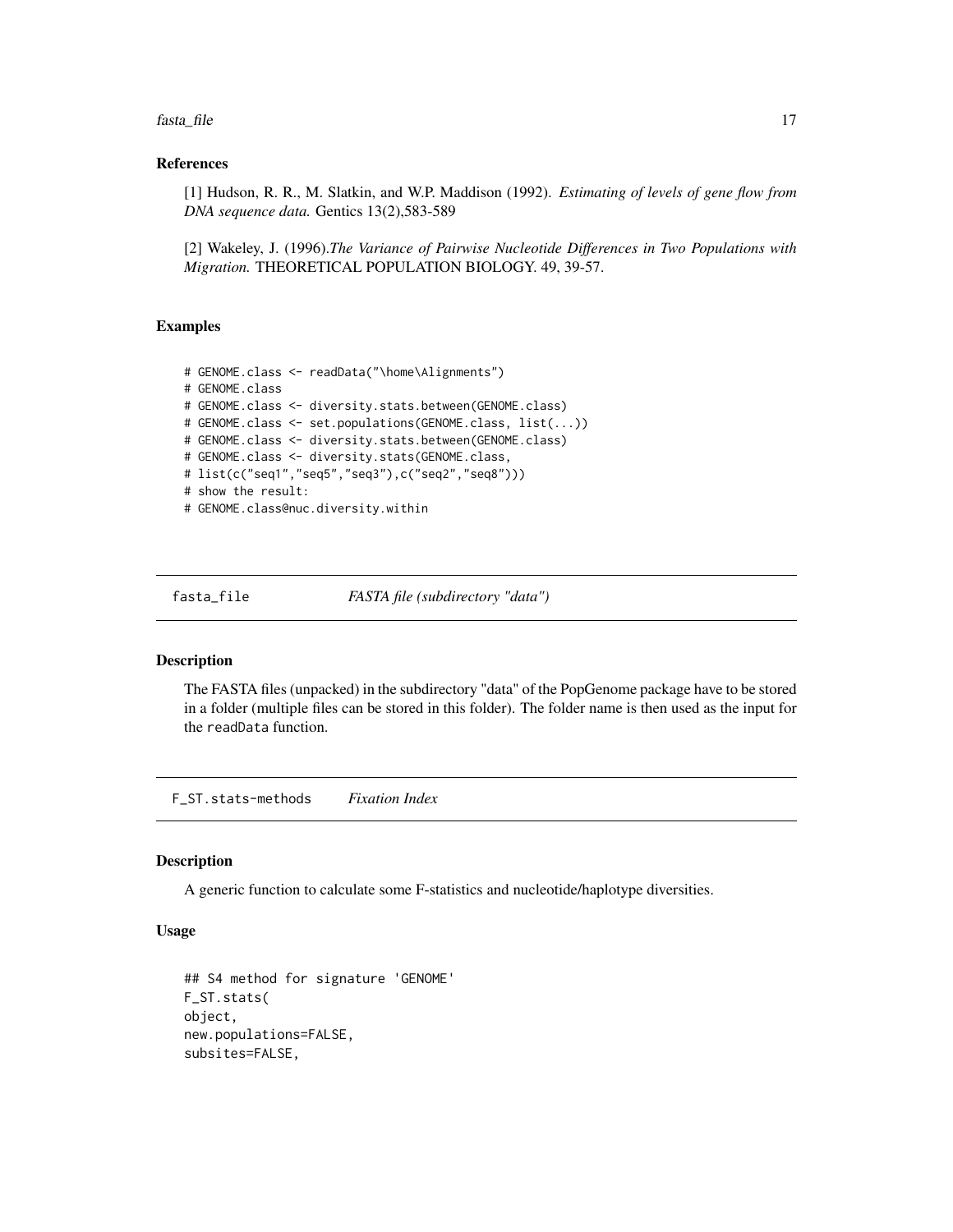<span id="page-16-0"></span>fasta\_file 17

#### References

[1] Hudson, R. R., M. Slatkin, and W.P. Maddison (1992). *Estimating of levels of gene flow from DNA sequence data.* Gentics 13(2),583-589

[2] Wakeley, J. (1996).*The Variance of Pairwise Nucleotide Differences in Two Populations with Migration.* THEORETICAL POPULATION BIOLOGY. 49, 39-57.

# Examples

```
# GENOME.class <- readData("\home\Alignments")
# GENOME.class
# GENOME.class <- diversity.stats.between(GENOME.class)
# GENOME.class <- set.populations(GENOME.class, list(...))
# GENOME.class <- diversity.stats.between(GENOME.class)
# GENOME.class <- diversity.stats(GENOME.class,
# list(c("seq1","seq5","seq3"),c("seq2","seq8")))
# show the result:
# GENOME.class@nuc.diversity.within
```
fasta\_file *FASTA file (subdirectory "data")*

# Description

The FASTA files (unpacked) in the subdirectory "data" of the PopGenome package have to be stored in a folder (multiple files can be stored in this folder). The folder name is then used as the input for the readData function.

F\_ST.stats-methods *Fixation Index*

# Description

A generic function to calculate some F-statistics and nucleotide/haplotype diversities.

# Usage

```
## S4 method for signature 'GENOME'
F_ST.stats(
object,
new.populations=FALSE,
subsites=FALSE,
```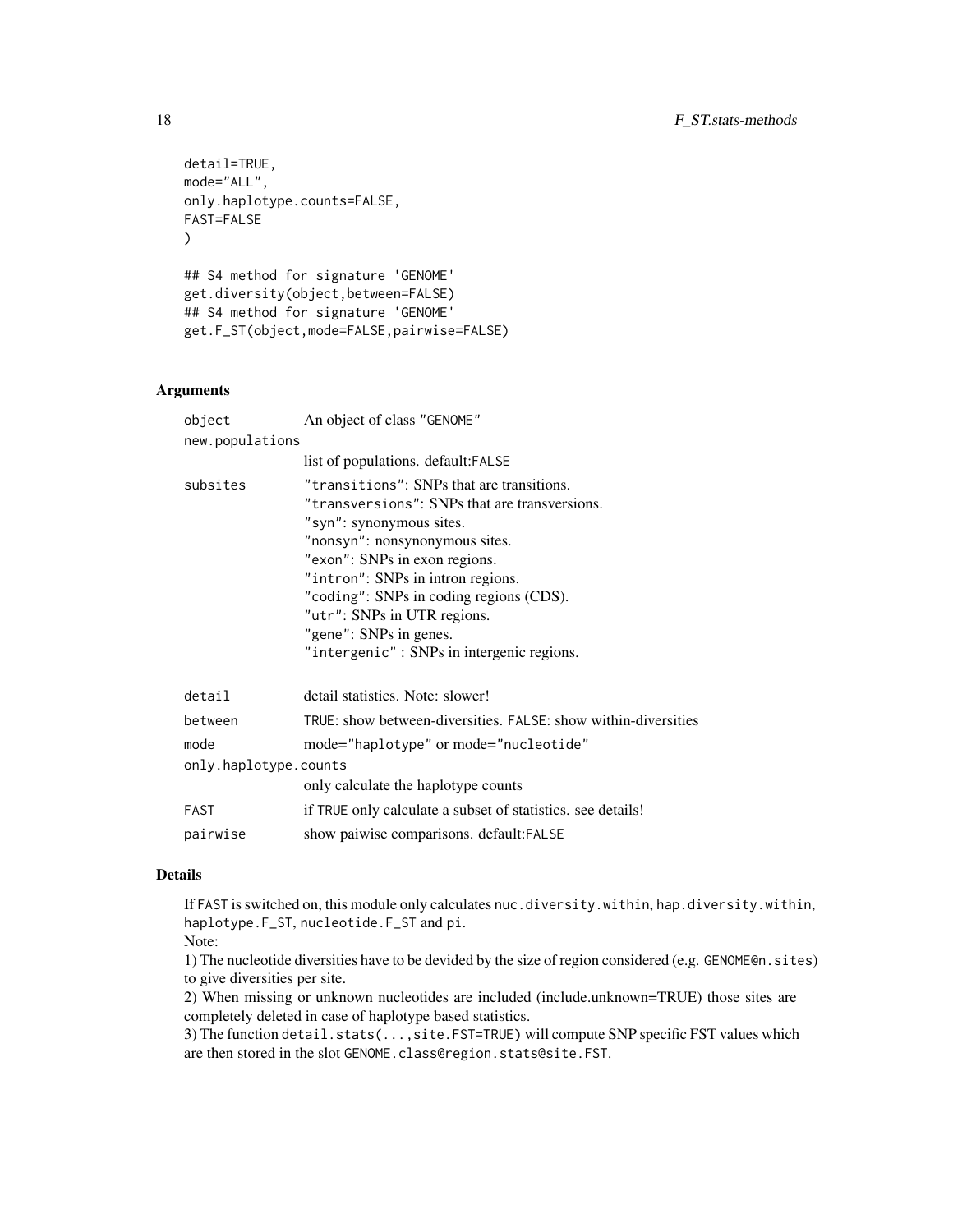```
detail=TRUE,
mode="ALL",
only.haplotype.counts=FALSE,
FAST=FALSE
\lambda## S4 method for signature 'GENOME'
get.diversity(object,between=FALSE)
## S4 method for signature 'GENOME'
get.F_ST(object,mode=FALSE,pairwise=FALSE)
```
#### Arguments

| object                | An object of class "GENOME"                                                                                                                                                                                                                                                                                                                                                     |  |
|-----------------------|---------------------------------------------------------------------------------------------------------------------------------------------------------------------------------------------------------------------------------------------------------------------------------------------------------------------------------------------------------------------------------|--|
| new.populations       |                                                                                                                                                                                                                                                                                                                                                                                 |  |
|                       | list of populations. default: FALSE                                                                                                                                                                                                                                                                                                                                             |  |
| subsites              | "transitions": SNPs that are transitions.<br>"transversions": SNPs that are transversions.<br>"syn": synonymous sites.<br>"nonsyn": nonsynonymous sites.<br>"exon": SNPs in exon regions.<br>"intron": SNPs in intron regions.<br>"coding": SNPs in coding regions (CDS).<br>"utr": SNPs in UTR regions.<br>"gene": SNPs in genes.<br>"intergenic": SNPs in intergenic regions. |  |
| detail                | detail statistics. Note: slower!                                                                                                                                                                                                                                                                                                                                                |  |
| between               | TRUE: show between-diversities. FALSE: show within-diversities                                                                                                                                                                                                                                                                                                                  |  |
| mode                  | mode="haplotype" or mode="nucleotide"                                                                                                                                                                                                                                                                                                                                           |  |
| only.haplotype.counts |                                                                                                                                                                                                                                                                                                                                                                                 |  |
|                       | only calculate the haplotype counts                                                                                                                                                                                                                                                                                                                                             |  |
| <b>FAST</b>           | if TRUE only calculate a subset of statistics. see details!                                                                                                                                                                                                                                                                                                                     |  |
| pairwise              | show paiwise comparisons. default: FALSE                                                                                                                                                                                                                                                                                                                                        |  |

# Details

If FAST is switched on, this module only calculates nuc.diversity.within, hap.diversity.within, haplotype.F\_ST, nucleotide.F\_ST and pi.

Note:

1) The nucleotide diversities have to be devided by the size of region considered (e.g. GENOME@n.sites) to give diversities per site.

2) When missing or unknown nucleotides are included (include.unknown=TRUE) those sites are completely deleted in case of haplotype based statistics.

3) The function detail.stats(...,site.FST=TRUE) will compute SNP specific FST values which are then stored in the slot GENOME.class@region.stats@site.FST.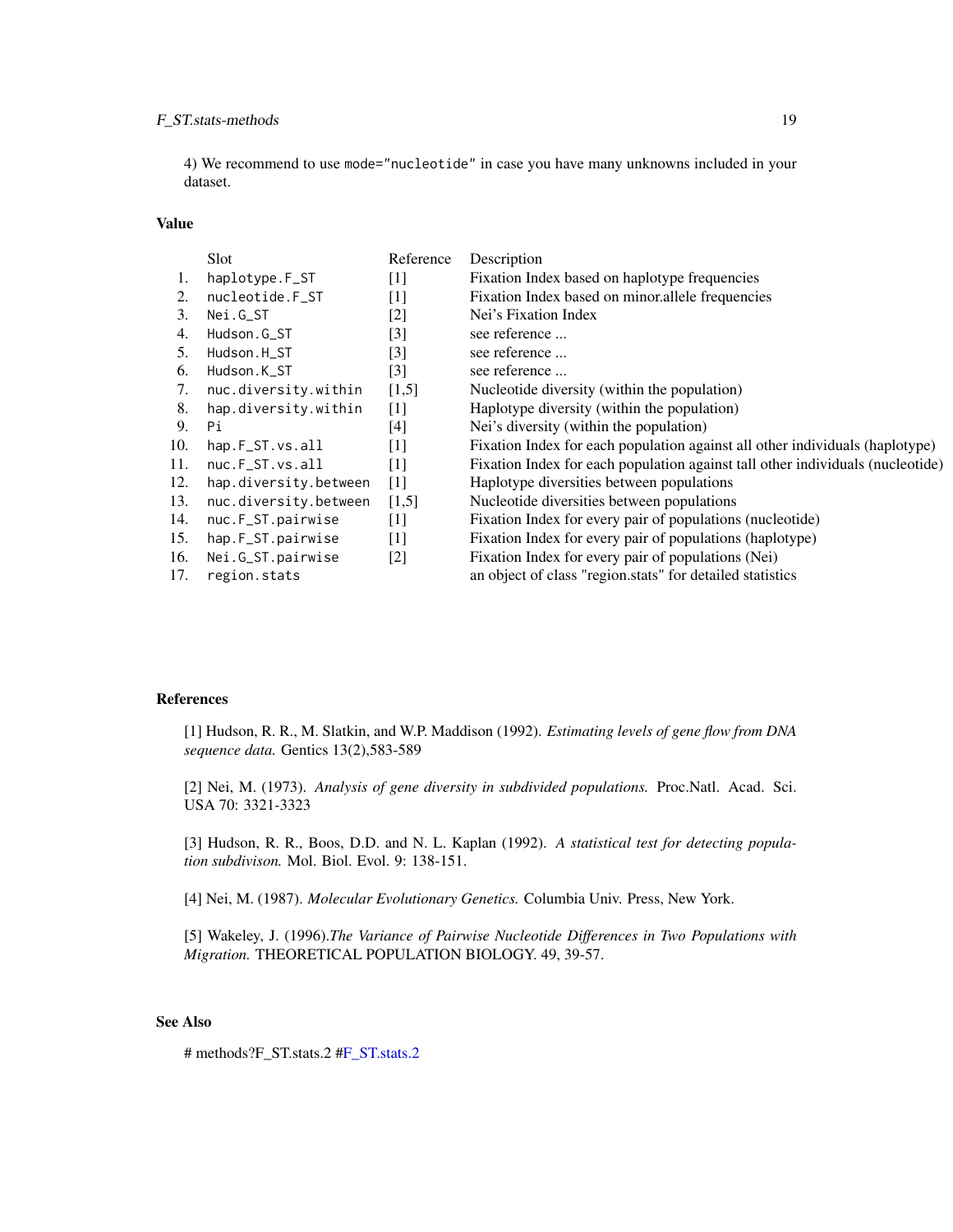# F\_ST.stats-methods 19

4) We recommend to use mode="nucleotide" in case you have many unknowns included in your dataset.

# Value

|     | <b>Slot</b>           | Reference         | Description                                                                    |
|-----|-----------------------|-------------------|--------------------------------------------------------------------------------|
| 1.  | haplotype.F_ST        | $[1]$             | Fixation Index based on haplotype frequencies                                  |
| 2.  | nucleotide.F_ST       | $[1]$             | Fixation Index based on minor allele frequencies                               |
| 3.  | Nei.G_ST              | $[2]$             | Nei's Fixation Index                                                           |
| 4.  | Hudson.G_ST           | $[3]$             | see reference                                                                  |
| 5.  | Hudson.H_ST           | $[3]$             | see reference                                                                  |
| 6.  | Hudson.K ST           | $\lceil 3 \rceil$ | see reference                                                                  |
| 7.  | nuc.diversity.within  | [1,5]             | Nucleotide diversity (within the population)                                   |
| 8.  | hap.diversity.within  | $[1]$             | Haplotype diversity (within the population)                                    |
| 9.  | Рi                    | [4]               | Nei's diversity (within the population)                                        |
| 10. | hap.F_ST.vs.all       | $[1]$             | Fixation Index for each population against all other individuals (haplotype)   |
| 11. | nuc.F_ST.vs.all       | $[1]$             | Fixation Index for each population against tall other individuals (nucleotide) |
| 12. | hap.diversity.between | $\lceil 1 \rceil$ | Haplotype diversities between populations                                      |
| 13. | nuc.diversity.between | [1,5]             | Nucleotide diversities between populations                                     |
| 14. | nuc.F_ST.pairwise     | $[1]$             | Fixation Index for every pair of populations (nucleotide)                      |
| 15. | hap.F_ST.pairwise     | $[1]$             | Fixation Index for every pair of populations (haplotype)                       |
| 16. | Nei.G_ST.pairwise     | $[2]$             | Fixation Index for every pair of populations (Nei)                             |
| 17. | region.stats          |                   | an object of class "region stats" for detailed statistics                      |

# References

[1] Hudson, R. R., M. Slatkin, and W.P. Maddison (1992). *Estimating levels of gene flow from DNA sequence data.* Gentics 13(2),583-589

[2] Nei, M. (1973). *Analysis of gene diversity in subdivided populations.* Proc.Natl. Acad. Sci. USA 70: 3321-3323

[3] Hudson, R. R., Boos, D.D. and N. L. Kaplan (1992). *A statistical test for detecting population subdivison.* Mol. Biol. Evol. 9: 138-151.

[4] Nei, M. (1987). *Molecular Evolutionary Genetics.* Columbia Univ. Press, New York.

[5] Wakeley, J. (1996).*The Variance of Pairwise Nucleotide Differences in Two Populations with Migration.* THEORETICAL POPULATION BIOLOGY. 49, 39-57.

# See Also

# methods?F\_ST.stats.2 [#F\\_ST.stats.2](#page-20-1)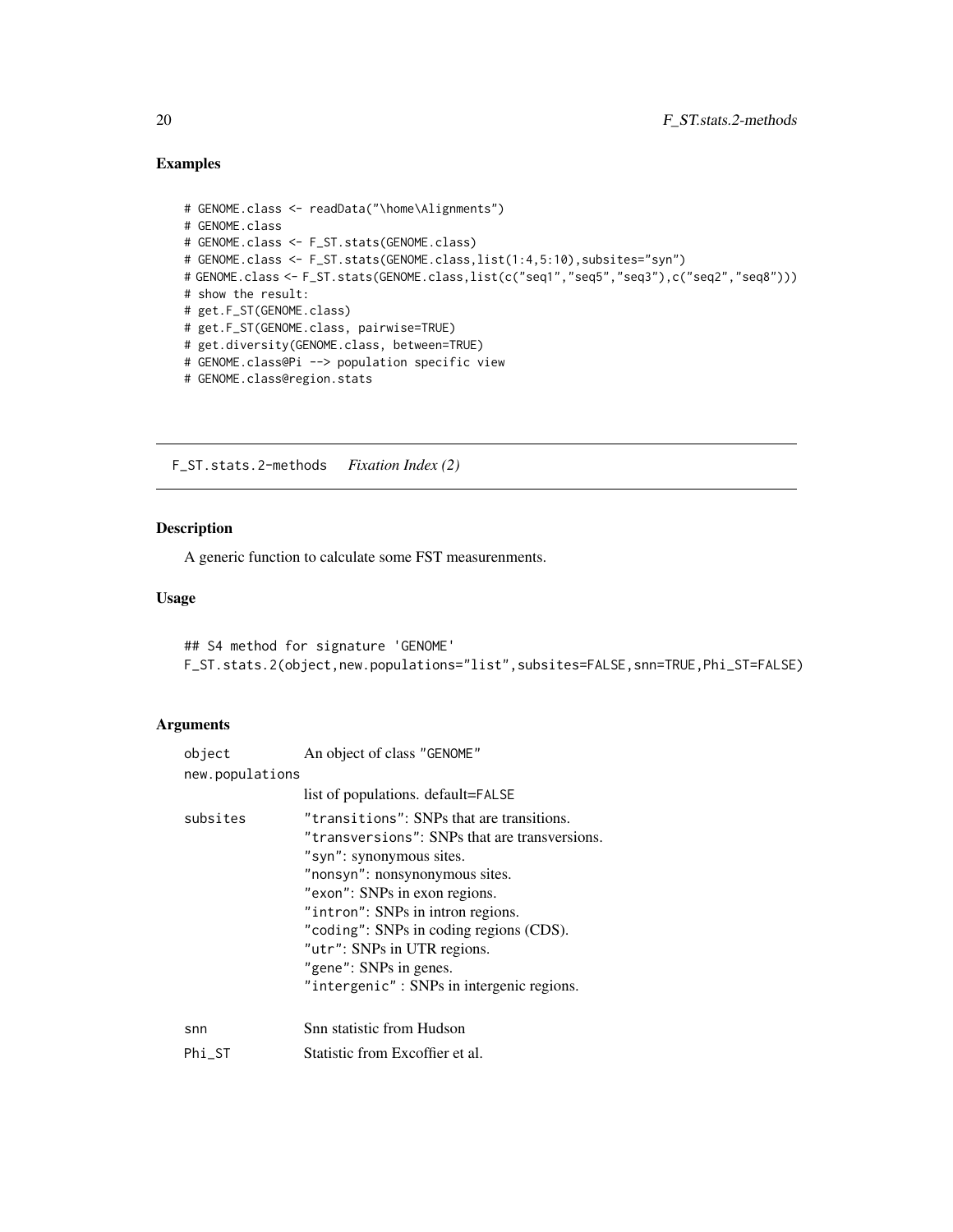# <span id="page-19-0"></span>Examples

```
# GENOME.class <- readData("\home\Alignments")
# GENOME.class
# GENOME.class <- F_ST.stats(GENOME.class)
# GENOME.class <- F_ST.stats(GENOME.class,list(1:4,5:10),subsites="syn")
# GENOME.class <- F_ST.stats(GENOME.class,list(c("seq1","seq5","seq3"),c("seq2","seq8")))
# show the result:
# get.F_ST(GENOME.class)
# get.F_ST(GENOME.class, pairwise=TRUE)
# get.diversity(GENOME.class, between=TRUE)
# GENOME.class@Pi --> population specific view
# GENOME.class@region.stats
```
F\_ST.stats.2-methods *Fixation Index (2)*

#### Description

A generic function to calculate some FST measurenments.

# Usage

```
## S4 method for signature 'GENOME'
F_ST.stats.2(object,new.populations="list",subsites=FALSE,snn=TRUE,Phi_ST=FALSE)
```

| object          | An object of class "GENOME"                                                                                                                                                                                                                                                                                                                                                     |  |
|-----------------|---------------------------------------------------------------------------------------------------------------------------------------------------------------------------------------------------------------------------------------------------------------------------------------------------------------------------------------------------------------------------------|--|
| new.populations |                                                                                                                                                                                                                                                                                                                                                                                 |  |
|                 | list of populations. default=FALSE                                                                                                                                                                                                                                                                                                                                              |  |
| subsites        | "transitions": SNPs that are transitions.<br>"transversions": SNPs that are transversions.<br>"syn": synonymous sites.<br>"nonsyn": nonsynonymous sites.<br>"exon": SNPs in exon regions.<br>"intron": SNPs in intron regions.<br>"coding": SNPs in coding regions (CDS).<br>"utr": SNPs in UTR regions.<br>"gene": SNPs in genes.<br>"intergenic": SNPs in intergenic regions. |  |
| snn             | Snn statistic from Hudson                                                                                                                                                                                                                                                                                                                                                       |  |
| $Phi_S$ T       | Statistic from Excoffier et al.                                                                                                                                                                                                                                                                                                                                                 |  |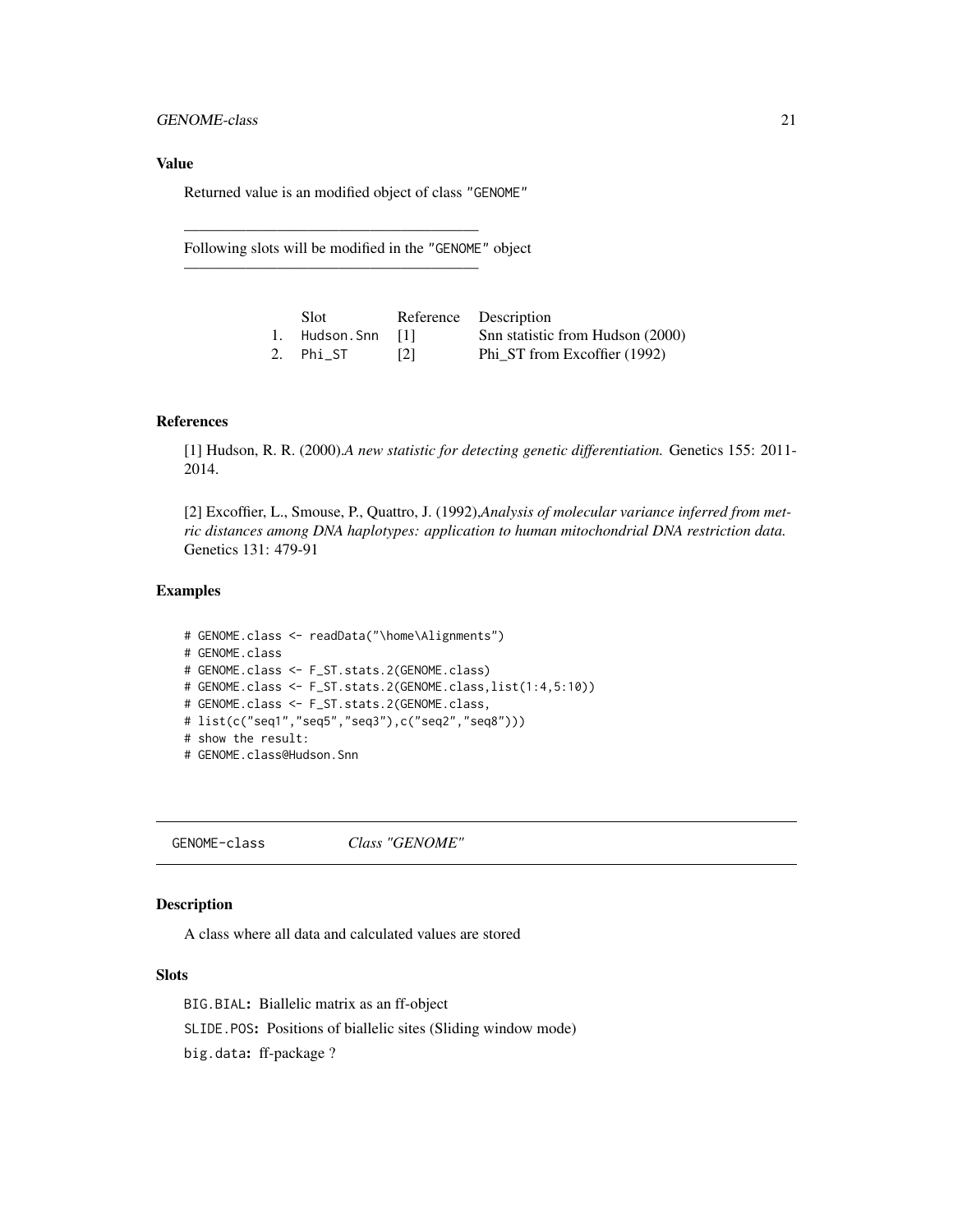#### <span id="page-20-0"></span>Value

Returned value is an modified object of class "GENOME"

———————————————————

———————————————————

Following slots will be modified in the "GENOME" object

| Slot.             |     | Reference Description            |
|-------------------|-----|----------------------------------|
| 1. Hudson.Snn [1] |     | Snn statistic from Hudson (2000) |
| 2. Phi_ST         | [2] | Phi_ST from Excoffier (1992)     |

# References

[1] Hudson, R. R. (2000).*A new statistic for detecting genetic differentiation.* Genetics 155: 2011- 2014.

[2] Excoffier, L., Smouse, P., Quattro, J. (1992),*Analysis of molecular variance inferred from metric distances among DNA haplotypes: application to human mitochondrial DNA restriction data.* Genetics 131: 479-91

# Examples

```
# GENOME.class <- readData("\home\Alignments")
# GENOME.class
# GENOME.class <- F_ST.stats.2(GENOME.class)
# GENOME.class <- F_ST.stats.2(GENOME.class,list(1:4,5:10))
# GENOME.class <- F_ST.stats.2(GENOME.class,
# list(c("seq1","seq5","seq3"),c("seq2","seq8")))
# show the result:
# GENOME.class@Hudson.Snn
```
GENOME-class *Class "GENOME"*

#### <span id="page-20-1"></span>Description

A class where all data and calculated values are stored

# Slots

BIG.BIAL: Biallelic matrix as an ff-object SLIDE.POS: Positions of biallelic sites (Sliding window mode) big.data: ff-package ?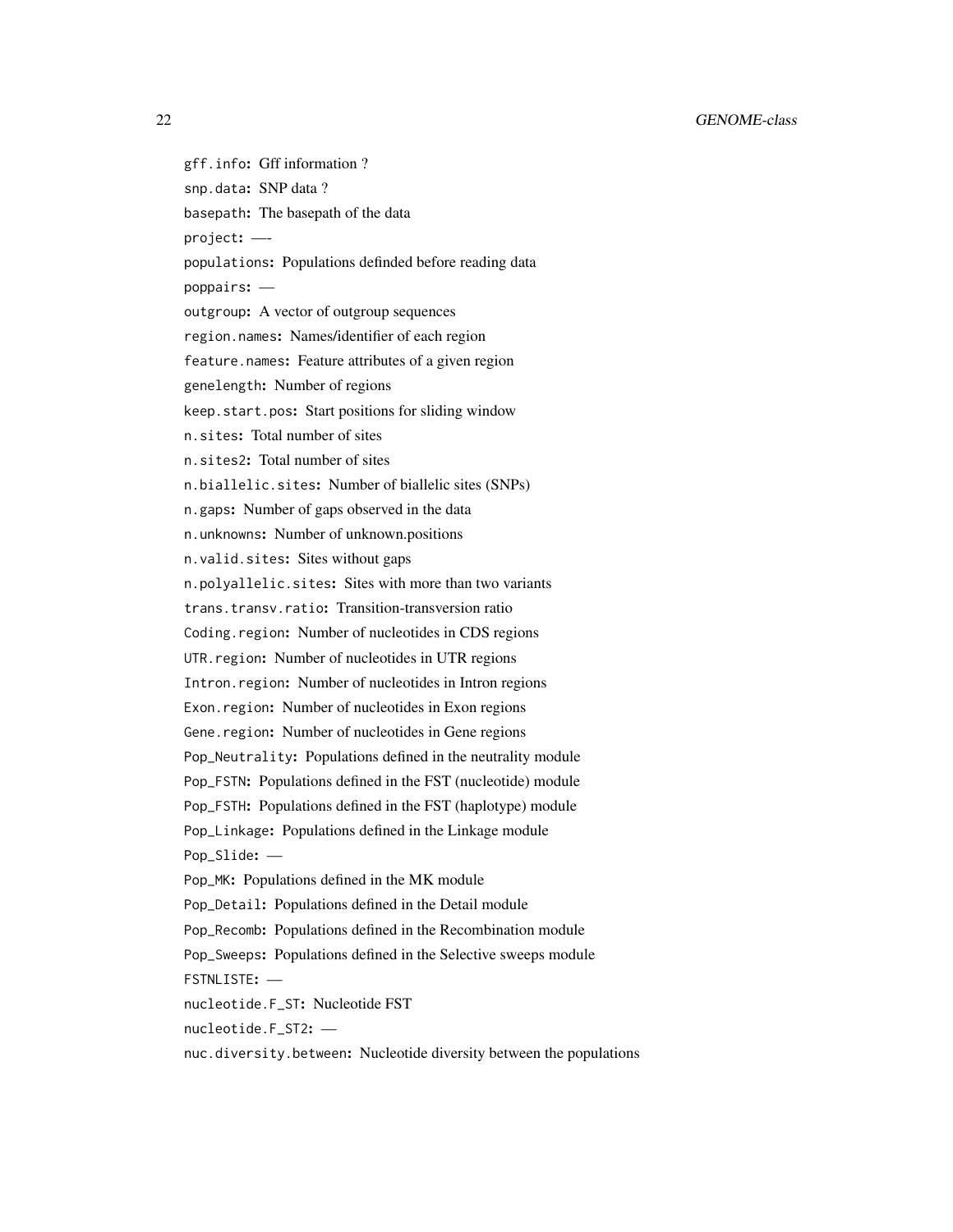gff.info: Gff information ? snp.data: SNP data ? basepath: The basepath of the data project: — populations: Populations definded before reading data poppairs: outgroup: A vector of outgroup sequences region.names: Names/identifier of each region feature.names: Feature attributes of a given region genelength: Number of regions keep.start.pos: Start positions for sliding window n.sites: Total number of sites n.sites2: Total number of sites n.biallelic.sites: Number of biallelic sites (SNPs) n.gaps: Number of gaps observed in the data n.unknowns: Number of unknown.positions n.valid.sites: Sites without gaps n.polyallelic.sites: Sites with more than two variants trans.transv.ratio: Transition-transversion ratio Coding.region: Number of nucleotides in CDS regions UTR.region: Number of nucleotides in UTR regions Intron.region: Number of nucleotides in Intron regions Exon.region: Number of nucleotides in Exon regions Gene.region: Number of nucleotides in Gene regions Pop\_Neutrality: Populations defined in the neutrality module Pop\_FSTN: Populations defined in the FST (nucleotide) module Pop\_FSTH: Populations defined in the FST (haplotype) module Pop\_Linkage: Populations defined in the Linkage module Pop\_Slide: — Pop\_MK: Populations defined in the MK module Pop\_Detail: Populations defined in the Detail module Pop\_Recomb: Populations defined in the Recombination module Pop\_Sweeps: Populations defined in the Selective sweeps module FSTNLISTE: nucleotide.F\_ST: Nucleotide FST nucleotide.F\_ST2: nuc.diversity.between: Nucleotide diversity between the populations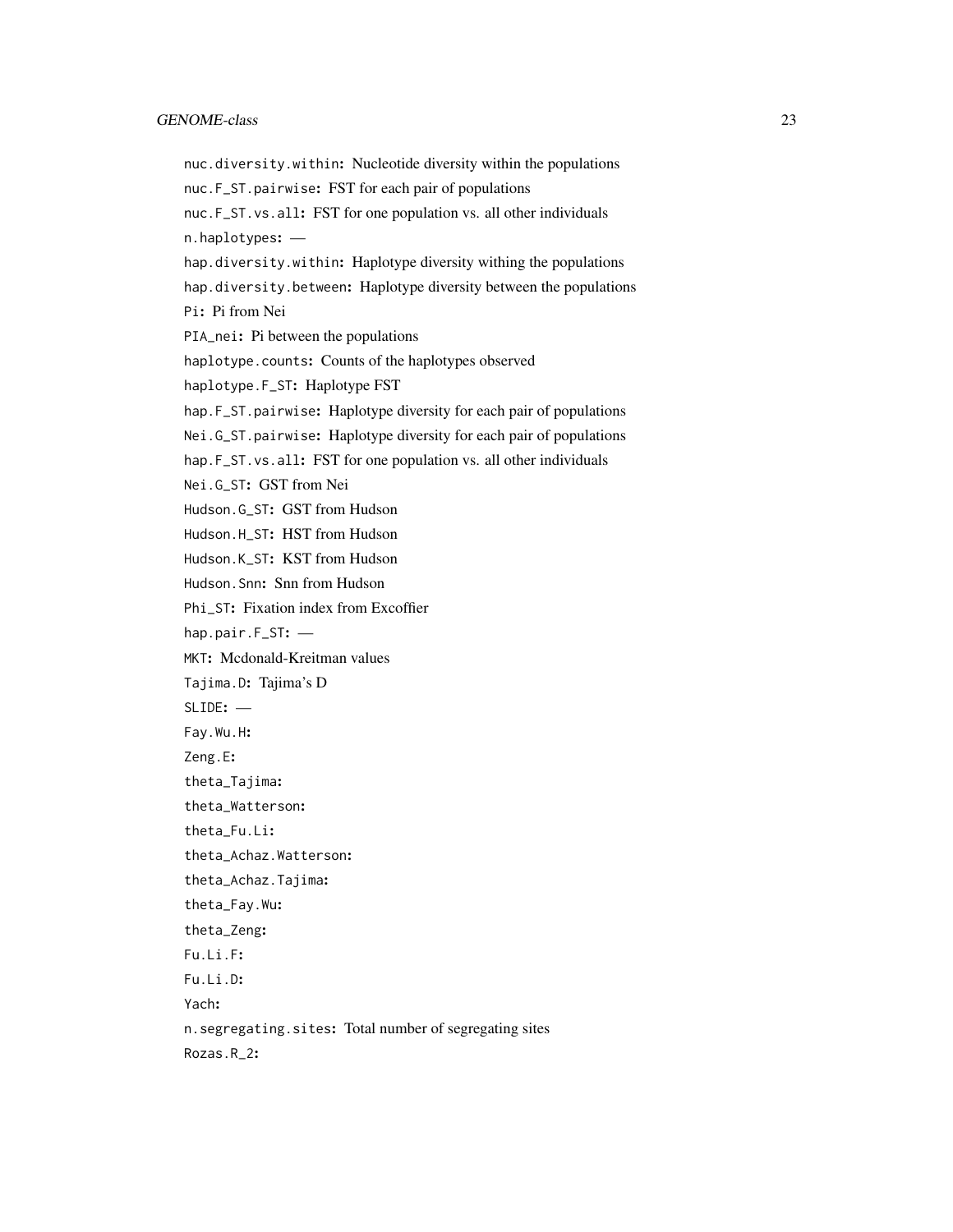nuc.diversity.within: Nucleotide diversity within the populations nuc.F\_ST.pairwise: FST for each pair of populations nuc.F\_ST.vs.all: FST for one population vs. all other individuals n.haplotypes: hap.diversity.within: Haplotype diversity withing the populations hap.diversity.between: Haplotype diversity between the populations Pi: Pi from Nei PIA\_nei: Pi between the populations haplotype.counts: Counts of the haplotypes observed haplotype.F\_ST: Haplotype FST hap.F\_ST.pairwise: Haplotype diversity for each pair of populations Nei.G\_ST.pairwise: Haplotype diversity for each pair of populations hap.F\_ST.vs.all: FST for one population vs. all other individuals Nei.G\_ST: GST from Nei Hudson.G\_ST: GST from Hudson Hudson.H\_ST: HST from Hudson Hudson.K\_ST: KST from Hudson Hudson.Snn: Snn from Hudson Phi\_ST: Fixation index from Excoffier hap.pair.F\_ST: — MKT: Mcdonald-Kreitman values Tajima.D: Tajima's D SLIDE: — Fay.Wu.H: Zeng.E: theta\_Tajima: theta\_Watterson: theta\_Fu.Li: theta\_Achaz.Watterson: theta\_Achaz.Tajima: theta\_Fay.Wu: theta\_Zeng: Fu.Li.F: Fu.Li.D: Yach: n.segregating.sites: Total number of segregating sites Rozas.R\_2: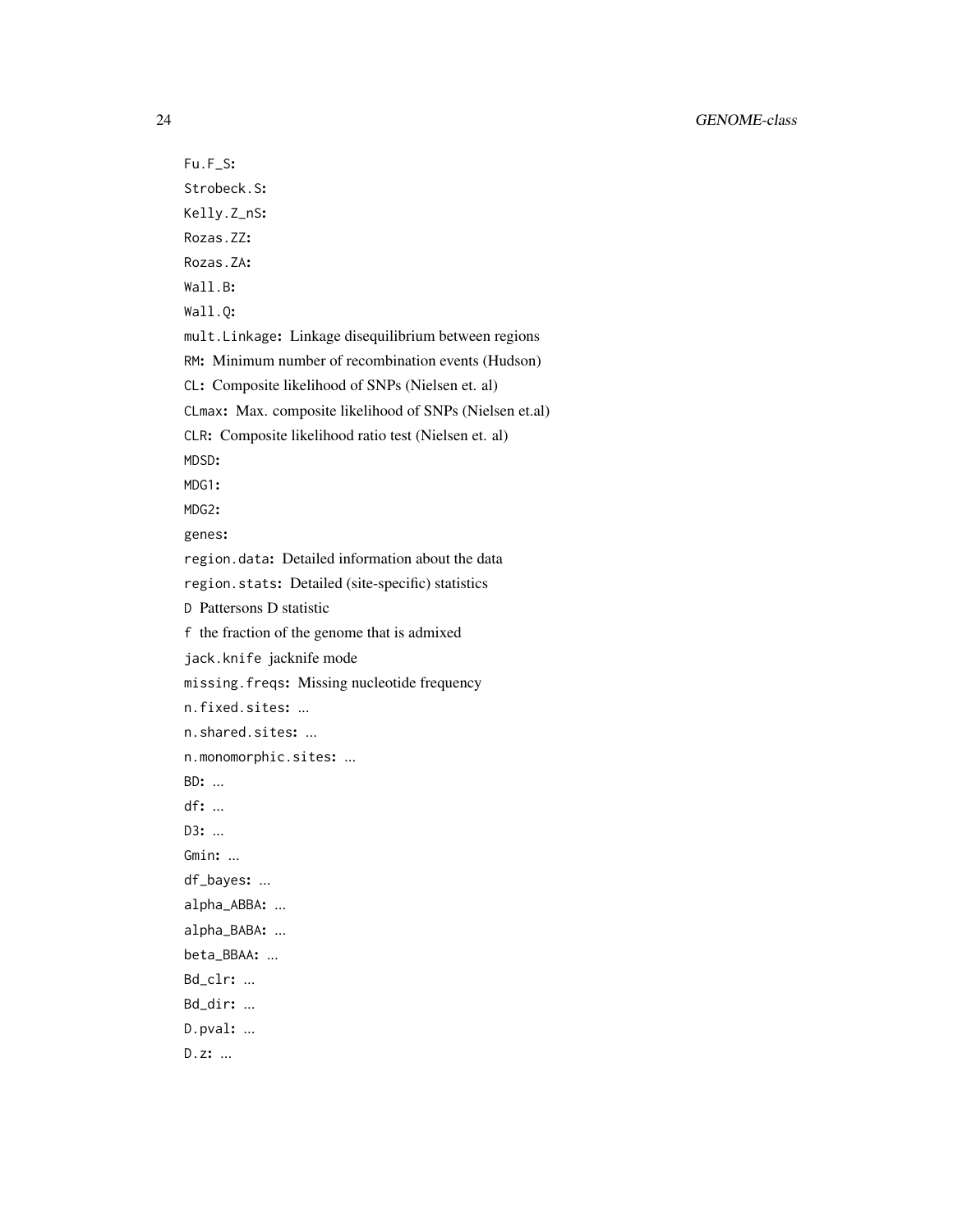Fu.F\_S: Strobeck.S: Kelly.Z\_nS: Rozas.ZZ: Rozas.ZA: Wall.B: Wall.Q: mult.Linkage: Linkage disequilibrium between regions RM: Minimum number of recombination events (Hudson) CL: Composite likelihood of SNPs (Nielsen et. al) CLmax: Max. composite likelihood of SNPs (Nielsen et.al) CLR: Composite likelihood ratio test (Nielsen et. al) MDSD: MDG1: MDG2: genes: region.data: Detailed information about the data region.stats: Detailed (site-specific) statistics D Pattersons D statistic f the fraction of the genome that is admixed jack.knife jacknife mode missing.freqs: Missing nucleotide frequency n.fixed.sites: ... n.shared.sites: ... n.monomorphic.sites: ... BD: ... df: ... D3: ... Gmin: ... df\_bayes: ... alpha\_ABBA: ... alpha\_BABA: ... beta\_BBAA: ... Bd\_clr: ... Bd\_dir: ... D.pval: ... D.z: ...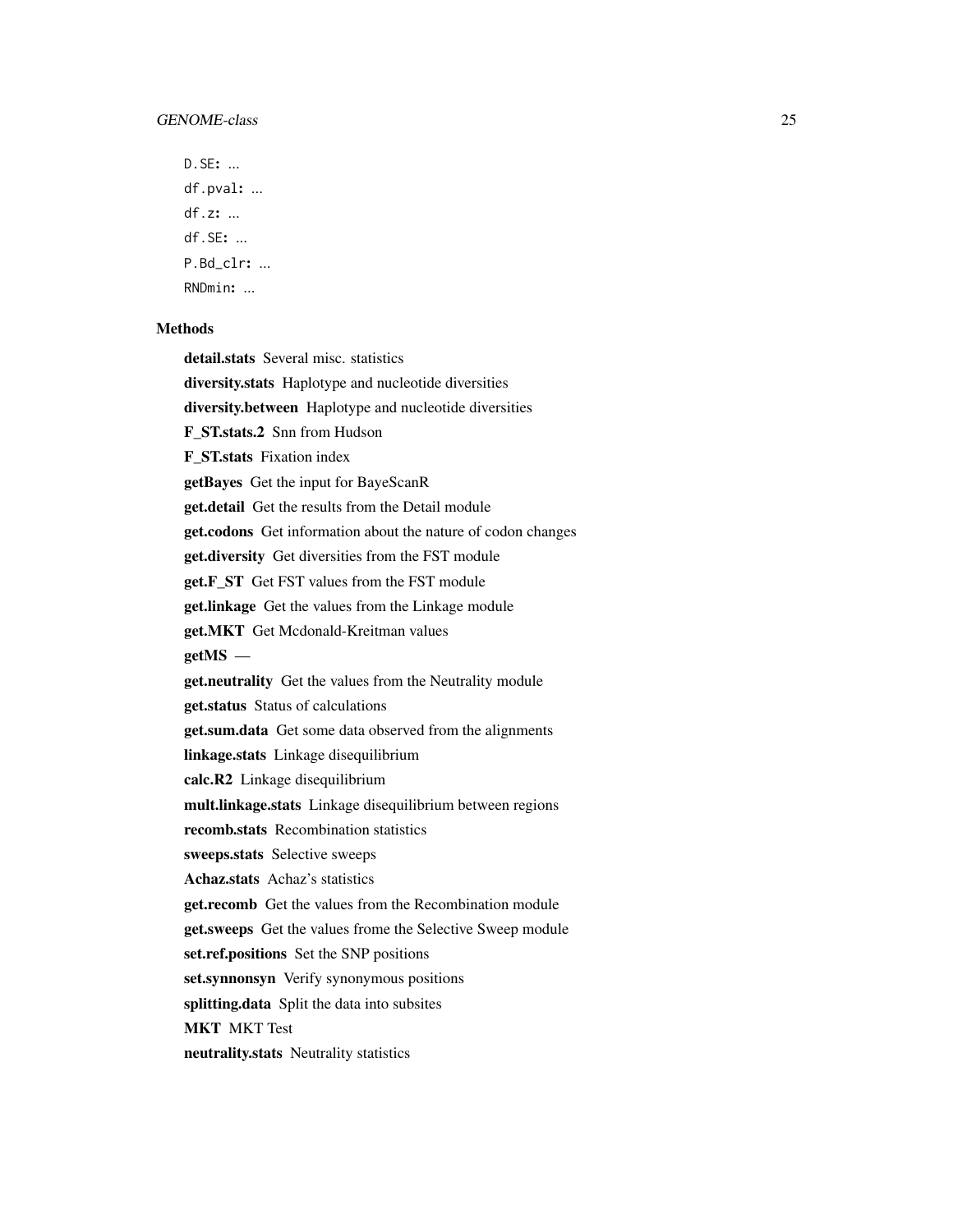D.SE: ... df.pval: ... df.z: ... df.SE: ... P.Bd\_clr: ... RNDmin: ...

#### **Methods**

detail.stats Several misc. statistics

diversity.stats Haplotype and nucleotide diversities

diversity.between Haplotype and nucleotide diversities

F\_ST.stats.2 Snn from Hudson

F\_ST.stats Fixation index

getBayes Get the input for BayeScanR

get.detail Get the results from the Detail module

get.codons Get information about the nature of codon changes

get.diversity Get diversities from the FST module

get.F\_ST Get FST values from the FST module

get.linkage Get the values from the Linkage module

get.MKT Get Mcdonald-Kreitman values

getMS —

get.neutrality Get the values from the Neutrality module

get.status Status of calculations

**get.sum.data** Get some data observed from the alignments

linkage.stats Linkage disequilibrium

calc.R2 Linkage disequilibrium

mult.linkage.stats Linkage disequilibrium between regions

recomb.stats Recombination statistics

sweeps.stats Selective sweeps

Achaz.stats Achaz's statistics

get.recomb Get the values from the Recombination module

get.sweeps Get the values frome the Selective Sweep module

set.ref.positions Set the SNP positions

set.synnonsyn Verify synonymous positions

splitting.data Split the data into subsites

MKT MKT Test

neutrality.stats Neutrality statistics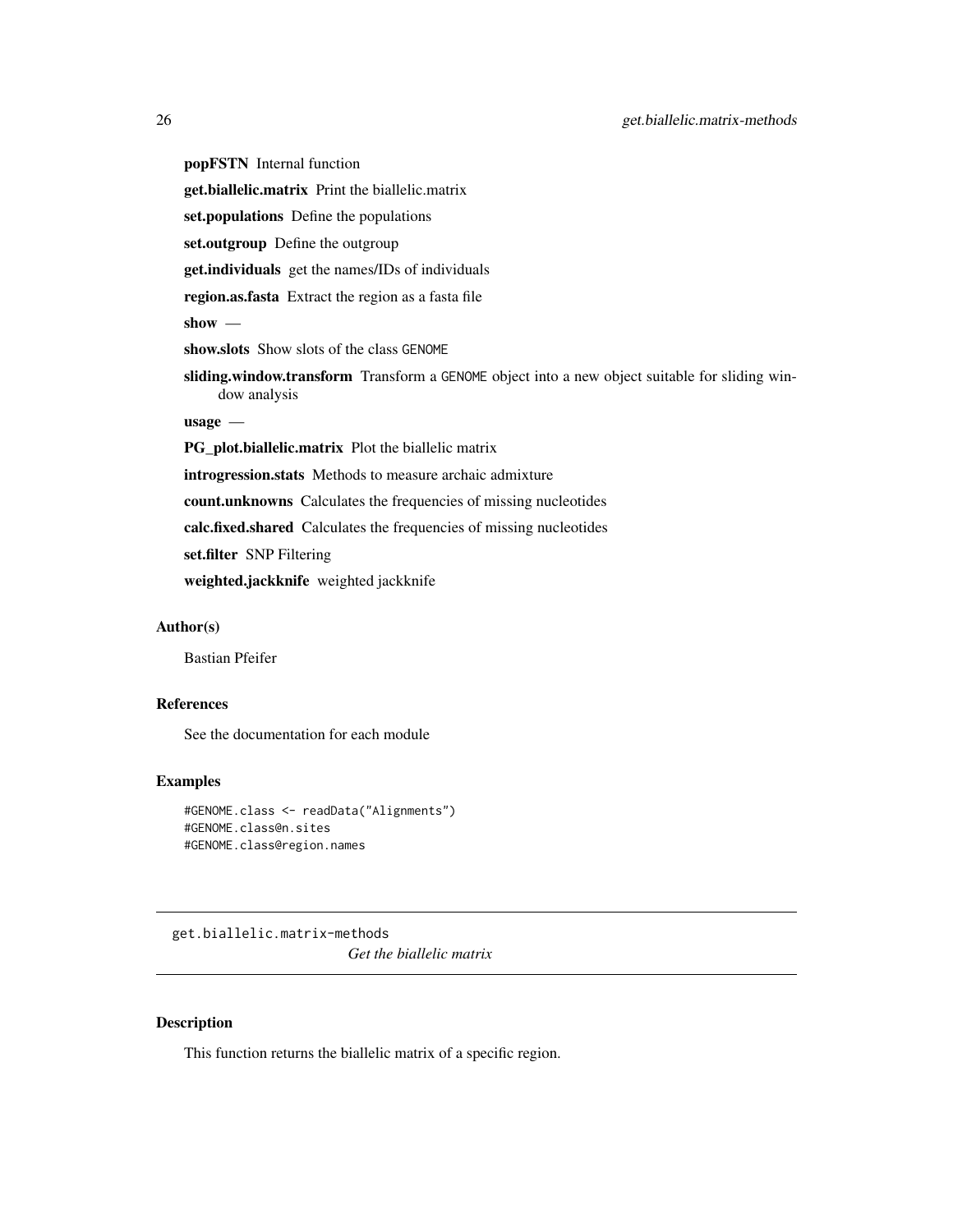<span id="page-25-0"></span>popFSTN Internal function

get.biallelic.matrix Print the biallelic.matrix

set.populations Define the populations

set.outgroup Define the outgroup

get.individuals get the names/IDs of individuals

region.as.fasta Extract the region as a fasta file

show —

show.slots Show slots of the class GENOME

sliding.window.transform Transform a GENOME object into a new object suitable for sliding window analysis

usage —

PG\_plot.biallelic.matrix Plot the biallelic matrix

introgression.stats Methods to measure archaic admixture

count.unknowns Calculates the frequencies of missing nucleotides

calc.fixed.shared Calculates the frequencies of missing nucleotides

set.filter SNP Filtering

weighted.jackknife weighted jackknife

#### Author(s)

Bastian Pfeifer

# References

See the documentation for each module

#### Examples

```
#GENOME.class <- readData("Alignments")
#GENOME.class@n.sites
#GENOME.class@region.names
```
get.biallelic.matrix-methods *Get the biallelic matrix*

#### Description

This function returns the biallelic matrix of a specific region.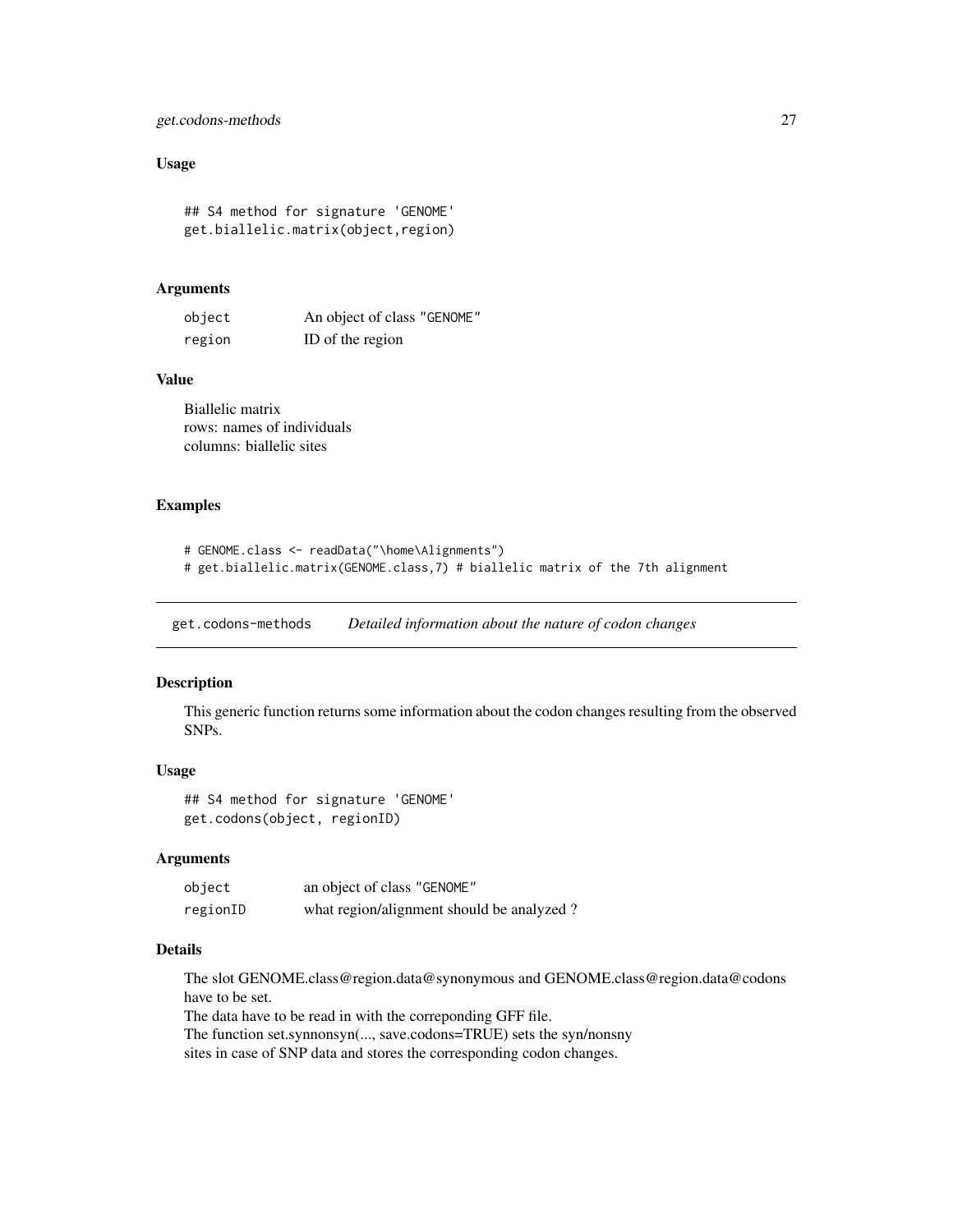# <span id="page-26-0"></span>get.codons-methods 27

# Usage

## S4 method for signature 'GENOME' get.biallelic.matrix(object,region)

#### Arguments

| object | An object of class "GENOME" |
|--------|-----------------------------|
| region | ID of the region            |

### Value

Biallelic matrix rows: names of individuals columns: biallelic sites

# Examples

```
# GENOME.class <- readData("\home\Alignments")
# get.biallelic.matrix(GENOME.class,7) # biallelic matrix of the 7th alignment
```
get.codons-methods *Detailed information about the nature of codon changes*

# Description

This generic function returns some information about the codon changes resulting from the observed SNPs.

# Usage

```
## S4 method for signature 'GENOME'
get.codons(object, regionID)
```
#### Arguments

| object   | an object of class "GENOME"               |
|----------|-------------------------------------------|
| regionID | what region/alignment should be analyzed? |

# Details

The slot GENOME.class@region.data@synonymous and GENOME.class@region.data@codons have to be set.

The data have to be read in with the correponding GFF file.

The function set.synnonsyn(..., save.codons=TRUE) sets the syn/nonsny

sites in case of SNP data and stores the corresponding codon changes.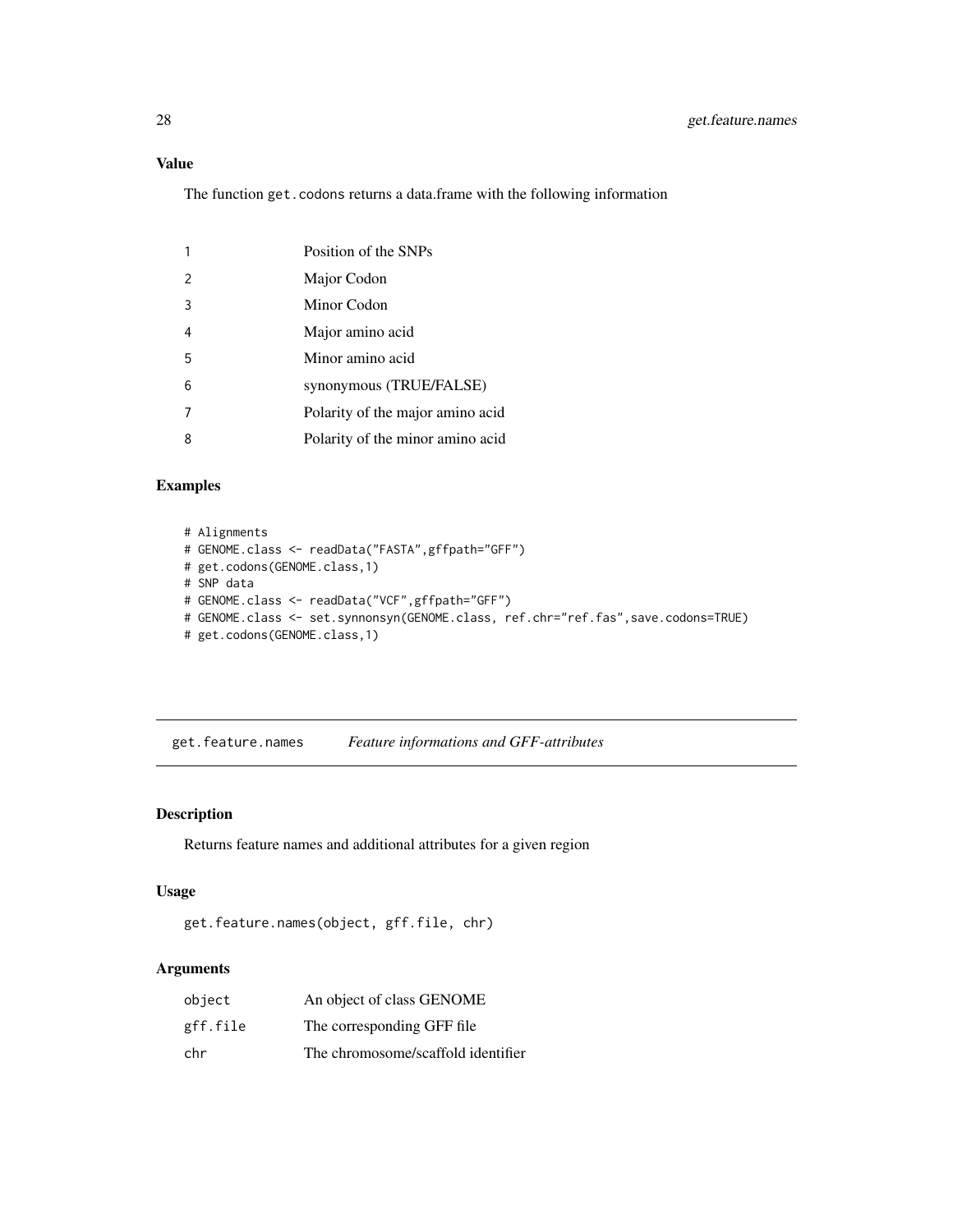# Value

The function get.codons returns a data.frame with the following information

|               | Position of the SNPs             |
|---------------|----------------------------------|
| $\mathcal{P}$ | Major Codon                      |
| 3             | Minor Codon                      |
| 4             | Major amino acid                 |
| 5             | Minor amino acid                 |
| 6             | synonymous (TRUE/FALSE)          |
|               | Polarity of the major amino acid |
| 8             | Polarity of the minor amino acid |

### Examples

```
# Alignments
# GENOME.class <- readData("FASTA",gffpath="GFF")
# get.codons(GENOME.class,1)
# SNP data
# GENOME.class <- readData("VCF",gffpath="GFF")
# GENOME.class <- set.synnonsyn(GENOME.class, ref.chr="ref.fas",save.codons=TRUE)
# get.codons(GENOME.class,1)
```
get.feature.names *Feature informations and GFF-attributes*

### Description

Returns feature names and additional attributes for a given region

#### Usage

```
get.feature.names(object, gff.file, chr)
```

| object   | An object of class GENOME          |
|----------|------------------------------------|
| gff.file | The corresponding GFF file         |
| chr      | The chromosome/scaffold identifier |

<span id="page-27-0"></span>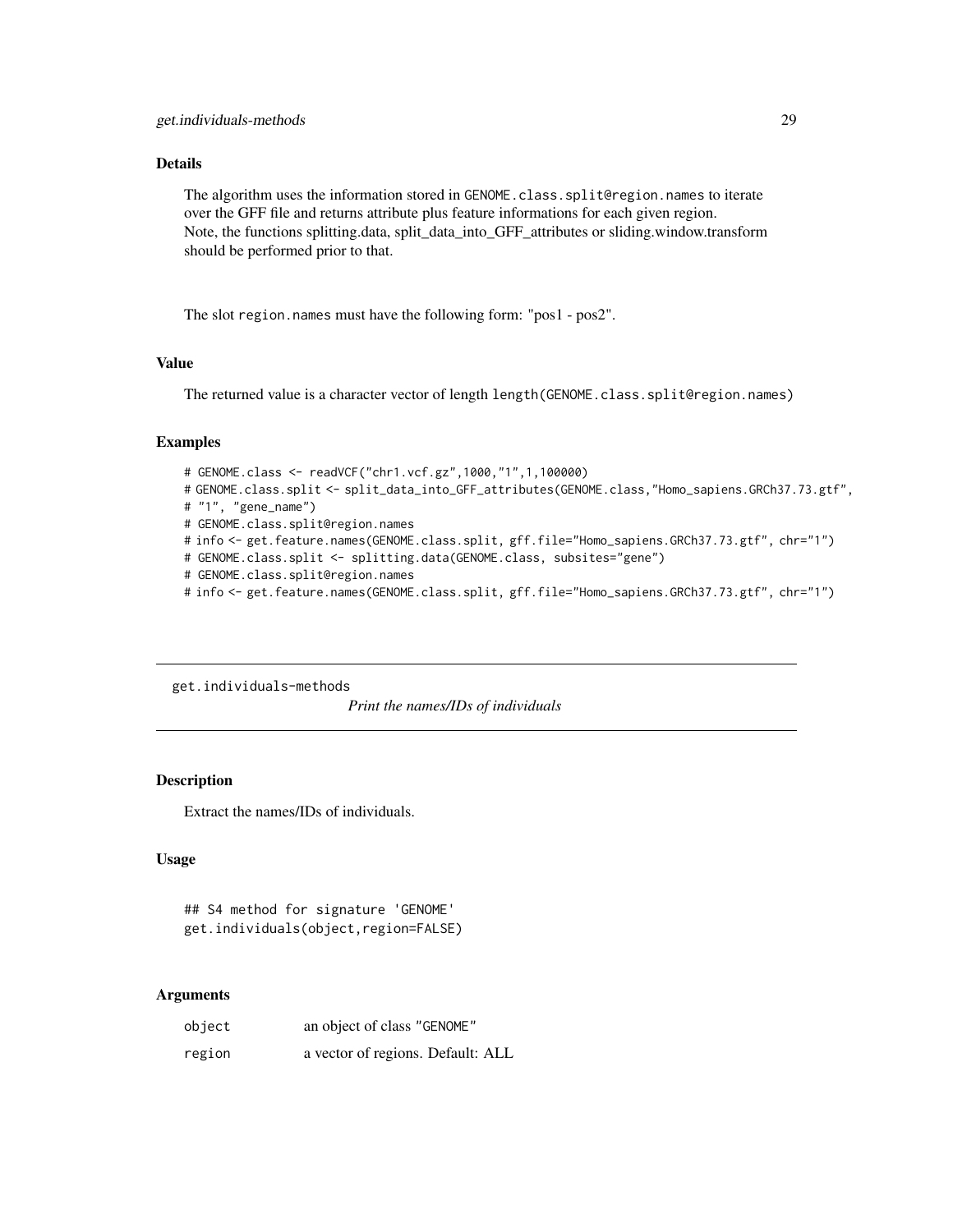# <span id="page-28-0"></span>Details

The algorithm uses the information stored in GENOME.class.split@region.names to iterate over the GFF file and returns attribute plus feature informations for each given region. Note, the functions splitting.data, split\_data\_into\_GFF\_attributes or sliding.window.transform should be performed prior to that.

The slot region.names must have the following form: "pos1 - pos2".

# Value

The returned value is a character vector of length length(GENOME.class.split@region.names)

#### Examples

```
# GENOME.class <- readVCF("chr1.vcf.gz",1000,"1",1,100000)
# GENOME.class.split <- split_data_into_GFF_attributes(GENOME.class,"Homo_sapiens.GRCh37.73.gtf",
# "1", "gene_name")
# GENOME.class.split@region.names
# info <- get.feature.names(GENOME.class.split, gff.file="Homo_sapiens.GRCh37.73.gtf", chr="1")
# GENOME.class.split <- splitting.data(GENOME.class, subsites="gene")
# GENOME.class.split@region.names
# info <- get.feature.names(GENOME.class.split, gff.file="Homo_sapiens.GRCh37.73.gtf", chr="1")
```
get.individuals-methods

*Print the names/IDs of individuals*

# **Description**

Extract the names/IDs of individuals.

# Usage

## S4 method for signature 'GENOME' get.individuals(object,region=FALSE)

| object | an object of class "GENOME"       |
|--------|-----------------------------------|
| region | a vector of regions. Default: ALL |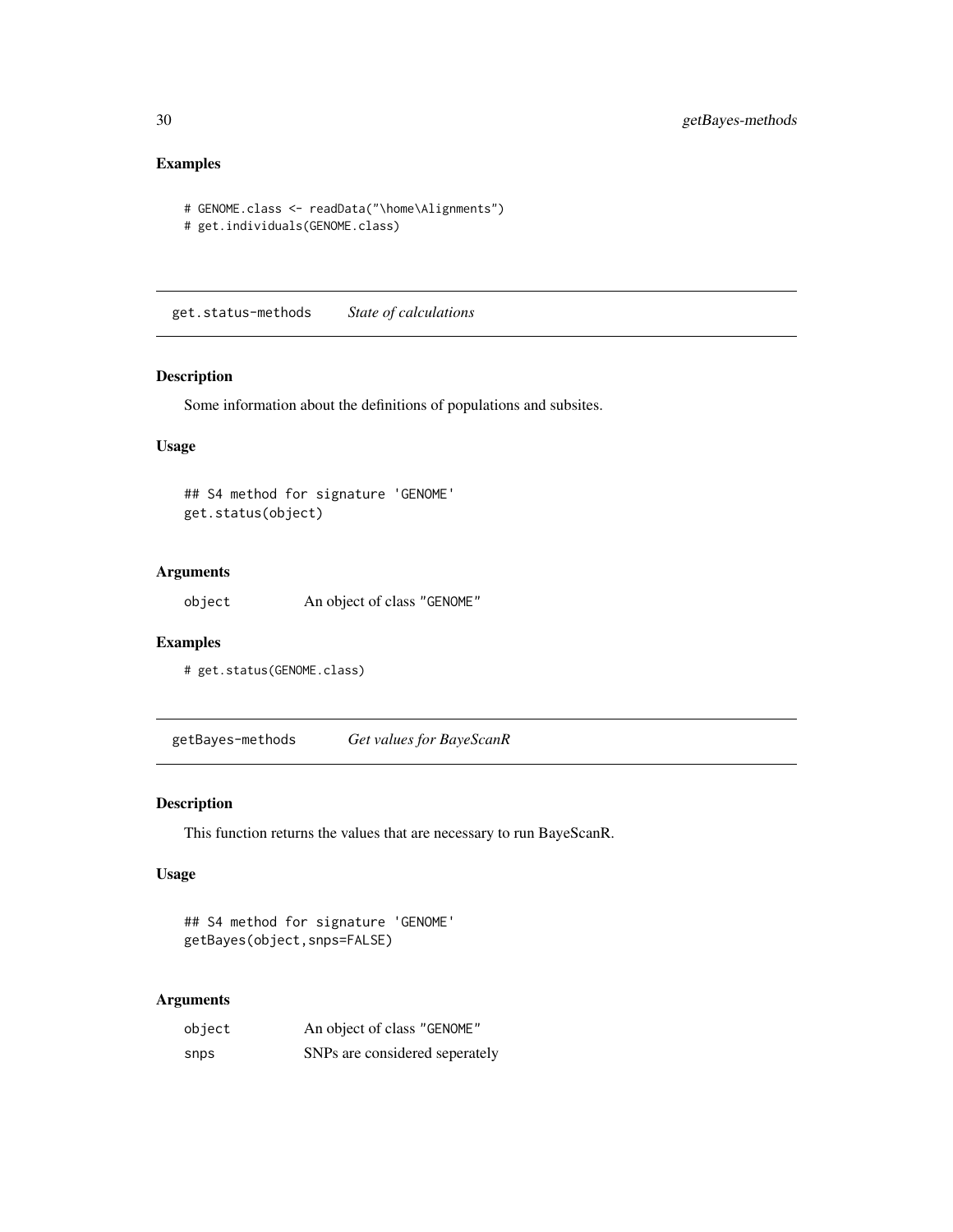# Examples

```
# GENOME.class <- readData("\home\Alignments")
# get.individuals(GENOME.class)
```
get.status-methods *State of calculations*

# Description

Some information about the definitions of populations and subsites.

# Usage

```
## S4 method for signature 'GENOME'
get.status(object)
```
# Arguments

object An object of class "GENOME"

# Examples

```
# get.status(GENOME.class)
```
getBayes-methods *Get values for BayeScanR*

# Description

This function returns the values that are necessary to run BayeScanR.

# Usage

```
## S4 method for signature 'GENOME'
getBayes(object,snps=FALSE)
```

| object | An object of class "GENOME"    |
|--------|--------------------------------|
| snps   | SNPs are considered seperately |

<span id="page-29-0"></span>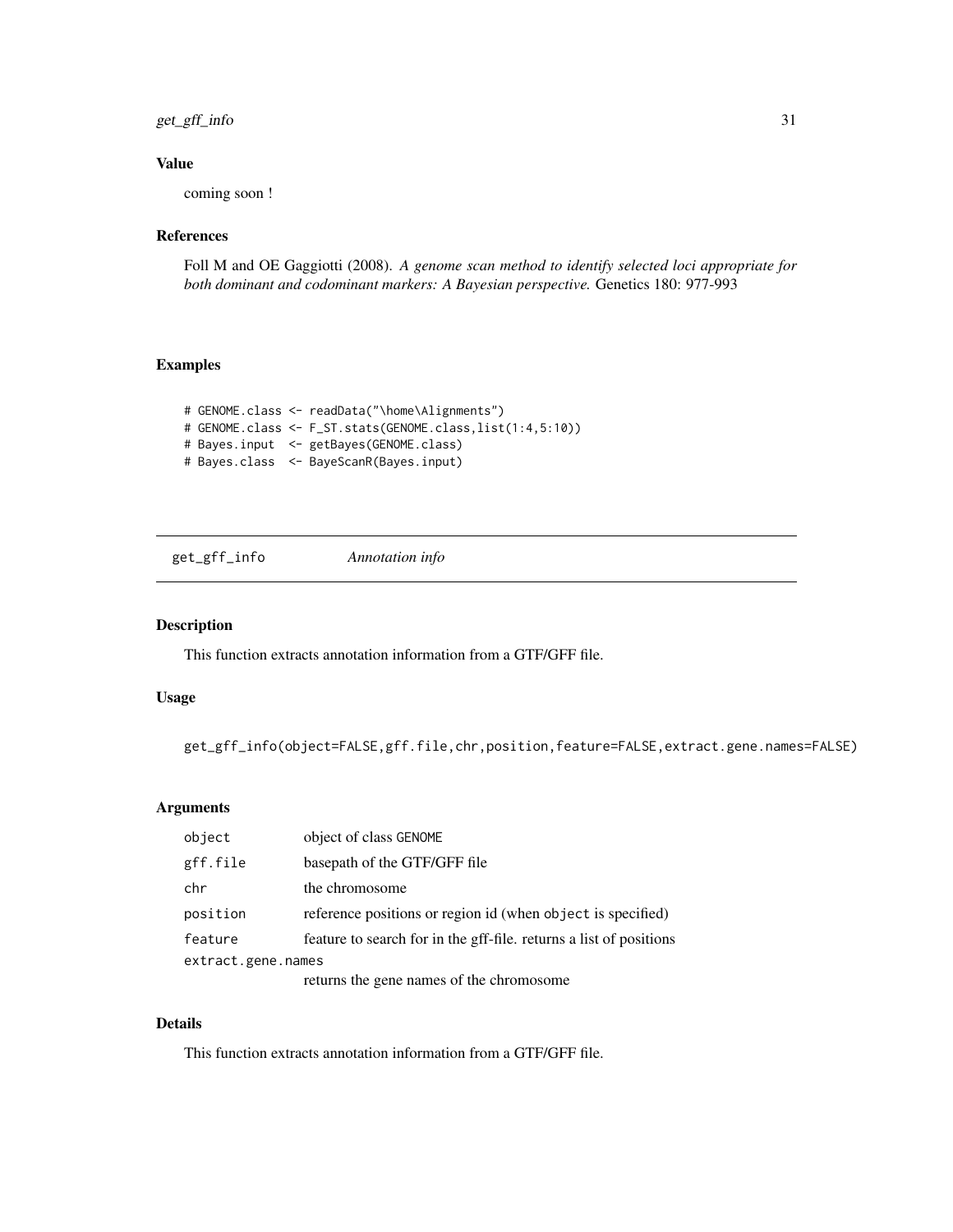<span id="page-30-0"></span>get\_gff\_info 31

# Value

coming soon !

# References

Foll M and OE Gaggiotti (2008). *A genome scan method to identify selected loci appropriate for both dominant and codominant markers: A Bayesian perspective.* Genetics 180: 977-993

# Examples

```
# GENOME.class <- readData("\home\Alignments")
# GENOME.class <- F_ST.stats(GENOME.class,list(1:4,5:10))
# Bayes.input <- getBayes(GENOME.class)
# Bayes.class <- BayeScanR(Bayes.input)
```
get\_gff\_info *Annotation info*

#### Description

This function extracts annotation information from a GTF/GFF file.

#### Usage

get\_gff\_info(object=FALSE,gff.file,chr,position,feature=FALSE,extract.gene.names=FALSE)

#### Arguments

| object             | object of class GENOME                                             |  |
|--------------------|--------------------------------------------------------------------|--|
| gff.file           | basepath of the GTF/GFF file                                       |  |
| chr                | the chromosome                                                     |  |
| position           | reference positions or region id (when object is specified)        |  |
| feature            | feature to search for in the gff-file, returns a list of positions |  |
| extract.gene.names |                                                                    |  |
|                    | returns the gene names of the chromosome                           |  |

# Details

This function extracts annotation information from a GTF/GFF file.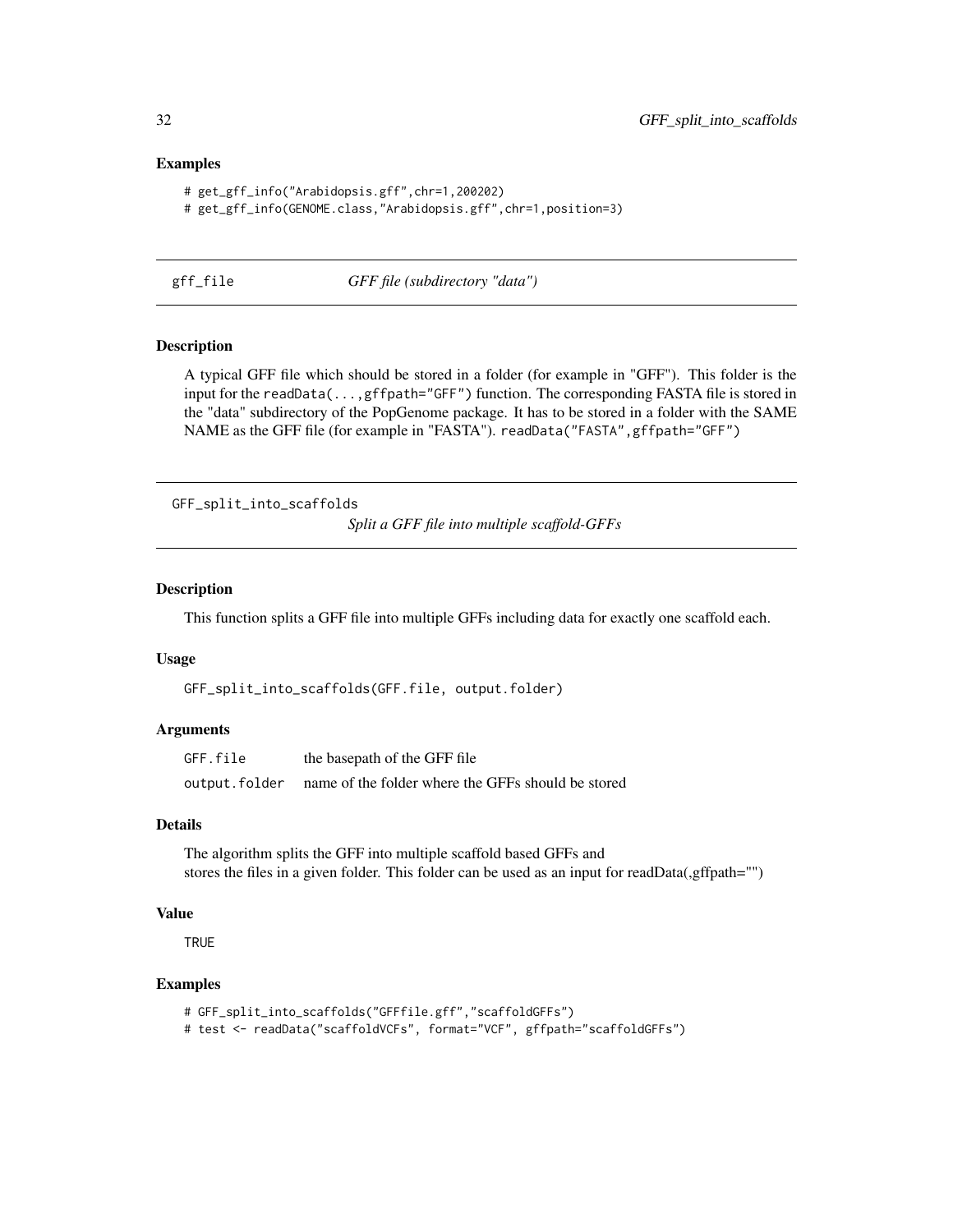#### Examples

```
# get_gff_info("Arabidopsis.gff",chr=1,200202)
# get_gff_info(GENOME.class,"Arabidopsis.gff",chr=1,position=3)
```
gff\_file *GFF file (subdirectory "data")*

#### Description

A typical GFF file which should be stored in a folder (for example in "GFF"). This folder is the input for the readData(...,gffpath="GFF") function. The corresponding FASTA file is stored in the "data" subdirectory of the PopGenome package. It has to be stored in a folder with the SAME NAME as the GFF file (for example in "FASTA"). readData("FASTA",gffpath="GFF")

GFF\_split\_into\_scaffolds

*Split a GFF file into multiple scaffold-GFFs*

# Description

This function splits a GFF file into multiple GFFs including data for exactly one scaffold each.

### Usage

```
GFF_split_into_scaffolds(GFF.file, output.folder)
```
#### Arguments

| GFF.file      | the basepath of the GFF file                       |
|---------------|----------------------------------------------------|
| output.folder | name of the folder where the GFFs should be stored |

#### Details

The algorithm splits the GFF into multiple scaffold based GFFs and stores the files in a given folder. This folder can be used as an input for readData(,gffpath="")

#### Value

**TRUE** 

#### Examples

```
# GFF_split_into_scaffolds("GFFfile.gff","scaffoldGFFs")
# test <- readData("scaffoldVCFs", format="VCF", gffpath="scaffoldGFFs")
```
<span id="page-31-0"></span>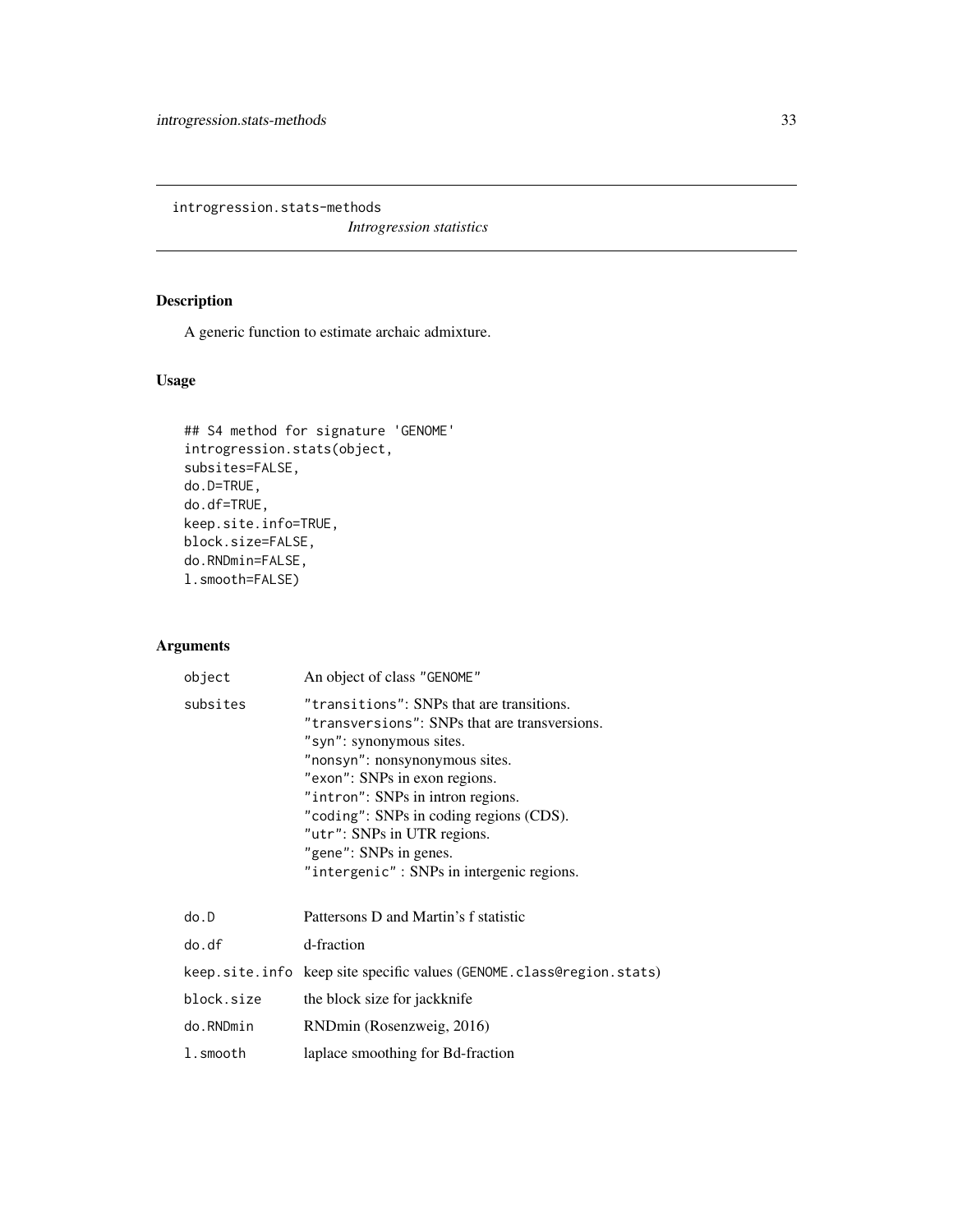<span id="page-32-0"></span>introgression.stats-methods

*Introgression statistics*

# Description

A generic function to estimate archaic admixture.

# Usage

```
## S4 method for signature 'GENOME'
introgression.stats(object,
subsites=FALSE,
do.D=TRUE,
do.df=TRUE,
keep.site.info=TRUE,
block.size=FALSE,
do.RNDmin=FALSE,
l.smooth=FALSE)
```

| object     | An object of class "GENOME"                                                                                                                                                                                                                                                                                                                                                     |
|------------|---------------------------------------------------------------------------------------------------------------------------------------------------------------------------------------------------------------------------------------------------------------------------------------------------------------------------------------------------------------------------------|
| subsites   | "transitions": SNPs that are transitions.<br>"transversions": SNPs that are transversions.<br>"syn": synonymous sites.<br>"nonsyn": nonsynonymous sites.<br>"exon": SNPs in exon regions.<br>"intron": SNPs in intron regions.<br>"coding": SNPs in coding regions (CDS).<br>"utr": SNPs in UTR regions.<br>"gene": SNPs in genes.<br>"intergenic": SNPs in intergenic regions. |
| do.D       | Pattersons D and Martin's f statistic                                                                                                                                                                                                                                                                                                                                           |
| do.df      | d-fraction                                                                                                                                                                                                                                                                                                                                                                      |
|            | keep.site.info keep site specific values (GENOME.class@region.stats)                                                                                                                                                                                                                                                                                                            |
| block.size | the block size for jackknife                                                                                                                                                                                                                                                                                                                                                    |
| do.RNDmin  | RNDmin (Rosenzweig, 2016)                                                                                                                                                                                                                                                                                                                                                       |
| l.smooth   | laplace smoothing for Bd-fraction                                                                                                                                                                                                                                                                                                                                               |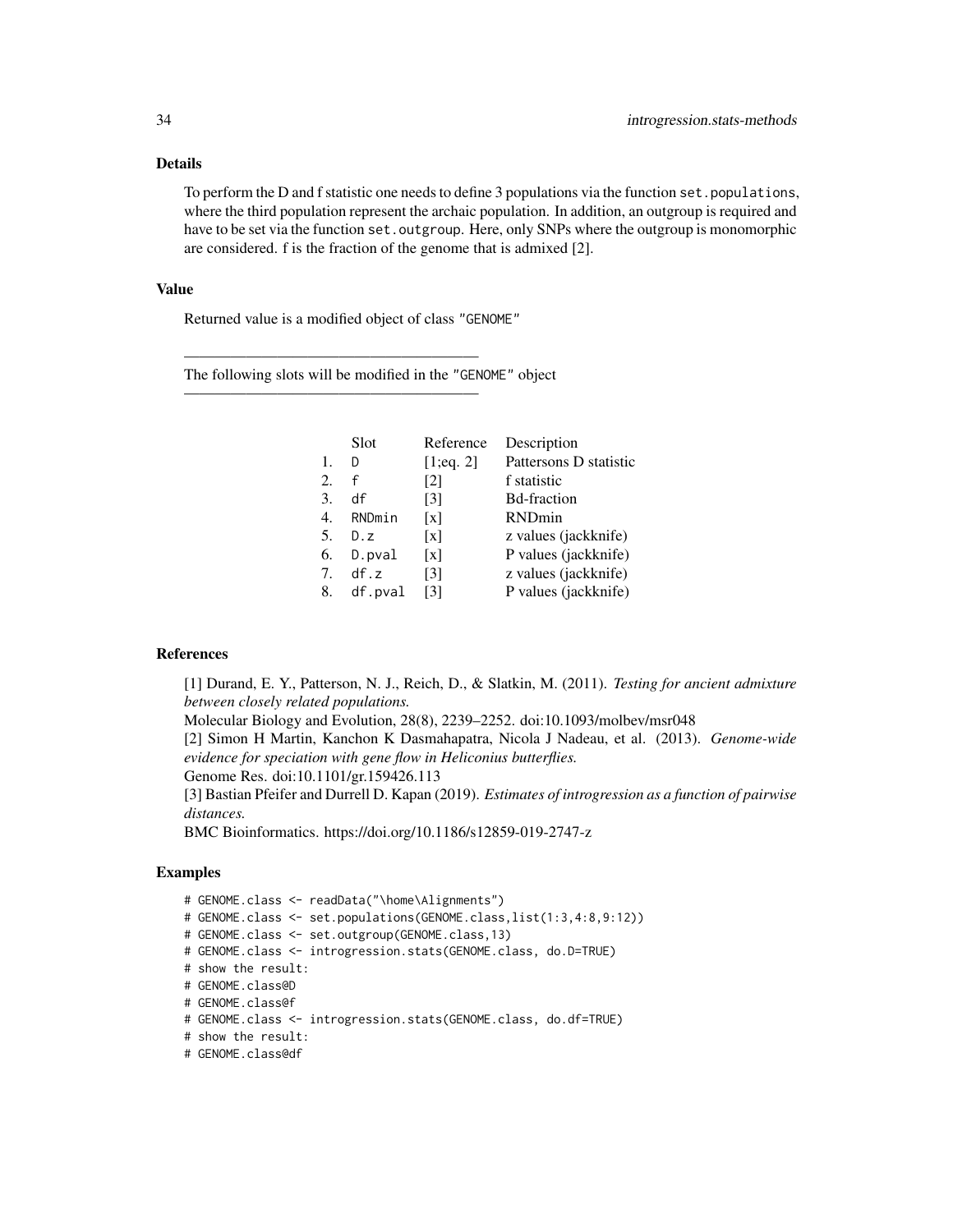# Details

To perform the D and f statistic one needs to define 3 populations via the function set.populations, where the third population represent the archaic population. In addition, an outgroup is required and have to be set via the function set.outgroup. Here, only SNPs where the outgroup is monomorphic are considered. f is the fraction of the genome that is admixed [2].

#### Value

Returned value is a modified object of class "GENOME"

———————————————————

———————————————————

The following slots will be modified in the "GENOME" object

|    | Slot      | Reference         | Description            |
|----|-----------|-------------------|------------------------|
| 1. | D         | [1;eq. 2]         | Pattersons D statistic |
| 2. | f         | $\lceil 2 \rceil$ | f statistic            |
| 3. | df        | $\lceil 3 \rceil$ | <b>Bd-fraction</b>     |
| 4. | RNDmin    | $\lceil x \rceil$ | RNDmin                 |
| 5. | D.z       | $\lceil x \rceil$ | z values (jackknife)   |
| 6. | $D.$ pval | $\lceil x \rceil$ | P values (jackknife)   |
| 7. | df.z      | [3]               | z values (jackknife)   |
| 8. | df.pval   | [3]               | P values (jackknife)   |
|    |           |                   |                        |

#### References

[1] Durand, E. Y., Patterson, N. J., Reich, D., & Slatkin, M. (2011). *Testing for ancient admixture between closely related populations.*

Molecular Biology and Evolution, 28(8), 2239–2252. doi:10.1093/molbev/msr048

[2] Simon H Martin, Kanchon K Dasmahapatra, Nicola J Nadeau, et al. (2013). *Genome-wide evidence for speciation with gene flow in Heliconius butterflies.*

Genome Res. doi:10.1101/gr.159426.113

[3] Bastian Pfeifer and Durrell D. Kapan (2019). *Estimates of introgression as a function of pairwise distances.*

BMC Bioinformatics. https://doi.org/10.1186/s12859-019-2747-z

# Examples

# GENOME.class <- readData("\home\Alignments") # GENOME.class <- set.populations(GENOME.class,list(1:3,4:8,9:12)) # GENOME.class <- set.outgroup(GENOME.class,13) # GENOME.class <- introgression.stats(GENOME.class, do.D=TRUE) # show the result: # GENOME.class@D # GENOME.class@f # GENOME.class <- introgression.stats(GENOME.class, do.df=TRUE) # show the result: # GENOME.class@df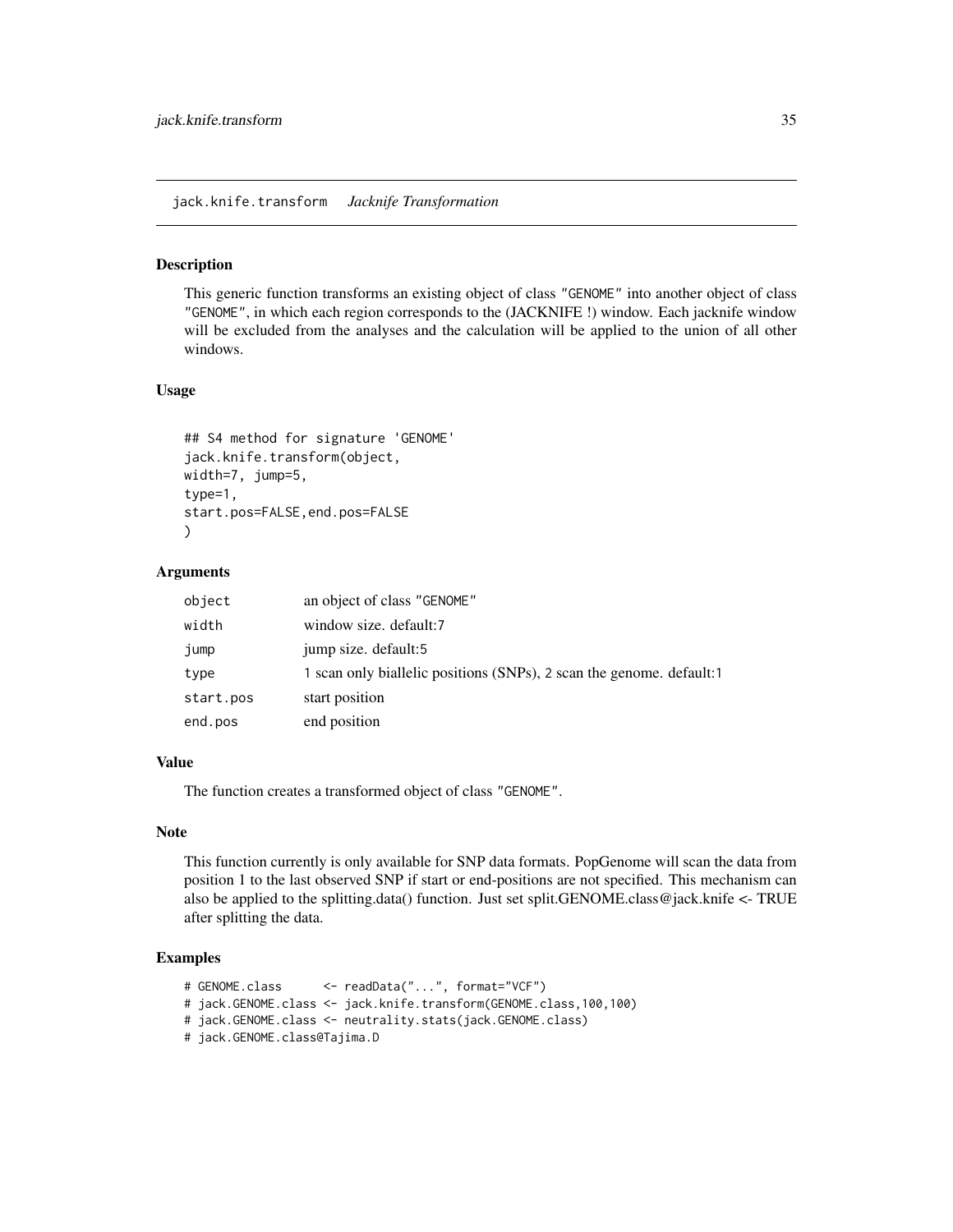<span id="page-34-0"></span>jack.knife.transform *Jacknife Transformation*

# Description

This generic function transforms an existing object of class "GENOME" into another object of class "GENOME", in which each region corresponds to the (JACKNIFE !) window. Each jacknife window will be excluded from the analyses and the calculation will be applied to the union of all other windows.

#### Usage

```
## S4 method for signature 'GENOME'
jack.knife.transform(object,
width=7, jump=5,
type=1,
start.pos=FALSE,end.pos=FALSE
\lambda
```
# Arguments

| object    | an object of class "GENOME"                                          |
|-----------|----------------------------------------------------------------------|
| width     | window size. default:7                                               |
| jump      | jump size. default:5                                                 |
| type      | 1 scan only biallelic positions (SNPs), 2 scan the genome. default:1 |
| start.pos | start position                                                       |
| end.pos   | end position                                                         |

# Value

The function creates a transformed object of class "GENOME".

### Note

This function currently is only available for SNP data formats. PopGenome will scan the data from position 1 to the last observed SNP if start or end-positions are not specified. This mechanism can also be applied to the splitting.data() function. Just set split.GENOME.class@jack.knife <- TRUE after splitting the data.

# Examples

```
# GENOME.class <- readData("...", format="VCF")
# jack.GENOME.class <- jack.knife.transform(GENOME.class,100,100)
# jack.GENOME.class <- neutrality.stats(jack.GENOME.class)
# jack.GENOME.class@Tajima.D
```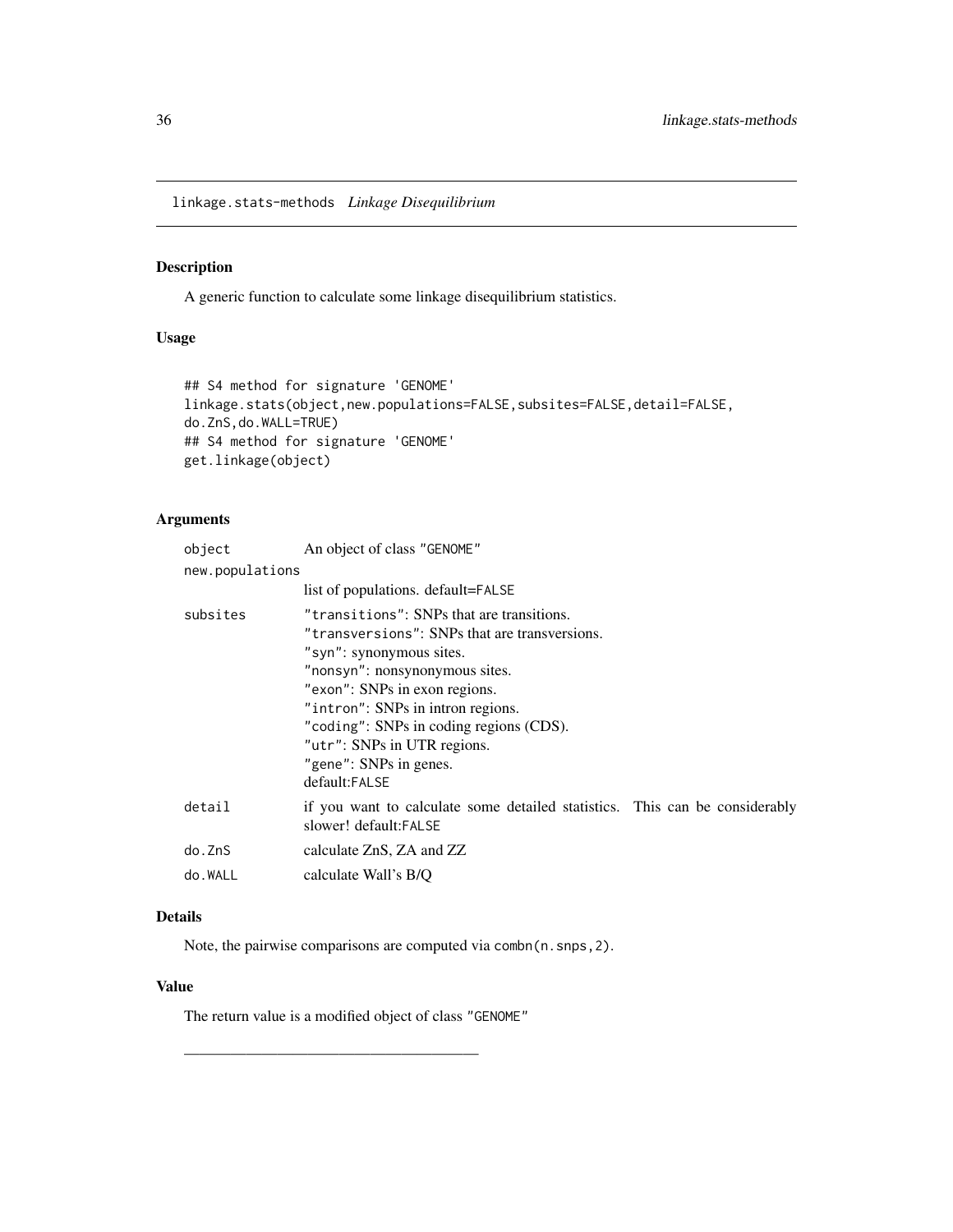<span id="page-35-0"></span>linkage.stats-methods *Linkage Disequilibrium*

# Description

A generic function to calculate some linkage disequilibrium statistics.

# Usage

```
## S4 method for signature 'GENOME'
linkage.stats(object,new.populations=FALSE,subsites=FALSE,detail=FALSE,
do.ZnS,do.WALL=TRUE)
## S4 method for signature 'GENOME'
get.linkage(object)
```
# Arguments

| object          | An object of class "GENOME"                                                                                                                                                                                                                                                                                                                         |  |  |
|-----------------|-----------------------------------------------------------------------------------------------------------------------------------------------------------------------------------------------------------------------------------------------------------------------------------------------------------------------------------------------------|--|--|
| new.populations |                                                                                                                                                                                                                                                                                                                                                     |  |  |
|                 | list of populations. default=FALSE                                                                                                                                                                                                                                                                                                                  |  |  |
| subsites        | "transitions": SNPs that are transitions.<br>"transversions": SNPs that are transversions.<br>"syn": synonymous sites.<br>"nonsyn": nonsynonymous sites.<br>"exon": SNPs in exon regions.<br>"intron": SNPs in intron regions.<br>"coding": SNPs in coding regions (CDS).<br>"utr": SNPs in UTR regions.<br>"gene": SNPs in genes.<br>default:FALSE |  |  |
| detail          | if you want to calculate some detailed statistics. This can be considerably<br>slower! default:FALSE                                                                                                                                                                                                                                                |  |  |
| do.ZnS          | calculate ZnS, ZA and ZZ                                                                                                                                                                                                                                                                                                                            |  |  |
| do.WALL         | calculate Wall's B/Q                                                                                                                                                                                                                                                                                                                                |  |  |

# Details

Note, the pairwise comparisons are computed via combn(n.snps,2).

### Value

The return value is a modified object of class "GENOME"

———————————————————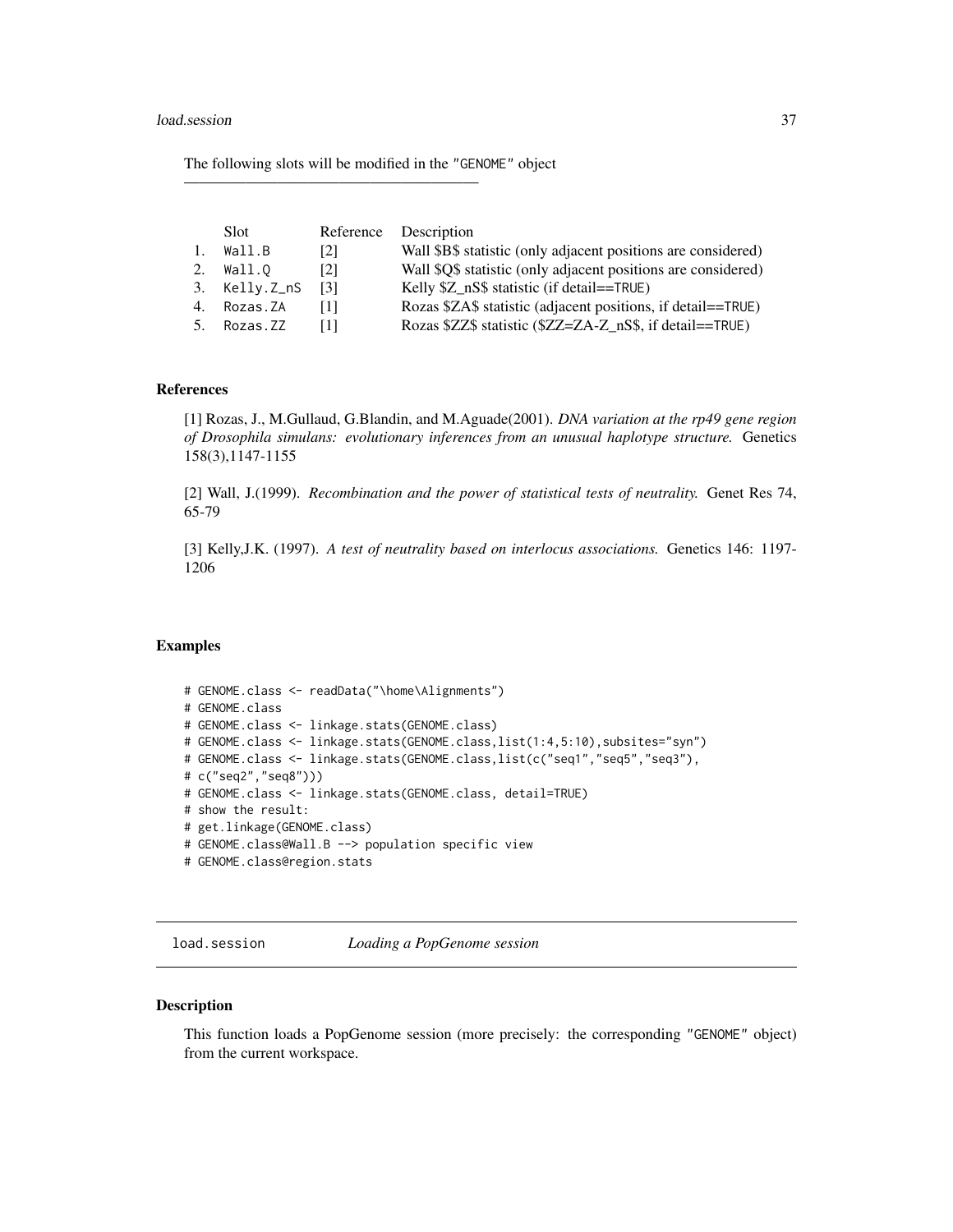The following slots will be modified in the "GENOME" object

———————————————————

|    | Slot          |     | Reference Description                                         |
|----|---------------|-----|---------------------------------------------------------------|
| 1. | Wall.B        | [2] | Wall \$B\$ statistic (only adjacent positions are considered) |
|    | Wall.O        | [2] | Wall \$Q\$ statistic (only adjacent positions are considered) |
|    | 3. Kelly.Z_nS | [3] | Kelly \$Z nS\$ statistic (if detail==TRUE)                    |
| 4. | Rozas.ZA      | Ш   | Rozas \$ZA\$ statistic (adjacent positions, if detail==TRUE)  |
|    | Rozas.ZZ      | -11 | Rozas \$ZZ\$ statistic (\$ZZ=ZA-Z nS\$, if detail==TRUE)      |

#### References

[1] Rozas, J., M.Gullaud, G.Blandin, and M.Aguade(2001). *DNA variation at the rp49 gene region of Drosophila simulans: evolutionary inferences from an unusual haplotype structure.* Genetics 158(3),1147-1155

[2] Wall, J.(1999). *Recombination and the power of statistical tests of neutrality.* Genet Res 74, 65-79

[3] Kelly,J.K. (1997). *A test of neutrality based on interlocus associations.* Genetics 146: 1197- 1206

#### Examples

```
# GENOME.class <- readData("\home\Alignments")
# GENOME.class
# GENOME.class <- linkage.stats(GENOME.class)
# GENOME.class <- linkage.stats(GENOME.class,list(1:4,5:10),subsites="syn")
# GENOME.class <- linkage.stats(GENOME.class,list(c("seq1","seq5","seq3"),
# c("seq2","seq8")))
# GENOME.class <- linkage.stats(GENOME.class, detail=TRUE)
# show the result:
# get.linkage(GENOME.class)
# GENOME.class@Wall.B --> population specific view
# GENOME.class@region.stats
```
load.session *Loading a PopGenome session*

#### Description

This function loads a PopGenome session (more precisely: the corresponding "GENOME" object) from the current workspace.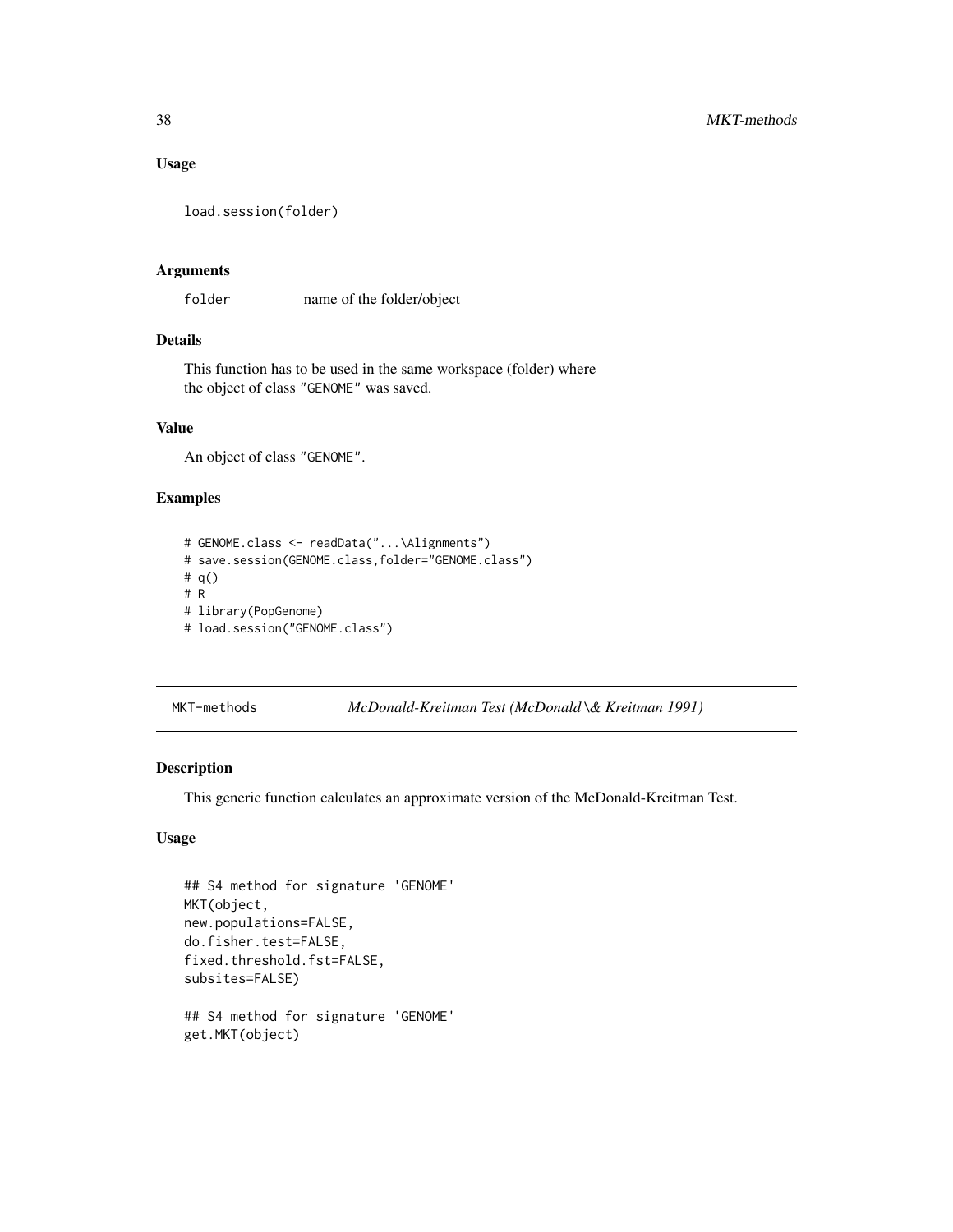## Usage

```
load.session(folder)
```
#### Arguments

folder name of the folder/object

# Details

This function has to be used in the same workspace (folder) where the object of class "GENOME" was saved.

#### Value

An object of class "GENOME".

# Examples

```
# GENOME.class <- readData("...\Alignments")
# save.session(GENOME.class,folder="GENOME.class")
# q()
# R
# library(PopGenome)
# load.session("GENOME.class")
```
MKT-methods *McDonald-Kreitman Test (McDonald \& Kreitman 1991)*

## Description

This generic function calculates an approximate version of the McDonald-Kreitman Test.

# Usage

```
## S4 method for signature 'GENOME'
MKT(object,
new.populations=FALSE,
do.fisher.test=FALSE,
fixed.threshold.fst=FALSE,
subsites=FALSE)
## S4 method for signature 'GENOME'
get.MKT(object)
```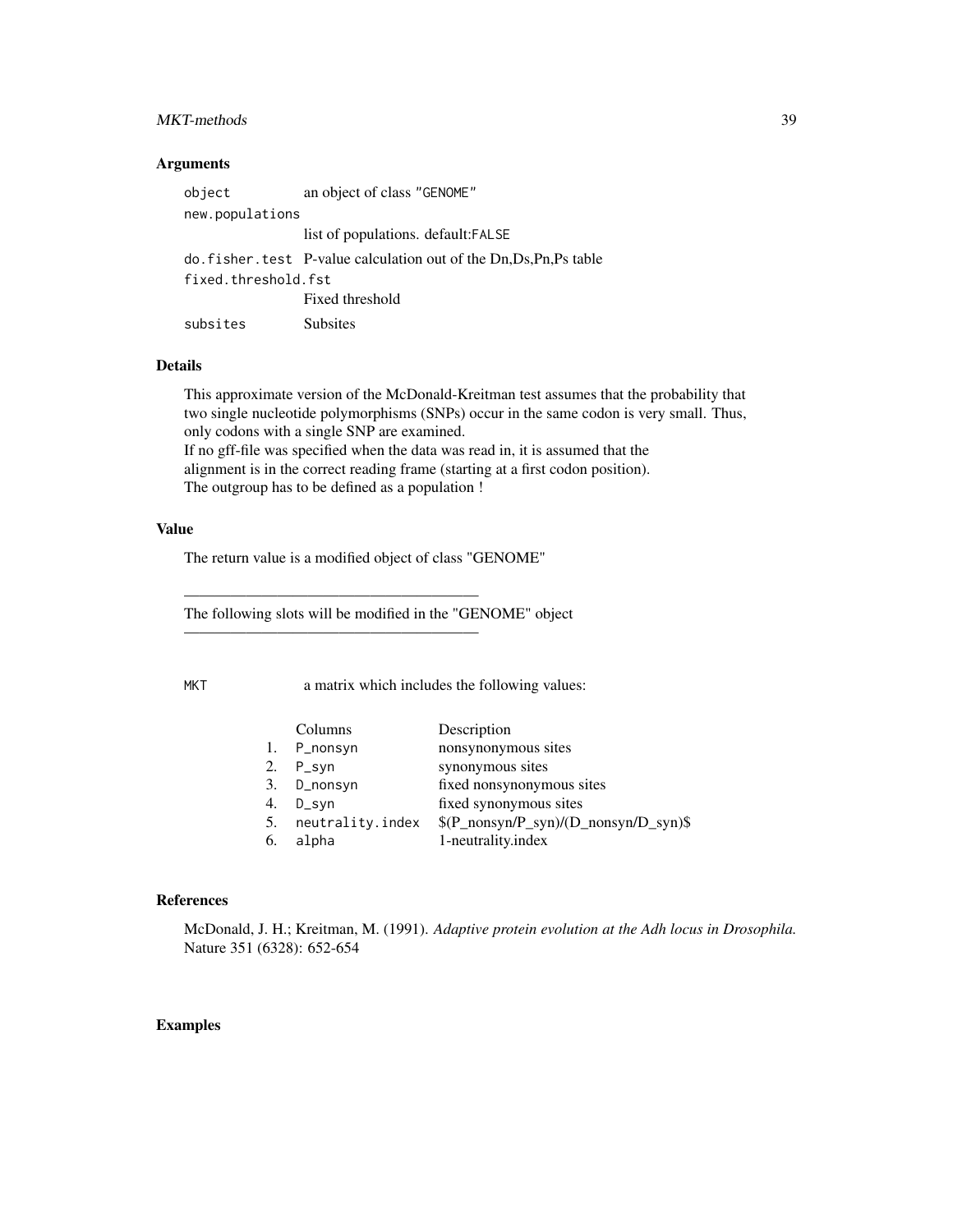## MKT-methods 39

#### Arguments

| object              | an object of class "GENOME"                                          |
|---------------------|----------------------------------------------------------------------|
| new.populations     |                                                                      |
|                     | list of populations. default: FALSE                                  |
|                     | do. fisher. test P-value calculation out of the Dn, Ds, Pn, Ps table |
| fixed.threshold.fst |                                                                      |
|                     | Fixed threshold                                                      |
| subsites            | <b>Subsites</b>                                                      |

#### Details

This approximate version of the McDonald-Kreitman test assumes that the probability that two single nucleotide polymorphisms (SNPs) occur in the same codon is very small. Thus, only codons with a single SNP are examined. If no gff-file was specified when the data was read in, it is assumed that the alignment is in the correct reading frame (starting at a first codon position). The outgroup has to be defined as a population !

#### Value

The return value is a modified object of class "GENOME"

———————————————————

———————————————————

The following slots will be modified in the "GENOME" object

MKT a matrix which includes the following values:

|    | Columns          | Description                            |
|----|------------------|----------------------------------------|
| 1. | P_nonsyn         | nonsynonymous sites                    |
|    | 2. P_syn         | synonymous sites                       |
|    | 3. D_nonsyn      | fixed nonsynonymous sites              |
| 4. | $D$ _syn         | fixed synonymous sites                 |
| 5. | neutrality.index | $(P_nonsyn/P_syn)/(D_nonsyn/D_syn)$ \$ |
| 6. | alpha            | 1-neutrality.index                     |

#### References

McDonald, J. H.; Kreitman, M. (1991). *Adaptive protein evolution at the Adh locus in Drosophila.* Nature 351 (6328): 652-654

## Examples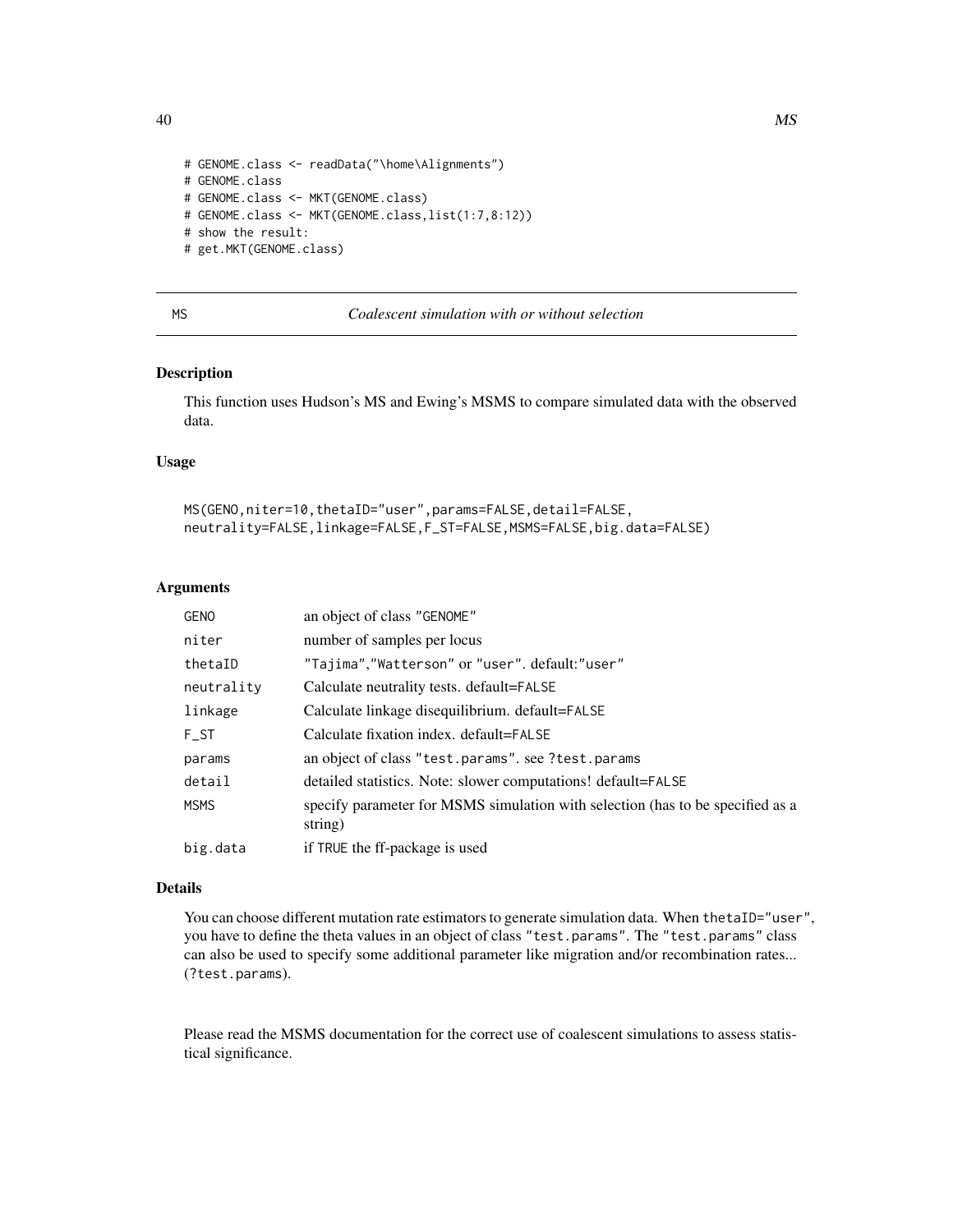```
# GENOME.class <- readData("\home\Alignments")
# GENOME.class
# GENOME.class <- MKT(GENOME.class)
# GENOME.class <- MKT(GENOME.class,list(1:7,8:12))
# show the result:
# get.MKT(GENOME.class)
```
<span id="page-39-0"></span>

# MS *Coalescent simulation with or without selection*

#### Description

This function uses Hudson's MS and Ewing's MSMS to compare simulated data with the observed data.

## Usage

```
MS(GENO,niter=10,thetaID="user",params=FALSE,detail=FALSE,
neutrality=FALSE,linkage=FALSE,F_ST=FALSE,MSMS=FALSE,big.data=FALSE)
```
#### Arguments

| <b>GENO</b> | an object of class "GENOME"                                                               |
|-------------|-------------------------------------------------------------------------------------------|
| niter       | number of samples per locus                                                               |
| thetaID     | "Tajima","Watterson" or "user". default:"user"                                            |
| neutrality  | Calculate neutrality tests. default=FALSE                                                 |
| linkage     | Calculate linkage disequilibrium. default=FALSE                                           |
| F ST        | Calculate fixation index. default=FALSE                                                   |
| params      | an object of class "test.params". see ?test.params                                        |
| detail      | detailed statistics. Note: slower computations! default=FALSE                             |
| <b>MSMS</b> | specify parameter for MSMS simulation with selection (has to be specified as a<br>string) |
| big.data    | if TRUE the ff-package is used                                                            |

#### Details

You can choose different mutation rate estimators to generate simulation data. When thetaID="user", you have to define the theta values in an object of class "test.params". The "test.params" class can also be used to specify some additional parameter like migration and/or recombination rates... (?test.params).

Please read the MSMS documentation for the correct use of coalescent simulations to assess statistical significance.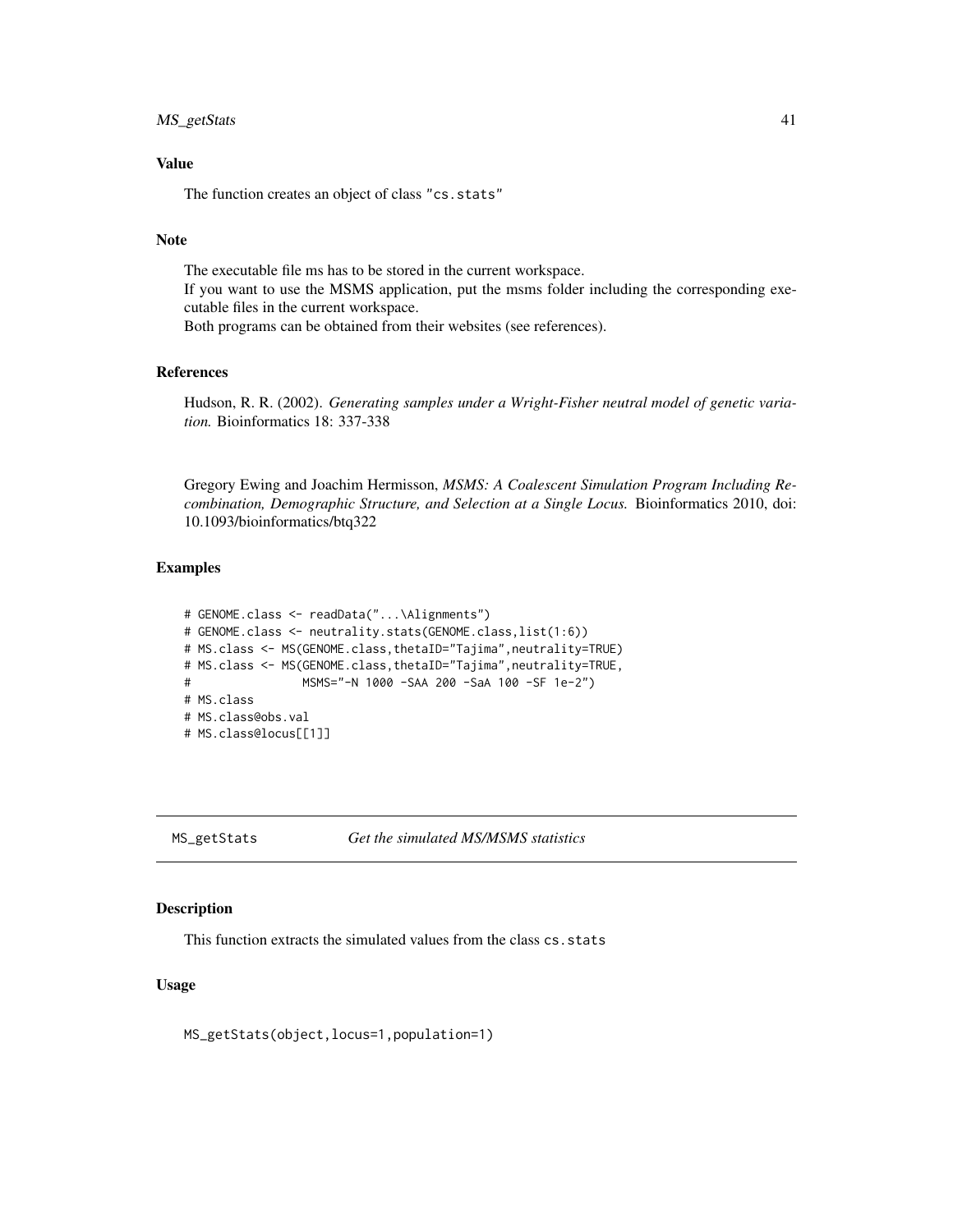## MS\_getStats 41

## Value

The function creates an object of class "cs.stats"

## Note

The executable file ms has to be stored in the current workspace. If you want to use the MSMS application, put the msms folder including the corresponding executable files in the current workspace. Both programs can be obtained from their websites (see references).

## References

Hudson, R. R. (2002). *Generating samples under a Wright-Fisher neutral model of genetic variation.* Bioinformatics 18: 337-338

Gregory Ewing and Joachim Hermisson, *MSMS: A Coalescent Simulation Program Including Recombination, Demographic Structure, and Selection at a Single Locus.* Bioinformatics 2010, doi: 10.1093/bioinformatics/btq322

#### Examples

```
# GENOME.class <- readData("...\Alignments")
# GENOME.class <- neutrality.stats(GENOME.class,list(1:6))
# MS.class <- MS(GENOME.class,thetaID="Tajima",neutrality=TRUE)
# MS.class <- MS(GENOME.class,thetaID="Tajima",neutrality=TRUE,
# MSMS="-N 1000 -SAA 200 -SaA 100 -SF 1e-2")
# MS.class
# MS.class@obs.val
# MS.class@locus[[1]]
```
MS\_getStats *Get the simulated MS/MSMS statistics*

## Description

This function extracts the simulated values from the class cs.stats

#### Usage

MS\_getStats(object,locus=1,population=1)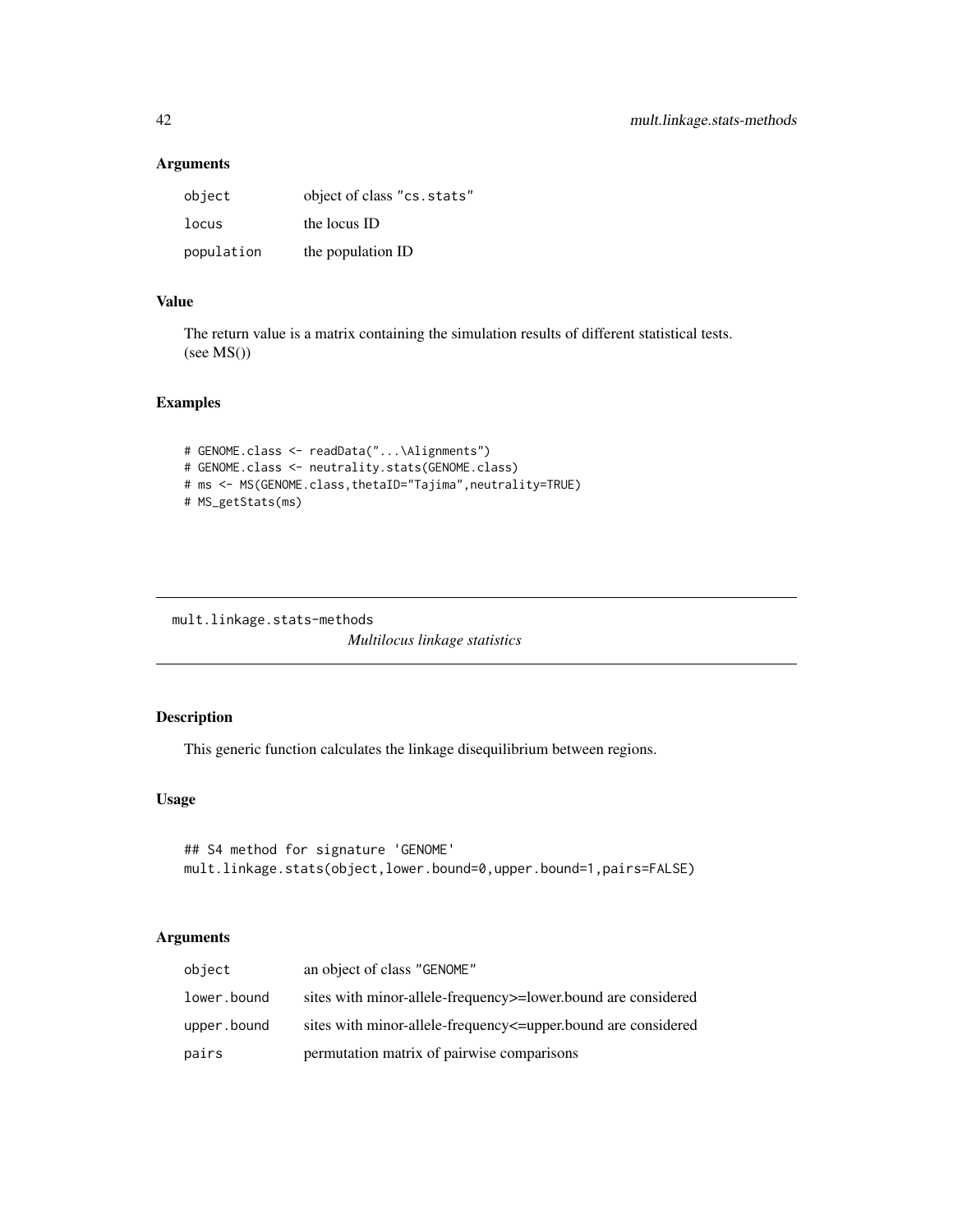## Arguments

| object     | object of class "cs.stats" |
|------------|----------------------------|
| locus      | the locus ID               |
| population | the population ID          |

# Value

The return value is a matrix containing the simulation results of different statistical tests.  $(see MS() )$ 

# Examples

```
# GENOME.class <- readData("...\Alignments")
# GENOME.class <- neutrality.stats(GENOME.class)
# ms <- MS(GENOME.class,thetaID="Tajima",neutrality=TRUE)
# MS_getStats(ms)
```

```
mult.linkage.stats-methods
                         Multilocus linkage statistics
```
# Description

This generic function calculates the linkage disequilibrium between regions.

## Usage

```
## S4 method for signature 'GENOME'
mult.linkage.stats(object,lower.bound=0,upper.bound=1,pairs=FALSE)
```
## Arguments

| object      | an object of class "GENOME"                                     |
|-------------|-----------------------------------------------------------------|
| lower.bound | sites with minor-allele-frequency >= lower bound are considered |
| upper.bound | sites with minor-allele-frequency supper-bound are considered   |
| pairs       | permutation matrix of pairwise comparisons                      |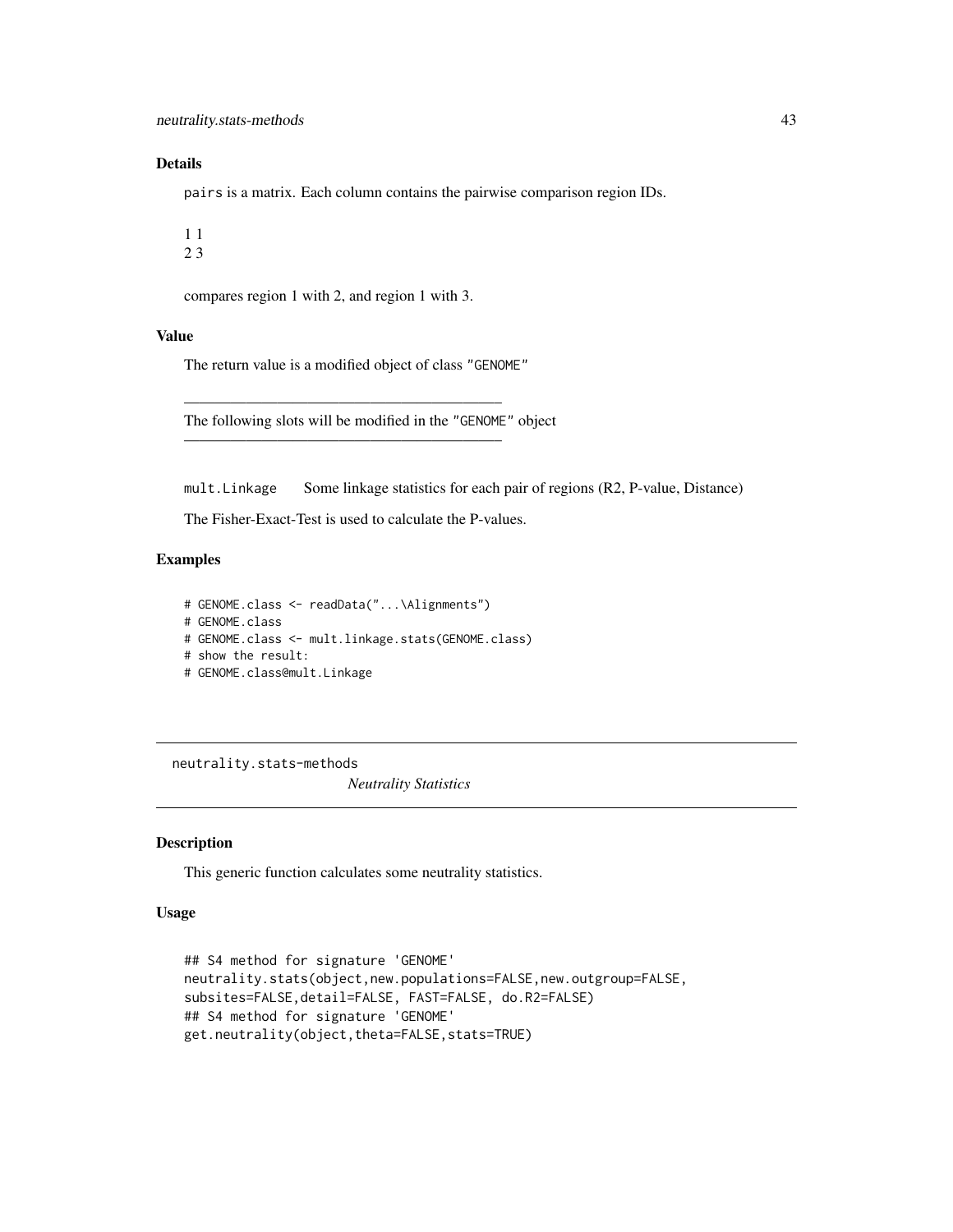## Details

pairs is a matrix. Each column contains the pairwise comparison region IDs.

compares region 1 with 2, and region 1 with 3.

## Value

The return value is a modified object of class "GENOME"

————————————————————–

————————————————————–

The following slots will be modified in the "GENOME" object

mult.Linkage Some linkage statistics for each pair of regions (R2, P-value, Distance)

The Fisher-Exact-Test is used to calculate the P-values.

#### Examples

```
# GENOME.class <- readData("...\Alignments")
# GENOME.class
# GENOME.class <- mult.linkage.stats(GENOME.class)
# show the result:
# GENOME.class@mult.Linkage
```
neutrality.stats-methods

*Neutrality Statistics*

#### Description

This generic function calculates some neutrality statistics.

## Usage

```
## S4 method for signature 'GENOME'
neutrality.stats(object,new.populations=FALSE,new.outgroup=FALSE,
subsites=FALSE,detail=FALSE, FAST=FALSE, do.R2=FALSE)
## S4 method for signature 'GENOME'
get.neutrality(object,theta=FALSE,stats=TRUE)
```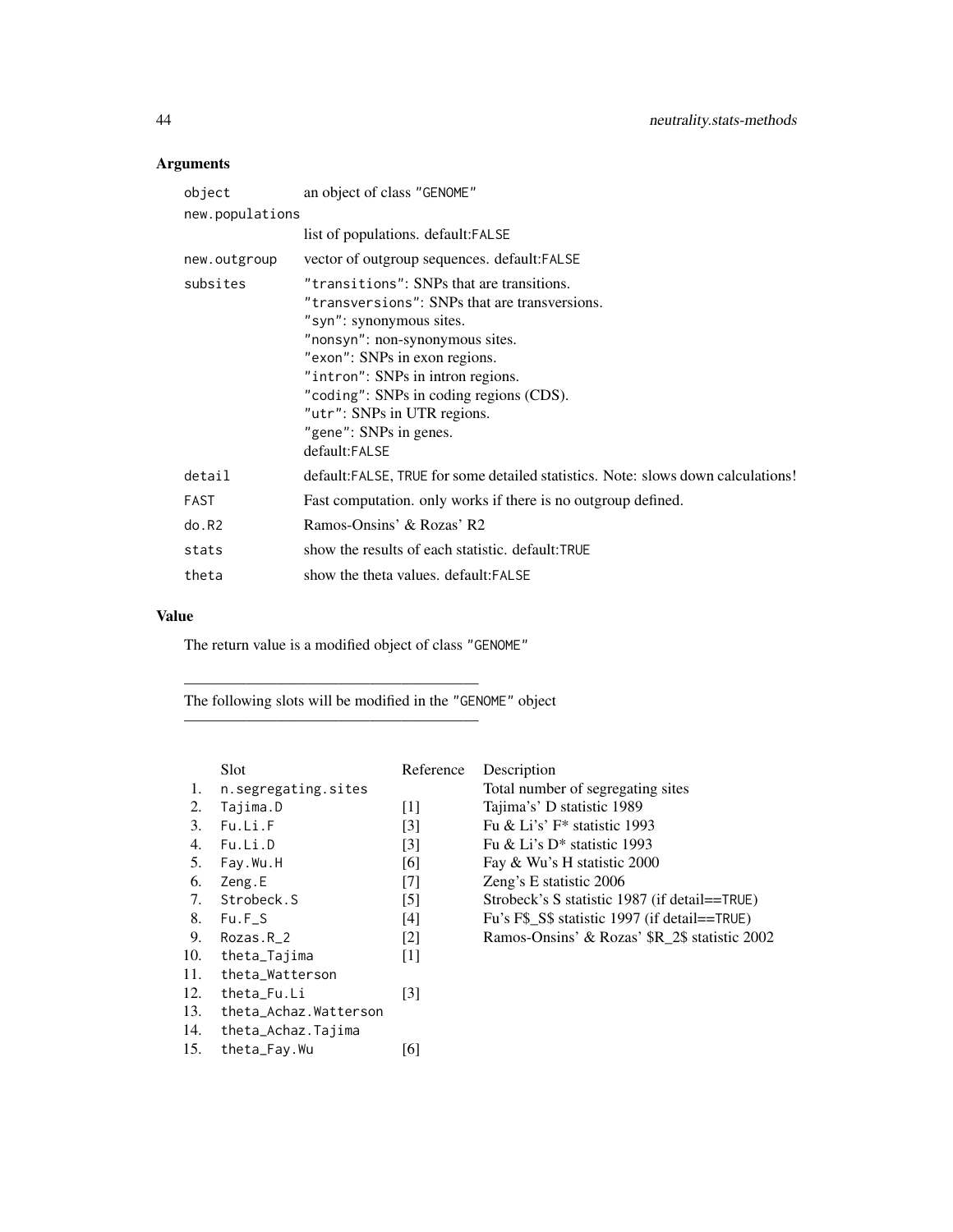# Arguments

| object          | an object of class "GENOME"                                                                                                                                                                                                                                                                                                                          |  |  |
|-----------------|------------------------------------------------------------------------------------------------------------------------------------------------------------------------------------------------------------------------------------------------------------------------------------------------------------------------------------------------------|--|--|
| new.populations |                                                                                                                                                                                                                                                                                                                                                      |  |  |
|                 | list of populations. default: FALSE                                                                                                                                                                                                                                                                                                                  |  |  |
| new.outgroup    | vector of outgroup sequences. default: FALSE                                                                                                                                                                                                                                                                                                         |  |  |
| subsites        | "transitions": SNPs that are transitions.<br>"transversions": SNPs that are transversions.<br>"syn": synonymous sites.<br>"nonsyn": non-synonymous sites.<br>"exon": SNPs in exon regions.<br>"intron": SNPs in intron regions.<br>"coding": SNPs in coding regions (CDS).<br>"utr": SNPs in UTR regions.<br>"gene": SNPs in genes.<br>default:FALSE |  |  |
| detail          | default: FALSE, TRUE for some detailed statistics. Note: slows down calculations!                                                                                                                                                                                                                                                                    |  |  |
| FAST            | Fast computation, only works if there is no outgroup defined.                                                                                                                                                                                                                                                                                        |  |  |
| do.R2           | Ramos-Onsins' & Rozas' R2                                                                                                                                                                                                                                                                                                                            |  |  |
| stats           | show the results of each statistic. default:TRUE                                                                                                                                                                                                                                                                                                     |  |  |
| theta           | show the theta values, default: FALSE                                                                                                                                                                                                                                                                                                                |  |  |

# Value

The return value is a modified object of class "GENOME"

———————————————————

———————————————————

The following slots will be modified in the "GENOME" object

|     | Slot                  | Reference         | Description                                   |
|-----|-----------------------|-------------------|-----------------------------------------------|
| 1.  | n.segregating.sites   |                   | Total number of segregating sites             |
| 2.  | Tajima.D              | $\lceil 1 \rceil$ | Tajima's' D statistic 1989                    |
| 3.  | Fu.Li.F               | $\lceil 3 \rceil$ | Fu & Li's' $F^*$ statistic 1993               |
| 4.  | Fu.Li.D               | $\lceil 3 \rceil$ | Fu & Li's $D^*$ statistic 1993                |
| 5.  | Fay.Wu.H              | [6]               | Fay & Wu's H statistic 2000                   |
| 6.  | Zeng.E                | [7]               | Zeng's E statistic 2006                       |
| 7.  | Strobeck.S            | $\lceil 5 \rceil$ | Strobeck's S statistic 1987 (if detail==TRUE) |
| 8.  | $Fu.F_S$              | [4]               | Fu's F\$_S\$ statistic 1997 (if detail==TRUE) |
| 9.  | Rozas.R 2             | $\lceil 2 \rceil$ | Ramos-Onsins' & Rozas' \$R 2\$ statistic 2002 |
| 10. | theta_Tajima          | $\lceil 1 \rceil$ |                                               |
| 11. | theta_Watterson       |                   |                                               |
| 12. | theta_Fu.Li           | [3]               |                                               |
| 13. | theta_Achaz.Watterson |                   |                                               |
| 14. | theta_Achaz.Tajima    |                   |                                               |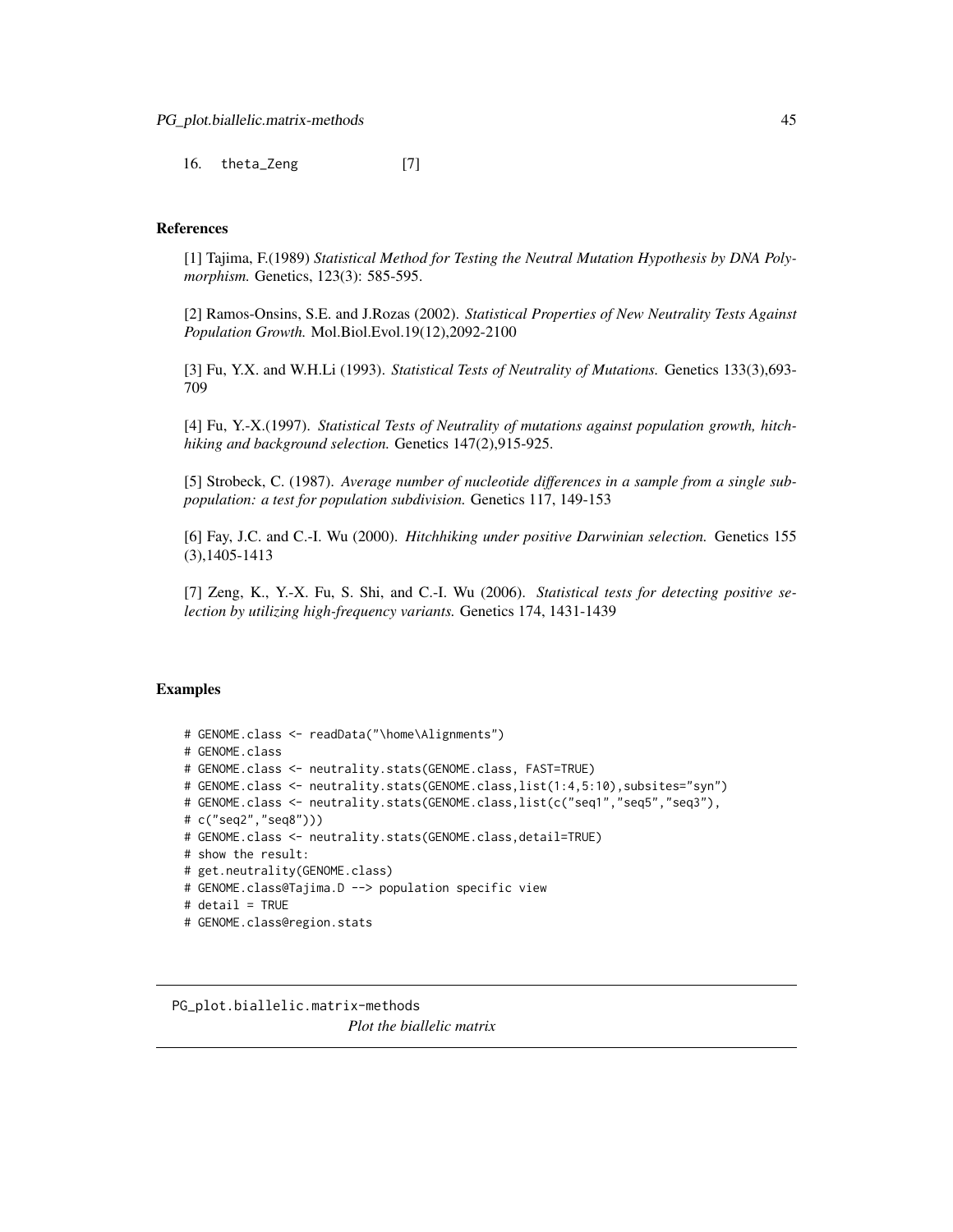16. theta\_Zeng [7]

#### References

[1] Tajima, F.(1989) *Statistical Method for Testing the Neutral Mutation Hypothesis by DNA Polymorphism.* Genetics, 123(3): 585-595.

[2] Ramos-Onsins, S.E. and J.Rozas (2002). *Statistical Properties of New Neutrality Tests Against Population Growth.* Mol.Biol.Evol.19(12),2092-2100

[3] Fu, Y.X. and W.H.Li (1993). *Statistical Tests of Neutrality of Mutations.* Genetics 133(3),693- 709

[4] Fu, Y.-X.(1997). *Statistical Tests of Neutrality of mutations against population growth, hitchhiking and background selection.* Genetics 147(2),915-925.

[5] Strobeck, C. (1987). *Average number of nucleotide differences in a sample from a single subpopulation: a test for population subdivision.* Genetics 117, 149-153

[6] Fay, J.C. and C.-I. Wu (2000). *Hitchhiking under positive Darwinian selection.* Genetics 155 (3),1405-1413

[7] Zeng, K., Y.-X. Fu, S. Shi, and C.-I. Wu (2006). *Statistical tests for detecting positive selection by utilizing high-frequency variants.* Genetics 174, 1431-1439

#### Examples

```
# GENOME.class <- readData("\home\Alignments")
# GENOME.class
# GENOME.class <- neutrality.stats(GENOME.class, FAST=TRUE)
# GENOME.class <- neutrality.stats(GENOME.class,list(1:4,5:10),subsites="syn")
# GENOME.class <- neutrality.stats(GENOME.class,list(c("seq1","seq5","seq3"),
# c("seq2","seq8")))
# GENOME.class <- neutrality.stats(GENOME.class,detail=TRUE)
# show the result:
# get.neutrality(GENOME.class)
# GENOME.class@Tajima.D --> population specific view
# detail = TRUE
# GENOME.class@region.stats
```
PG\_plot.biallelic.matrix-methods *Plot the biallelic matrix*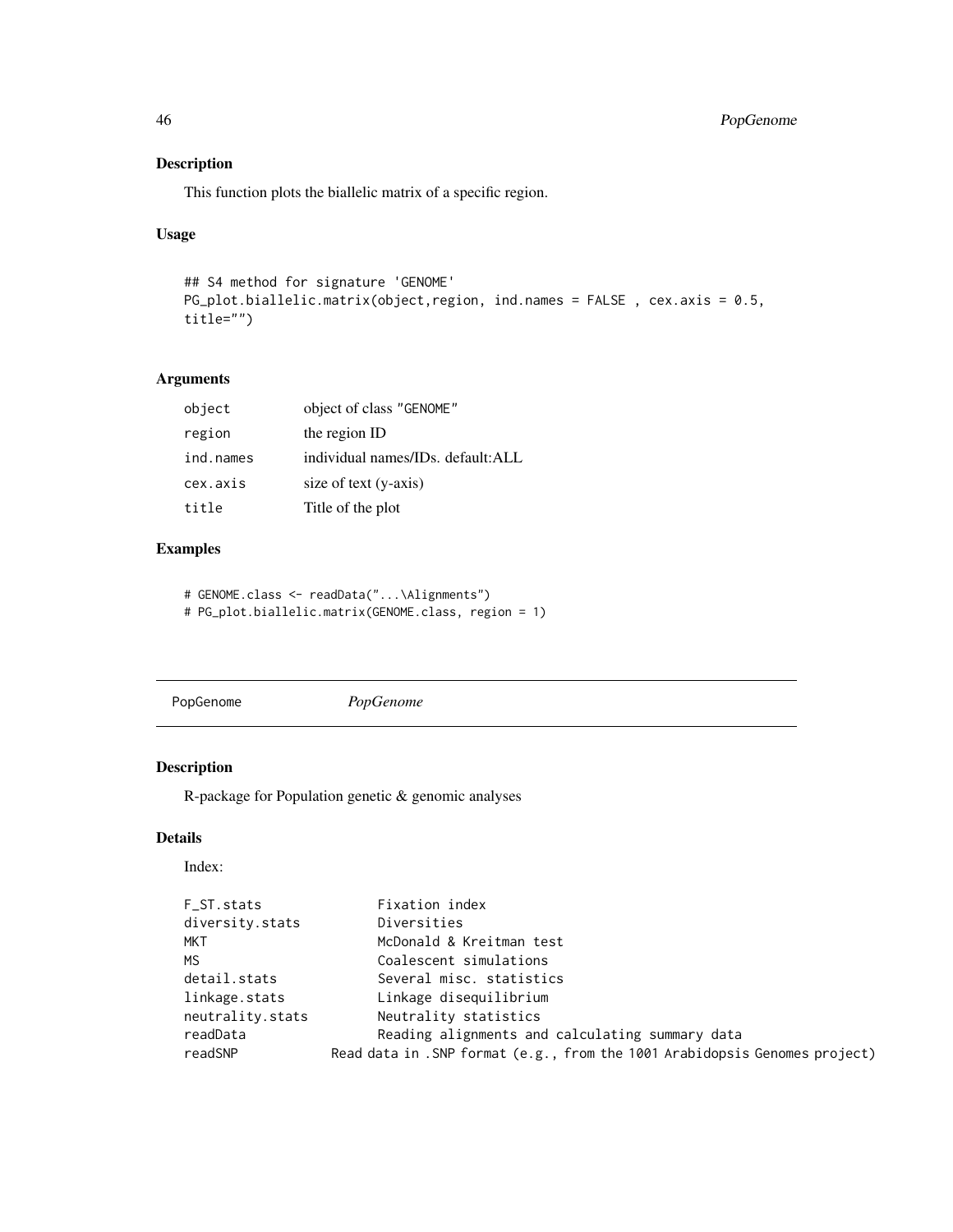# Description

This function plots the biallelic matrix of a specific region.

## Usage

```
## S4 method for signature 'GENOME'
PG_plot.biallelic.matrix(object,region, ind.names = FALSE , cex.axis = 0.5,
title="")
```
## Arguments

| object    | object of class "GENOME"          |
|-----------|-----------------------------------|
| region    | the region ID                     |
| ind.names | individual names/IDs. default:ALL |
| cex.axis  | size of text (y-axis)             |
| title     | Title of the plot                 |

# Examples

```
# GENOME.class <- readData("...\Alignments")
# PG_plot.biallelic.matrix(GENOME.class, region = 1)
```
PopGenome *PopGenome*

## Description

R-package for Population genetic & genomic analyses

# Details

#### Index:

| F_ST.stats       | Fixation index                                                             |
|------------------|----------------------------------------------------------------------------|
| diversity.stats  | Diversities                                                                |
| MKT              | McDonald & Kreitman test                                                   |
| MS.              | Coalescent simulations                                                     |
| detail.stats     | Several misc. statistics                                                   |
| linkage.stats    | Linkage disequilibrium                                                     |
| neutrality.stats | Neutrality statistics                                                      |
| readData         | Reading alignments and calculating summary data                            |
| readSNP          | Read data in .SNP format (e.g., from the 1001 Arabidopsis Genomes project) |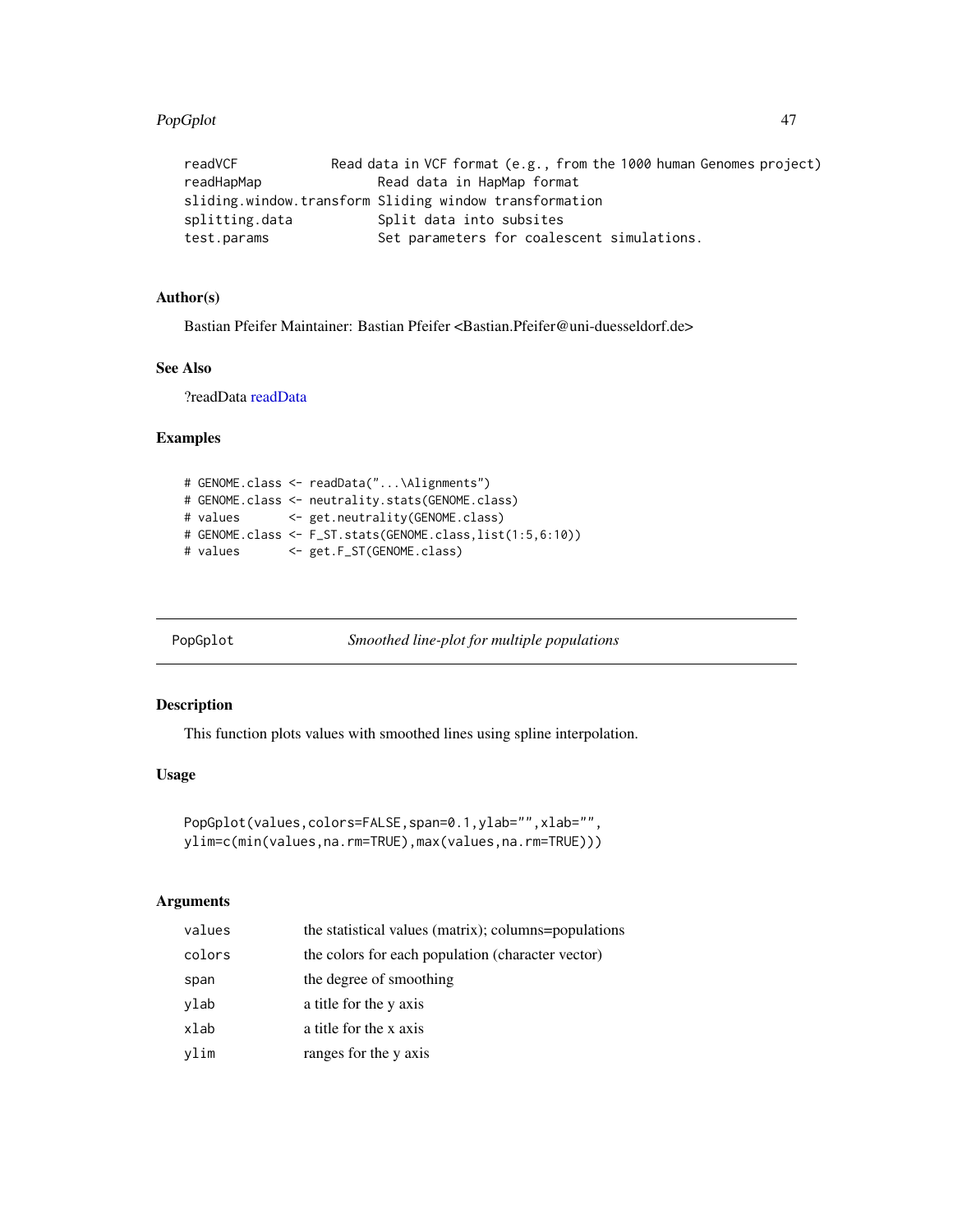#### PopGplot 47

| readVCF        | Read data in VCF format (e.g., from the 1000 human Genomes project) |  |
|----------------|---------------------------------------------------------------------|--|
| readHapMap     | Read data in HapMap format                                          |  |
|                | sliding.window.transform Sliding window transformation              |  |
| splitting.data | Split data into subsites                                            |  |
| test.params    | Set parameters for coalescent simulations.                          |  |

# Author(s)

Bastian Pfeifer Maintainer: Bastian Pfeifer <Bastian.Pfeifer@uni-duesseldorf.de>

# See Also

?readData [readData](#page-48-0)

## Examples

```
# GENOME.class <- readData("...\Alignments")
# GENOME.class <- neutrality.stats(GENOME.class)
# values <- get.neutrality(GENOME.class)
# GENOME.class <- F_ST.stats(GENOME.class,list(1:5,6:10))
# values <- get.F_ST(GENOME.class)
```
PopGplot *Smoothed line-plot for multiple populations*

## Description

This function plots values with smoothed lines using spline interpolation.

#### Usage

```
PopGplot(values,colors=FALSE,span=0.1,ylab="",xlab="",
ylim=c(min(values,na.rm=TRUE),max(values,na.rm=TRUE)))
```
# Arguments

| values | the statistical values (matrix); columns=populations |
|--------|------------------------------------------------------|
| colors | the colors for each population (character vector)    |
| span   | the degree of smoothing                              |
| vlab   | a title for the y axis                               |
| xlab   | a title for the x axis                               |
| ylim   | ranges for the y axis                                |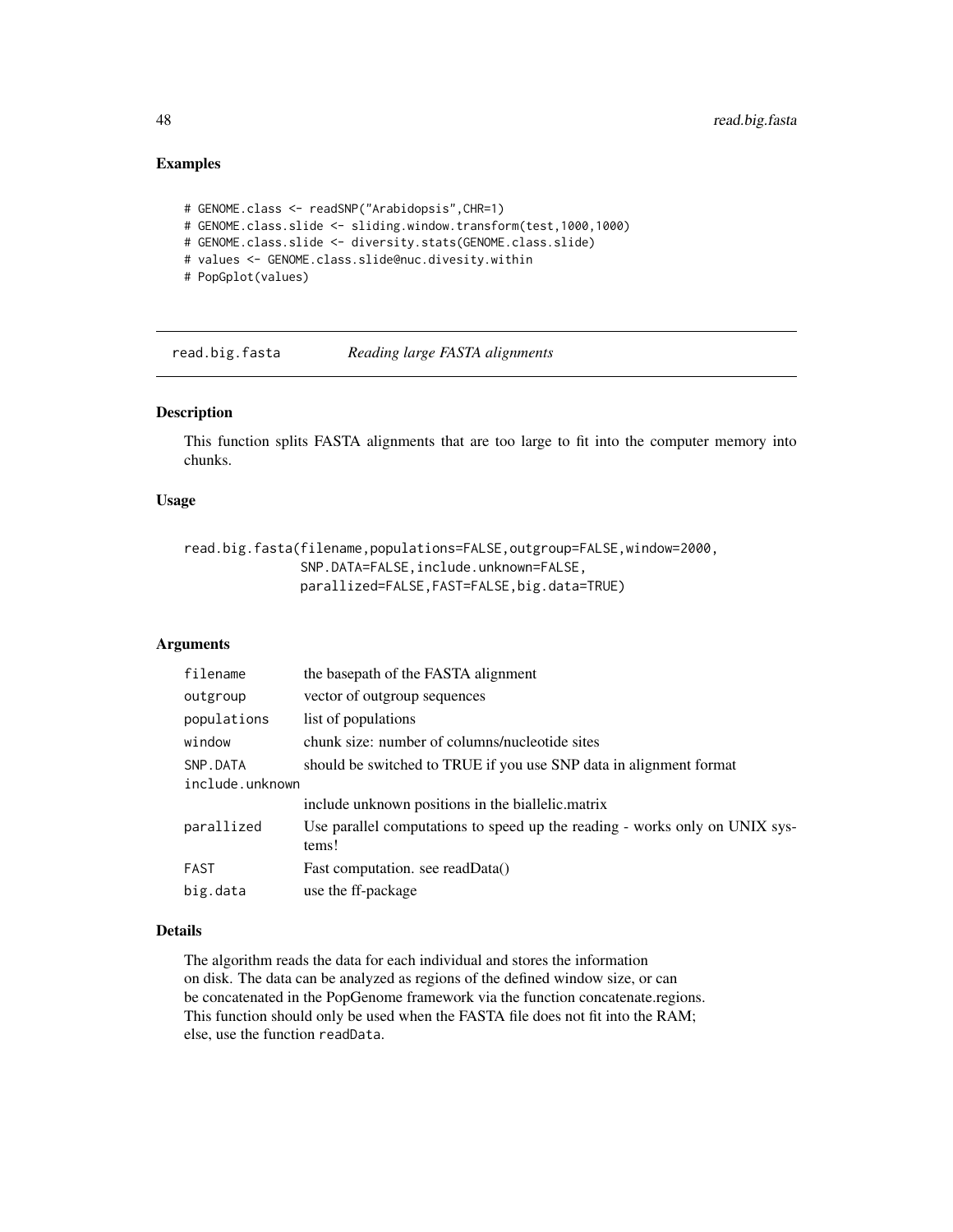# Examples

```
# GENOME.class <- readSNP("Arabidopsis",CHR=1)
# GENOME.class.slide <- sliding.window.transform(test,1000,1000)
# GENOME.class.slide <- diversity.stats(GENOME.class.slide)
# values <- GENOME.class.slide@nuc.divesity.within
# PopGplot(values)
```
read.big.fasta *Reading large FASTA alignments*

## Description

This function splits FASTA alignments that are too large to fit into the computer memory into chunks.

#### Usage

```
read.big.fasta(filename,populations=FALSE,outgroup=FALSE,window=2000,
               SNP.DATA=FALSE,include.unknown=FALSE,
               parallized=FALSE,FAST=FALSE,big.data=TRUE)
```
## Arguments

| filename        | the basepath of the FASTA alignment                                                  |  |
|-----------------|--------------------------------------------------------------------------------------|--|
| outgroup        | vector of outgroup sequences                                                         |  |
| populations     | list of populations                                                                  |  |
| window          | chunk size: number of columns/nucleotide sites                                       |  |
| SNP.DATA        | should be switched to TRUE if you use SNP data in alignment format                   |  |
| include.unknown |                                                                                      |  |
|                 | include unknown positions in the biallelic matrix                                    |  |
| parallized      | Use parallel computations to speed up the reading - works only on UNIX sys-<br>tems! |  |
| FAST            | Fast computation. see readData()                                                     |  |
| big.data        | use the ff-package                                                                   |  |

### Details

The algorithm reads the data for each individual and stores the information on disk. The data can be analyzed as regions of the defined window size, or can be concatenated in the PopGenome framework via the function concatenate.regions. This function should only be used when the FASTA file does not fit into the RAM; else, use the function readData.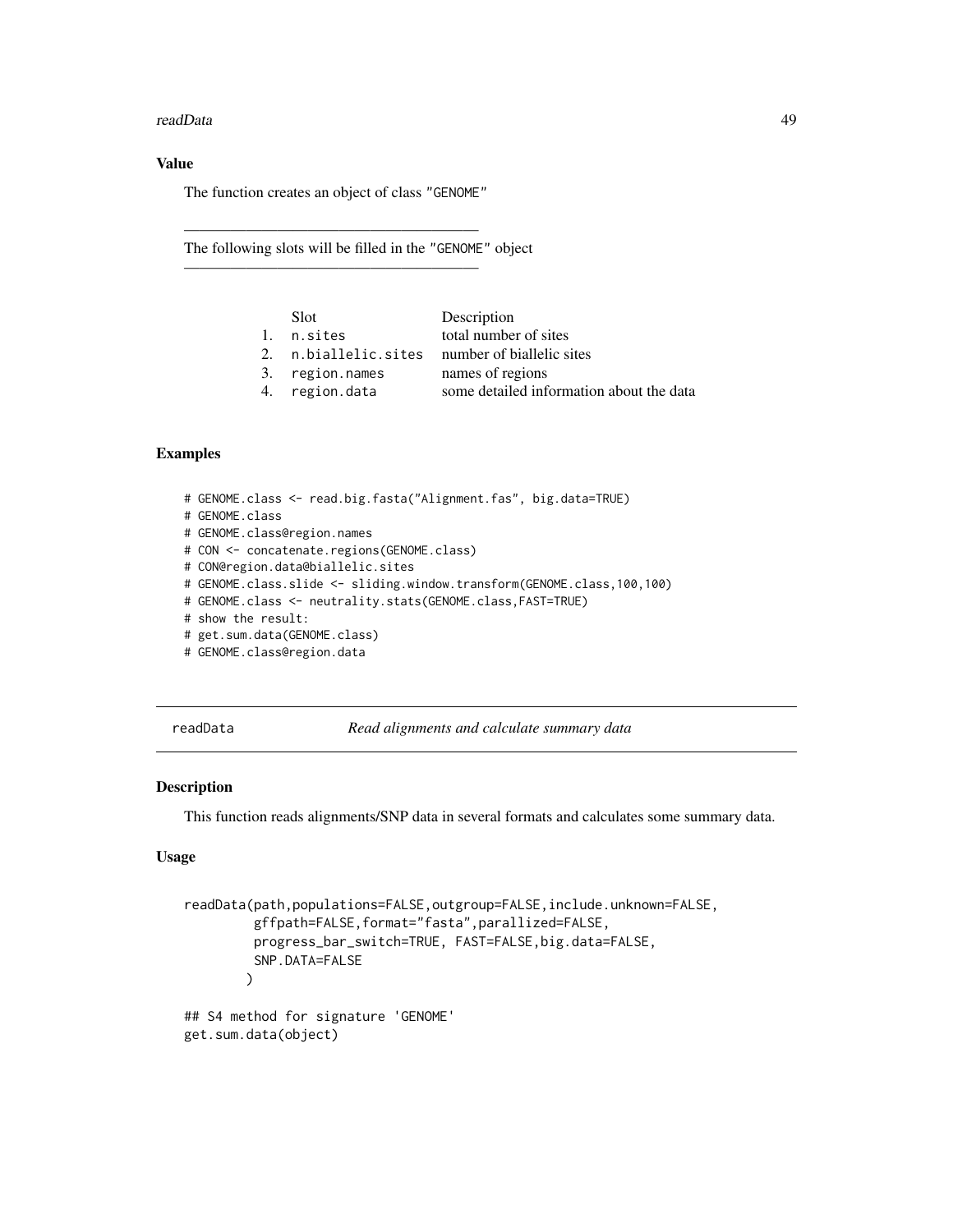#### readData 49

## Value

The function creates an object of class "GENOME"

———————————————————

———————————————————

The following slots will be filled in the "GENOME" object

| Slot.                | Description                              |
|----------------------|------------------------------------------|
| 1. n.sites           | total number of sites                    |
| 2. n.biallelic.sites | number of biallelic sites                |
| 3. region.names      | names of regions                         |
| 4. region.data       | some detailed information about the data |
|                      |                                          |

# Examples

```
# GENOME.class <- read.big.fasta("Alignment.fas", big.data=TRUE)
# GENOME.class
# GENOME.class@region.names
# CON <- concatenate.regions(GENOME.class)
# CON@region.data@biallelic.sites
# GENOME.class.slide <- sliding.window.transform(GENOME.class,100,100)
# GENOME.class <- neutrality.stats(GENOME.class,FAST=TRUE)
# show the result:
# get.sum.data(GENOME.class)
# GENOME.class@region.data
```
<span id="page-48-0"></span>readData *Read alignments and calculate summary data*

#### Description

This function reads alignments/SNP data in several formats and calculates some summary data.

#### Usage

```
readData(path,populations=FALSE,outgroup=FALSE,include.unknown=FALSE,
         gffpath=FALSE,format="fasta",parallized=FALSE,
         progress_bar_switch=TRUE, FAST=FALSE,big.data=FALSE,
         SNP.DATA=FALSE
       )
## S4 method for signature 'GENOME'
get.sum.data(object)
```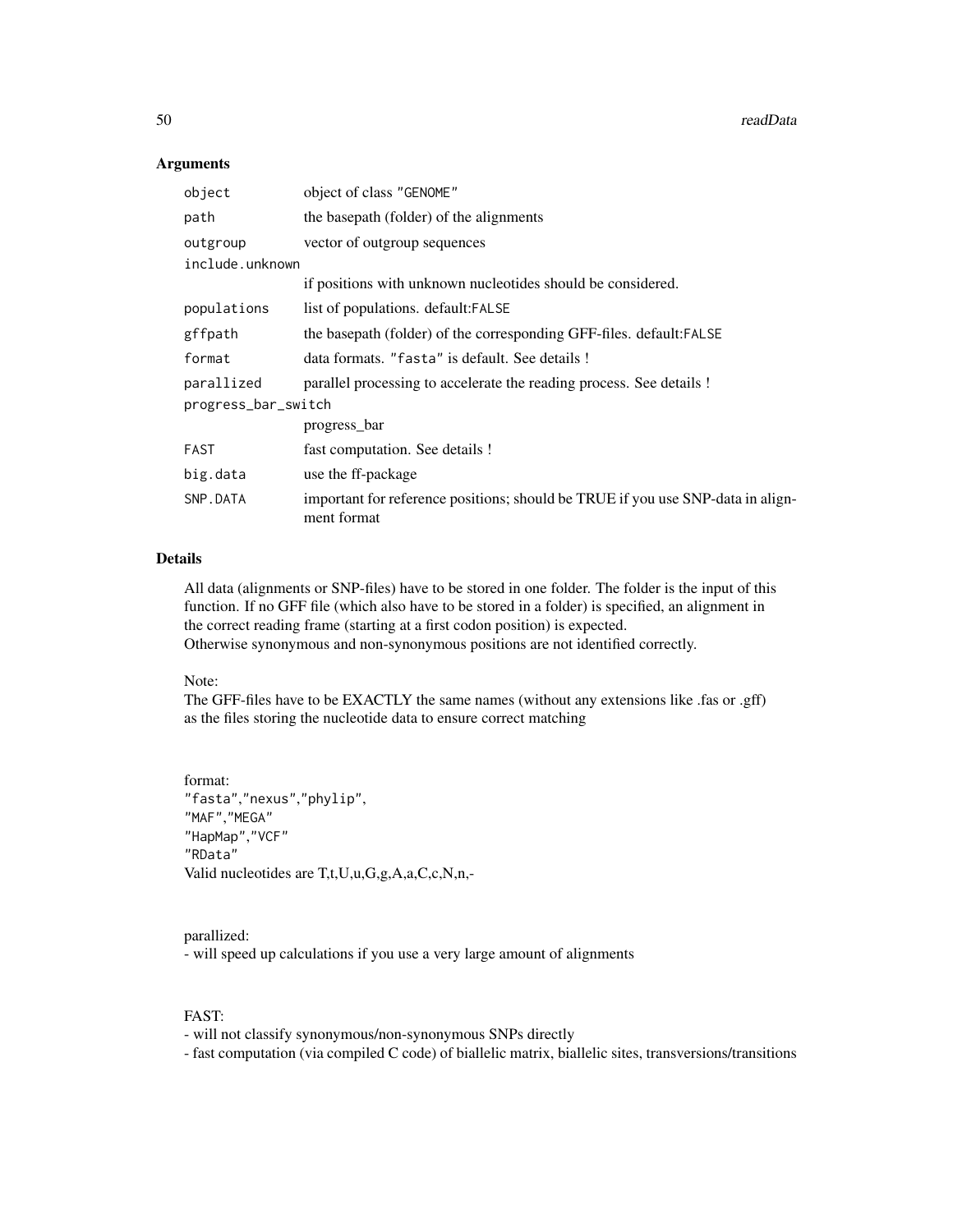50 readData and the contract of the contract of the contract of the contract of the contract of the contract of the contract of the contract of the contract of the contract of the contract of the contract of the contract o

#### Arguments

| object              | object of class "GENOME"                                                                       |  |  |
|---------------------|------------------------------------------------------------------------------------------------|--|--|
| path                | the basepath (folder) of the alignments                                                        |  |  |
| outgroup            | vector of outgroup sequences                                                                   |  |  |
| include.unknown     |                                                                                                |  |  |
|                     | if positions with unknown nucleotides should be considered.                                    |  |  |
| populations         | list of populations. default:FALSE                                                             |  |  |
| gffpath             | the basepath (folder) of the corresponding GFF-files. default:FALSE                            |  |  |
| format              | data formats. "fasta" is default. See details!                                                 |  |  |
| parallized          | parallel processing to accelerate the reading process. See details !                           |  |  |
| progress_bar_switch |                                                                                                |  |  |
|                     | progress bar                                                                                   |  |  |
| FAST                | fast computation. See details !                                                                |  |  |
| big.data            | use the ff-package                                                                             |  |  |
| SNP.DATA            | important for reference positions; should be TRUE if you use SNP-data in align-<br>ment format |  |  |

## Details

All data (alignments or SNP-files) have to be stored in one folder. The folder is the input of this function. If no GFF file (which also have to be stored in a folder) is specified, an alignment in the correct reading frame (starting at a first codon position) is expected. Otherwise synonymous and non-synonymous positions are not identified correctly.

#### Note:

The GFF-files have to be EXACTLY the same names (without any extensions like .fas or .gff) as the files storing the nucleotide data to ensure correct matching

```
format:
"fasta","nexus","phylip",
"MAF","MEGA"
"HapMap","VCF"
"RData"
Valid nucleotides are T,t,U,u,G,g,A,a,C,c,N,n,-
```
## parallized:

- will speed up calculations if you use a very large amount of alignments

## FAST:

- will not classify synonymous/non-synonymous SNPs directly

- fast computation (via compiled C code) of biallelic matrix, biallelic sites, transversions/transitions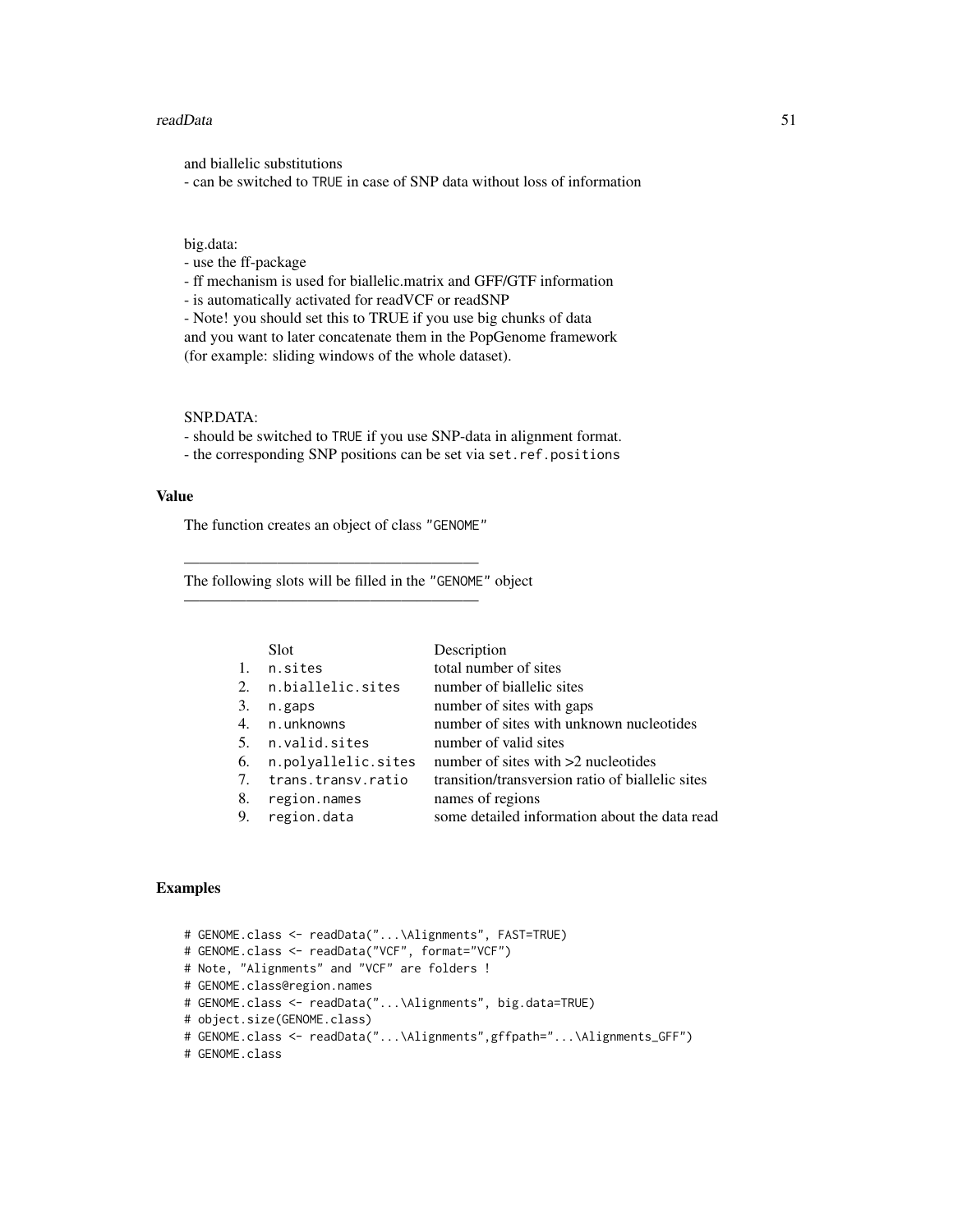#### readData 51

and biallelic substitutions

- can be switched to TRUE in case of SNP data without loss of information

## big.data:

- use the ff-package

- ff mechanism is used for biallelic.matrix and GFF/GTF information

- is automatically activated for readVCF or readSNP

- Note! you should set this to TRUE if you use big chunks of data and you want to later concatenate them in the PopGenome framework (for example: sliding windows of the whole dataset).

#### SNP.DATA:

- should be switched to TRUE if you use SNP-data in alignment format.

- the corresponding SNP positions can be set via set.ref.positions

#### Value

The function creates an object of class "GENOME"

———————————————————

———————————————————

The following slots will be filled in the "GENOME" object

|    | Slot                | Description                                      |
|----|---------------------|--------------------------------------------------|
| 1. | n.sites             | total number of sites                            |
| 2. | n.biallelic.sites   | number of biallelic sites                        |
| 3. | n.gaps              | number of sites with gaps                        |
| 4. | n.unknowns          | number of sites with unknown nucleotides         |
| 5. | n.valid.sites       | number of valid sites                            |
| 6. | n.polyallelic.sites | number of sites with $>2$ nucleotides            |
| 7. | trans.transv.ratio  | transition/transversion ratio of biallelic sites |
| 8. | region.names        | names of regions                                 |
| 9. | region.data         | some detailed information about the data read    |
|    |                     |                                                  |

#### Examples

```
# GENOME.class <- readData("...\Alignments", FAST=TRUE)
# GENOME.class <- readData("VCF", format="VCF")
# Note, "Alignments" and "VCF" are folders !
# GENOME.class@region.names
# GENOME.class <- readData("...\Alignments", big.data=TRUE)
# object.size(GENOME.class)
# GENOME.class <- readData("...\Alignments",gffpath="...\Alignments_GFF")
# GENOME.class
```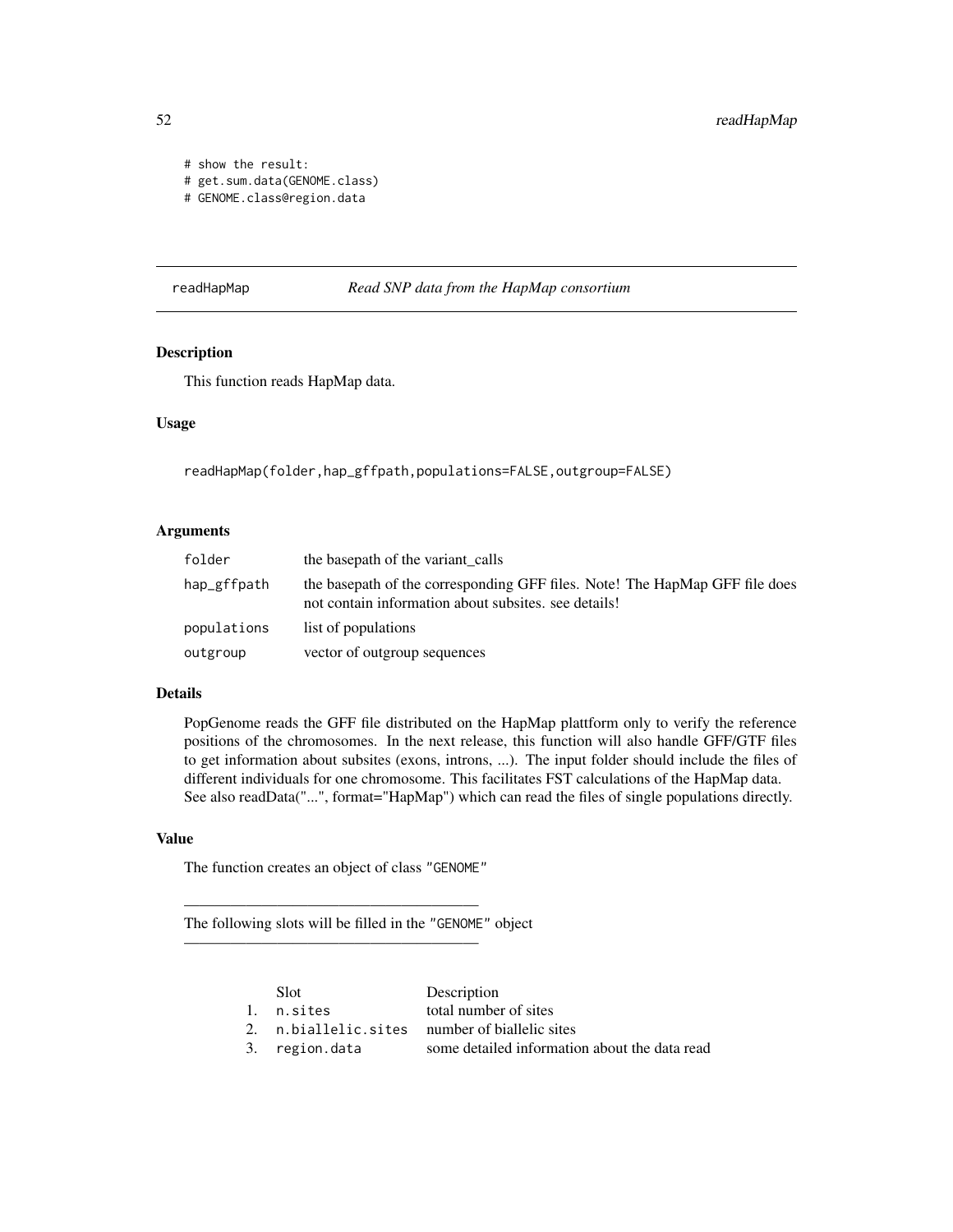```
# show the result:
# get.sum.data(GENOME.class)
# GENOME.class@region.data
```
#### readHapMap *Read SNP data from the HapMap consortium*

## Description

This function reads HapMap data.

#### Usage

readHapMap(folder,hap\_gffpath,populations=FALSE,outgroup=FALSE)

## Arguments

| folder      | the basepath of the variant calls                                                                                                   |
|-------------|-------------------------------------------------------------------------------------------------------------------------------------|
| hap_gffpath | the basepath of the corresponding GFF files. Note! The HapMap GFF file does<br>not contain information about subsites, see details! |
| populations | list of populations                                                                                                                 |
| outgroup    | vector of outgroup sequences                                                                                                        |

## Details

PopGenome reads the GFF file distributed on the HapMap plattform only to verify the reference positions of the chromosomes. In the next release, this function will also handle GFF/GTF files to get information about subsites (exons, introns, ...). The input folder should include the files of different individuals for one chromosome. This facilitates FST calculations of the HapMap data. See also readData("...", format="HapMap") which can read the files of single populations directly.

#### Value

The function creates an object of class "GENOME"

———————————————————

———————————————————

The following slots will be filled in the "GENOME" object

| <b>Slot</b>    | Description                                    |
|----------------|------------------------------------------------|
| l. n.sites     | total number of sites                          |
|                | 2. n.biallelic.sites number of biallelic sites |
| 3. region.data | some detailed information about the data read  |
|                |                                                |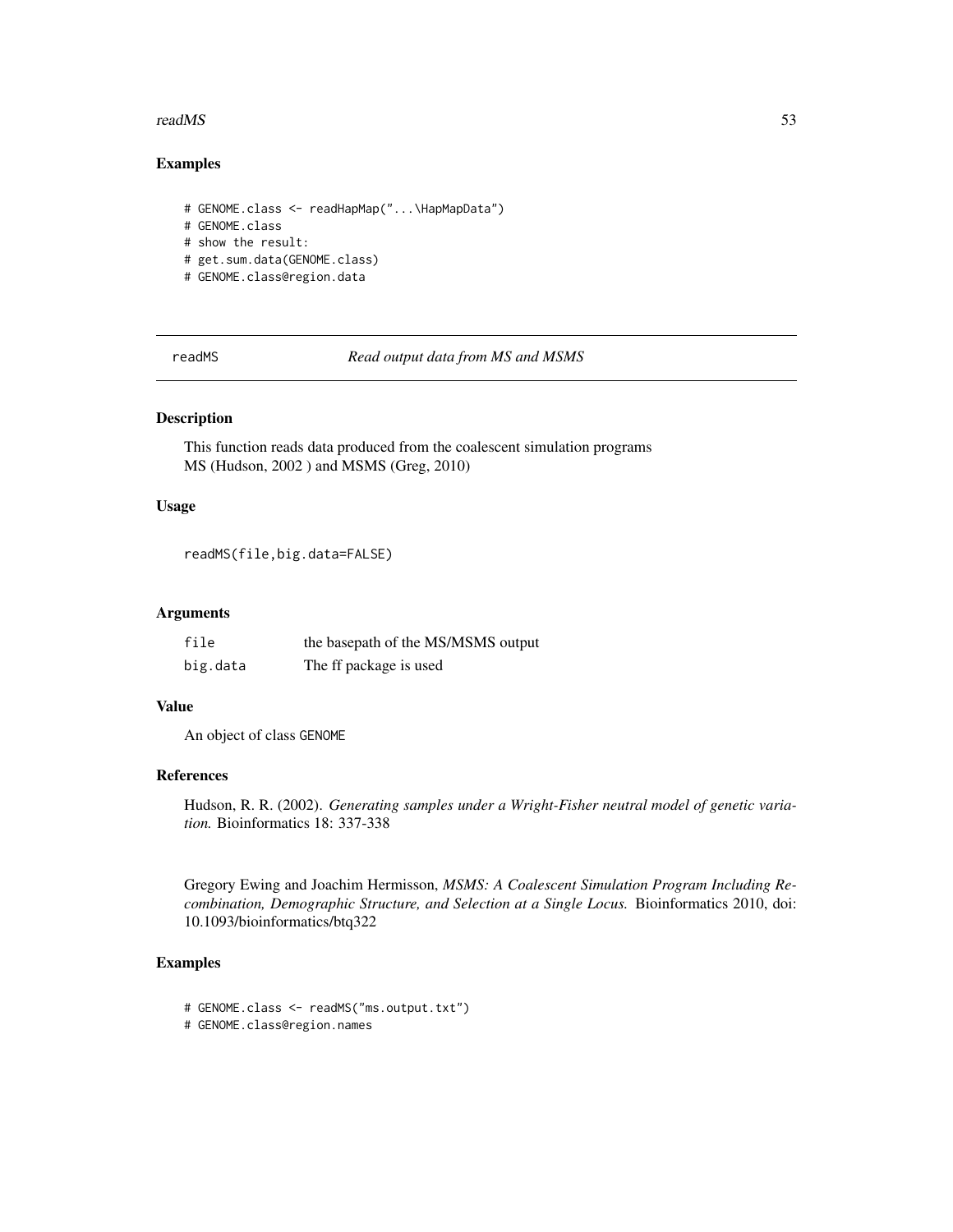#### readMS 53

#### Examples

```
# GENOME.class <- readHapMap("...\HapMapData")
# GENOME.class
# show the result:
# get.sum.data(GENOME.class)
# GENOME.class@region.data
```
readMS *Read output data from MS and MSMS*

## Description

This function reads data produced from the coalescent simulation programs MS (Hudson, 2002 ) and MSMS (Greg, 2010)

# Usage

```
readMS(file,big.data=FALSE)
```
#### Arguments

| file     | the basepath of the MS/MSMS output |
|----------|------------------------------------|
| big.data | The ff package is used             |

#### Value

An object of class GENOME

#### References

Hudson, R. R. (2002). *Generating samples under a Wright-Fisher neutral model of genetic variation.* Bioinformatics 18: 337-338

Gregory Ewing and Joachim Hermisson, *MSMS: A Coalescent Simulation Program Including Recombination, Demographic Structure, and Selection at a Single Locus.* Bioinformatics 2010, doi: 10.1093/bioinformatics/btq322

## Examples

- # GENOME.class <- readMS("ms.output.txt")
- # GENOME.class@region.names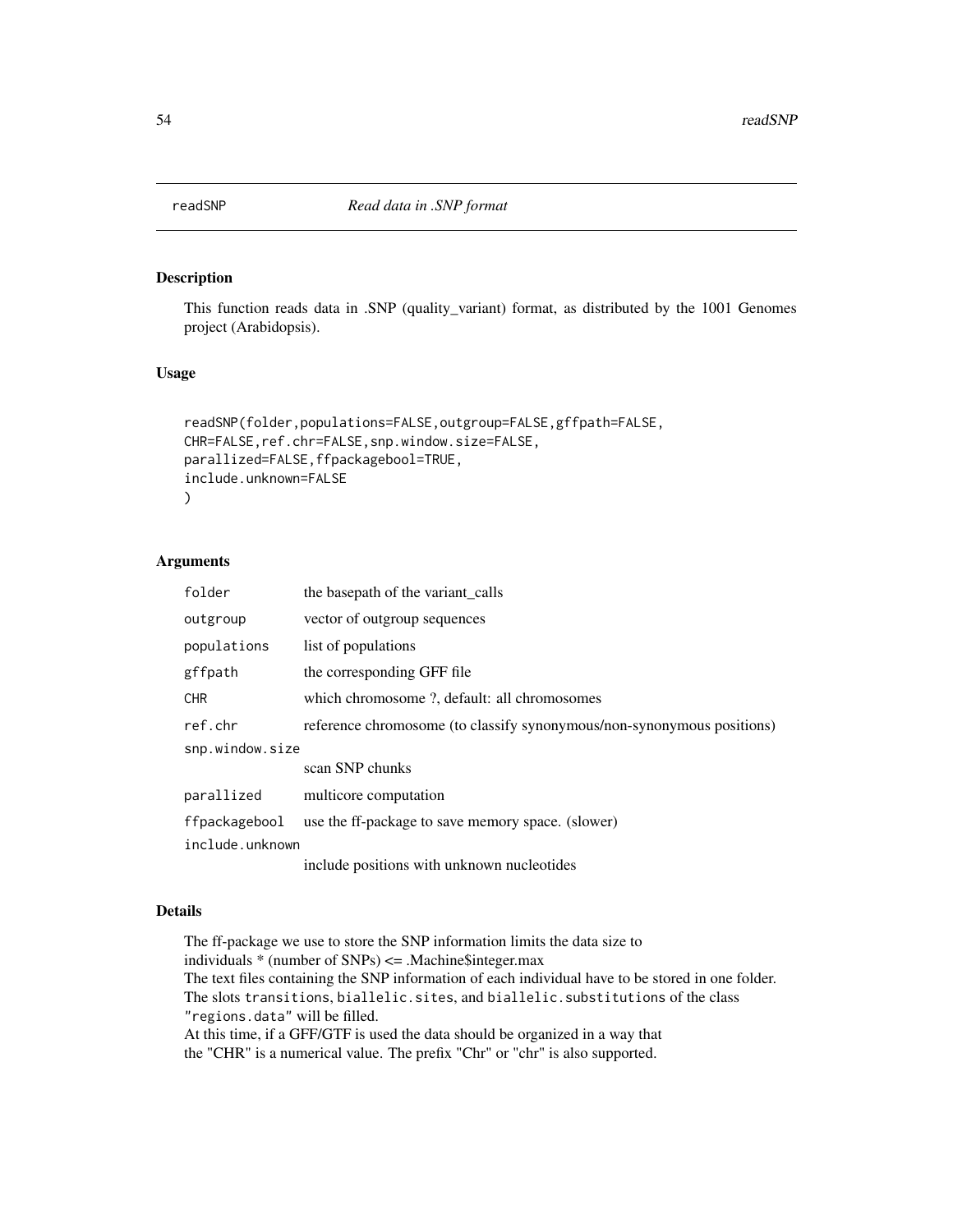## Description

This function reads data in .SNP (quality\_variant) format, as distributed by the 1001 Genomes project (Arabidopsis).

#### Usage

```
readSNP(folder,populations=FALSE,outgroup=FALSE,gffpath=FALSE,
CHR=FALSE,ref.chr=FALSE,snp.window.size=FALSE,
parallized=FALSE,ffpackagebool=TRUE,
include.unknown=FALSE
\mathcal{L}
```
#### Arguments

| folder          | the basepath of the variant_calls                                      |  |
|-----------------|------------------------------------------------------------------------|--|
| outgroup        | vector of outgroup sequences                                           |  |
| populations     | list of populations                                                    |  |
| gffpath         | the corresponding GFF file                                             |  |
| <b>CHR</b>      | which chromosome ?, default: all chromosomes                           |  |
| ref.chr         | reference chromosome (to classify synonymous/non-synonymous positions) |  |
| snp.window.size |                                                                        |  |
|                 | scan SNP chunks                                                        |  |
| parallized      | multicore computation                                                  |  |
| ffpackagebool   | use the ff-package to save memory space. (slower)                      |  |
| include.unknown |                                                                        |  |
|                 | include positions with unknown nucleotides                             |  |

#### Details

The ff-package we use to store the SNP information limits the data size to individuals  $*$  (number of SNPs)  $\leq$  Machine \$integer.max The text files containing the SNP information of each individual have to be stored in one folder. The slots transitions, biallelic.sites, and biallelic.substitutions of the class "regions.data" will be filled. At this time, if a GFF/GTF is used the data should be organized in a way that the "CHR" is a numerical value. The prefix "Chr" or "chr" is also supported.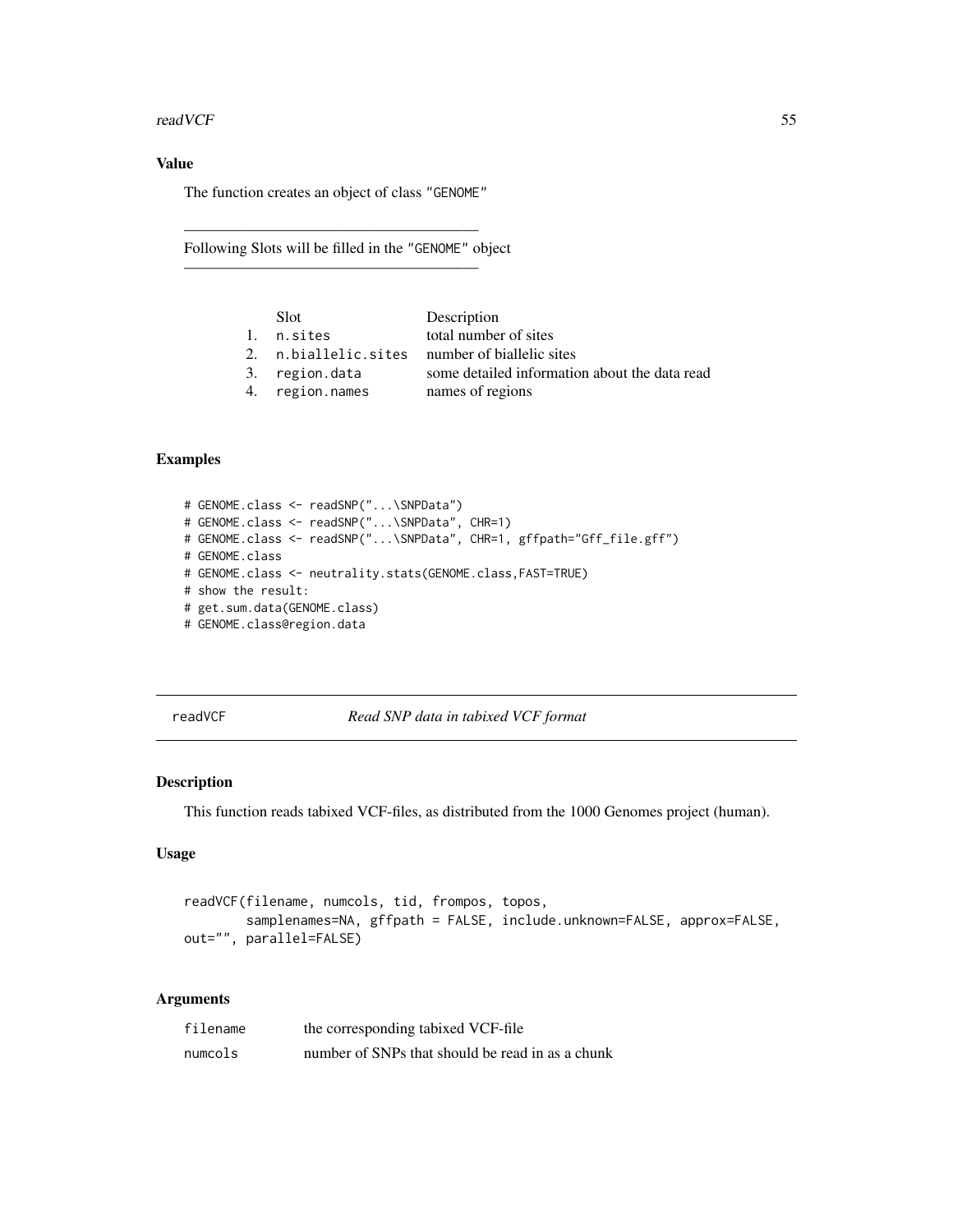#### readVCF 55

# Value

The function creates an object of class "GENOME"

———————————————————

———————————————————

Following Slots will be filled in the "GENOME" object

| Slot.           | Description                                    |
|-----------------|------------------------------------------------|
| 1. n.sites      | total number of sites                          |
|                 | 2. n.biallelic.sites number of biallelic sites |
| 3. region.data  | some detailed information about the data read  |
| 4. region.names | names of regions                               |
|                 |                                                |

#### Examples

```
# GENOME.class <- readSNP("...\SNPData")
# GENOME.class <- readSNP("...\SNPData", CHR=1)
# GENOME.class <- readSNP("...\SNPData", CHR=1, gffpath="Gff_file.gff")
# GENOME.class
# GENOME.class <- neutrality.stats(GENOME.class,FAST=TRUE)
# show the result:
# get.sum.data(GENOME.class)
# GENOME.class@region.data
```
readVCF *Read SNP data in tabixed VCF format*

## Description

This function reads tabixed VCF-files, as distributed from the 1000 Genomes project (human).

## Usage

```
readVCF(filename, numcols, tid, frompos, topos,
       samplenames=NA, gffpath = FALSE, include.unknown=FALSE, approx=FALSE,
out="", parallel=FALSE)
```
## Arguments

| filename | the corresponding tabixed VCF-file               |
|----------|--------------------------------------------------|
| numcols  | number of SNPs that should be read in as a chunk |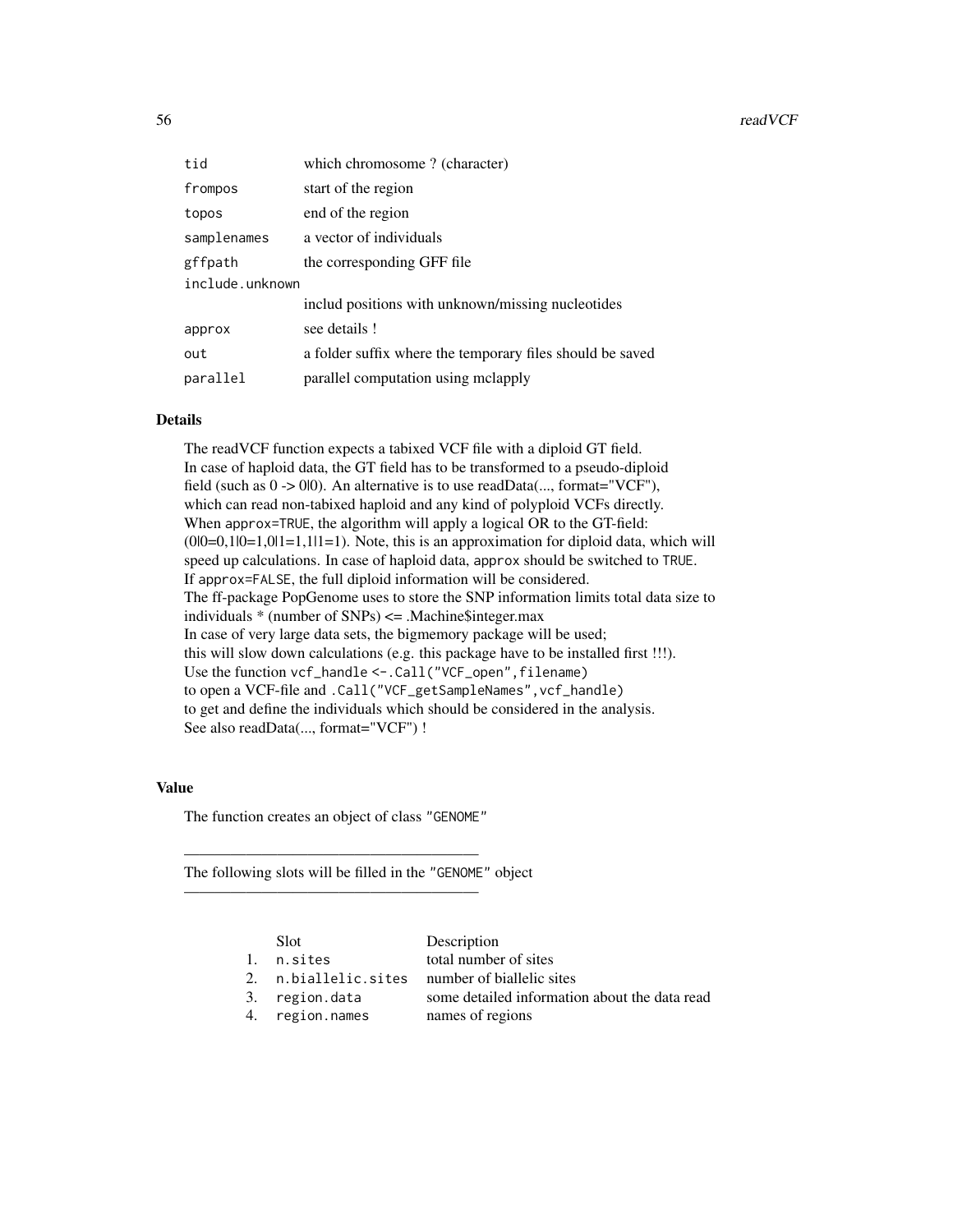| tid             | which chromosome? (character)                             |  |
|-----------------|-----------------------------------------------------------|--|
| frompos         | start of the region                                       |  |
| topos           | end of the region                                         |  |
| samplenames     | a vector of individuals                                   |  |
| gffpath         | the corresponding GFF file                                |  |
| include.unknown |                                                           |  |
|                 | includ positions with unknown/missing nucleotides         |  |
| approx          | see details!                                              |  |
| out             | a folder suffix where the temporary files should be saved |  |
| parallel        | parallel computation using mclapply                       |  |

# Details

The readVCF function expects a tabixed VCF file with a diploid GT field. In case of haploid data, the GT field has to be transformed to a pseudo-diploid field (such as 0 -> 0|0). An alternative is to use readData(..., format="VCF"), which can read non-tabixed haploid and any kind of polyploid VCFs directly. When approx=TRUE, the algorithm will apply a logical OR to the GT-field:  $(0|0=0,1|0=1,0|1=1,1|1=1)$ . Note, this is an approximation for diploid data, which will speed up calculations. In case of haploid data, approx should be switched to TRUE. If approx=FALSE, the full diploid information will be considered. The ff-package PopGenome uses to store the SNP information limits total data size to individuals \* (number of SNPs) <= .Machine\$integer.max In case of very large data sets, the bigmemory package will be used; this will slow down calculations (e.g. this package have to be installed first !!!). Use the function vcf\_handle <-. Call("VCF\_open", filename) to open a VCF-file and .Call("VCF\_getSampleNames",vcf\_handle) to get and define the individuals which should be considered in the analysis. See also readData(..., format="VCF") !

## Value

The function creates an object of class "GENOME"

———————————————————

———————————————————

The following slots will be filled in the "GENOME" object

| Slot.                | Description                                   |
|----------------------|-----------------------------------------------|
| 1. n.sites           | total number of sites                         |
| 2. n.biallelic.sites | number of biallelic sites                     |
| 3. region.data       | some detailed information about the data read |
| 4. region.names      | names of regions                              |
|                      |                                               |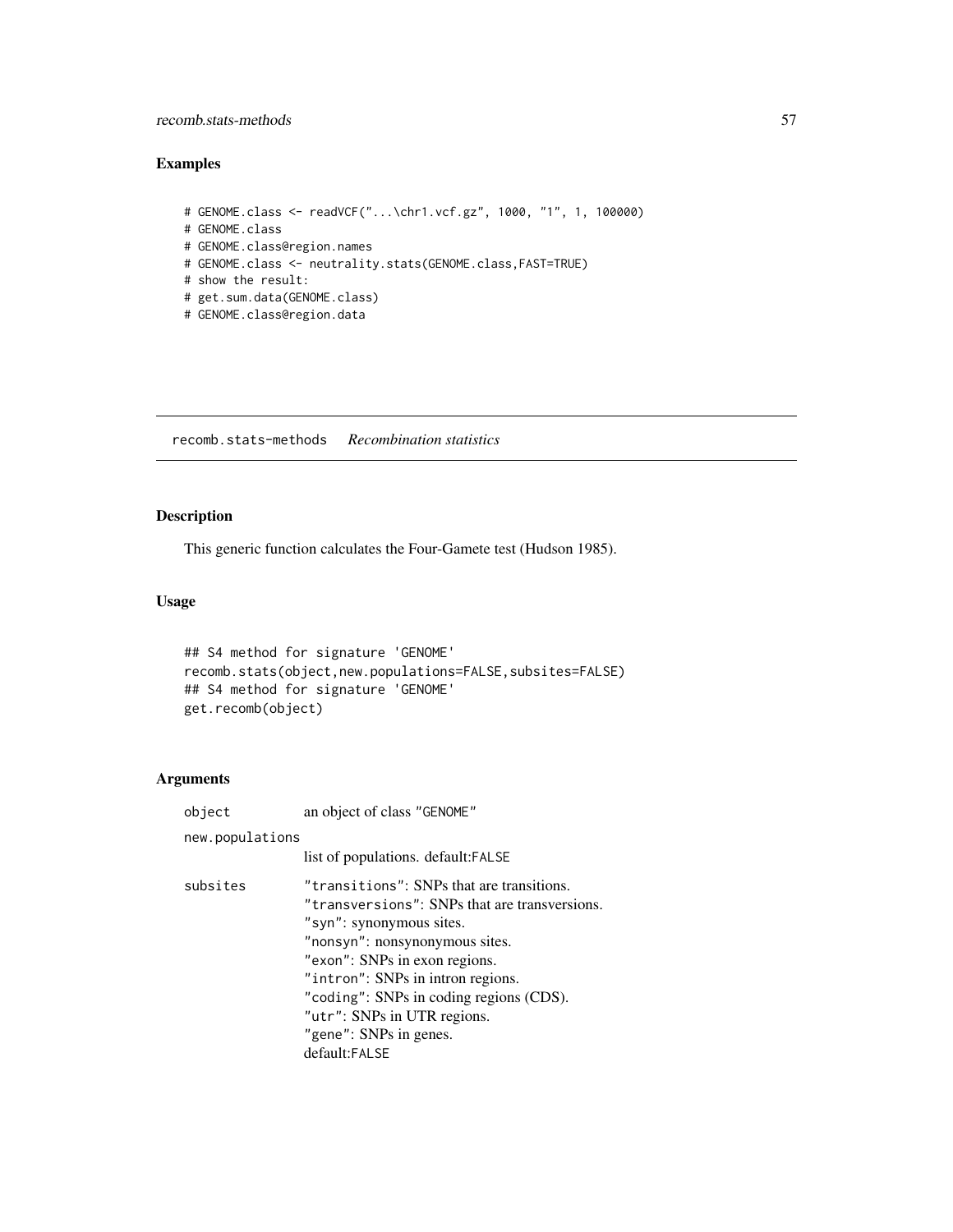#### recomb.stats-methods 57

#### Examples

```
# GENOME.class <- readVCF("...\chr1.vcf.gz", 1000, "1", 1, 100000)
# GENOME.class
# GENOME.class@region.names
# GENOME.class <- neutrality.stats(GENOME.class,FAST=TRUE)
# show the result:
# get.sum.data(GENOME.class)
# GENOME.class@region.data
```
recomb.stats-methods *Recombination statistics*

## Description

This generic function calculates the Four-Gamete test (Hudson 1985).

#### Usage

```
## S4 method for signature 'GENOME'
recomb.stats(object,new.populations=FALSE,subsites=FALSE)
## S4 method for signature 'GENOME'
get.recomb(object)
```
#### Arguments

object an object of class "GENOME" new.populations list of populations. default:FALSE subsites "transitions": SNPs that are transitions. "transversions": SNPs that are transversions. "syn": synonymous sites. "nonsyn": nonsynonymous sites. "exon": SNPs in exon regions. "intron": SNPs in intron regions. "coding": SNPs in coding regions (CDS). "utr": SNPs in UTR regions. "gene": SNPs in genes. default:FALSE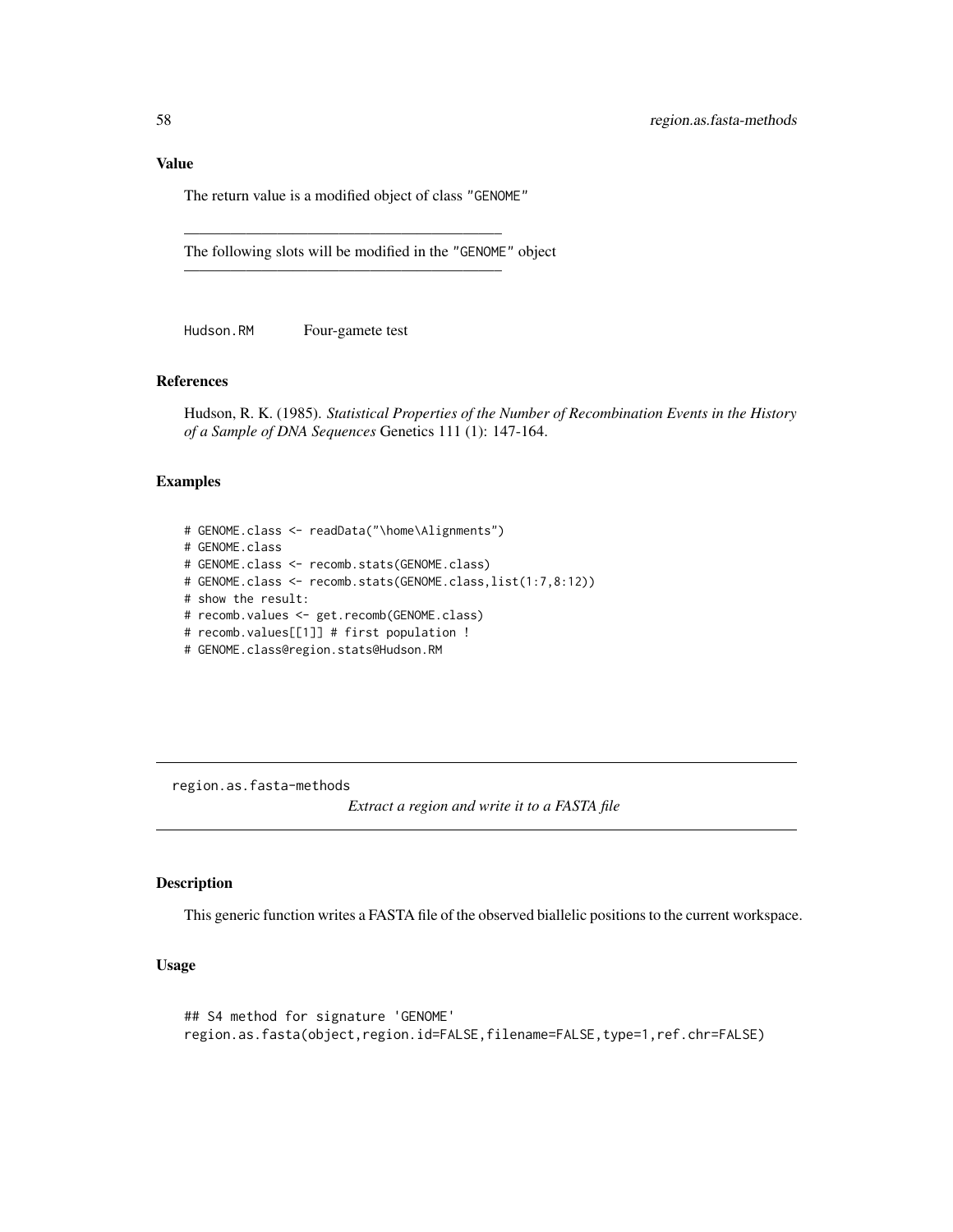#### Value

The return value is a modified object of class "GENOME"

————————————————————–

————————————————————–

The following slots will be modified in the "GENOME" object

Hudson.RM Four-gamete test

#### References

Hudson, R. K. (1985). *Statistical Properties of the Number of Recombination Events in the History of a Sample of DNA Sequences* Genetics 111 (1): 147-164.

#### Examples

```
# GENOME.class <- readData("\home\Alignments")
# GENOME.class
# GENOME.class <- recomb.stats(GENOME.class)
# GENOME.class <- recomb.stats(GENOME.class,list(1:7,8:12))
# show the result:
# recomb.values <- get.recomb(GENOME.class)
# recomb.values[[1]] # first population !
# GENOME.class@region.stats@Hudson.RM
```
region.as.fasta-methods

*Extract a region and write it to a FASTA file*

## Description

This generic function writes a FASTA file of the observed biallelic positions to the current workspace.

## Usage

```
## S4 method for signature 'GENOME'
region.as.fasta(object,region.id=FALSE,filename=FALSE,type=1,ref.chr=FALSE)
```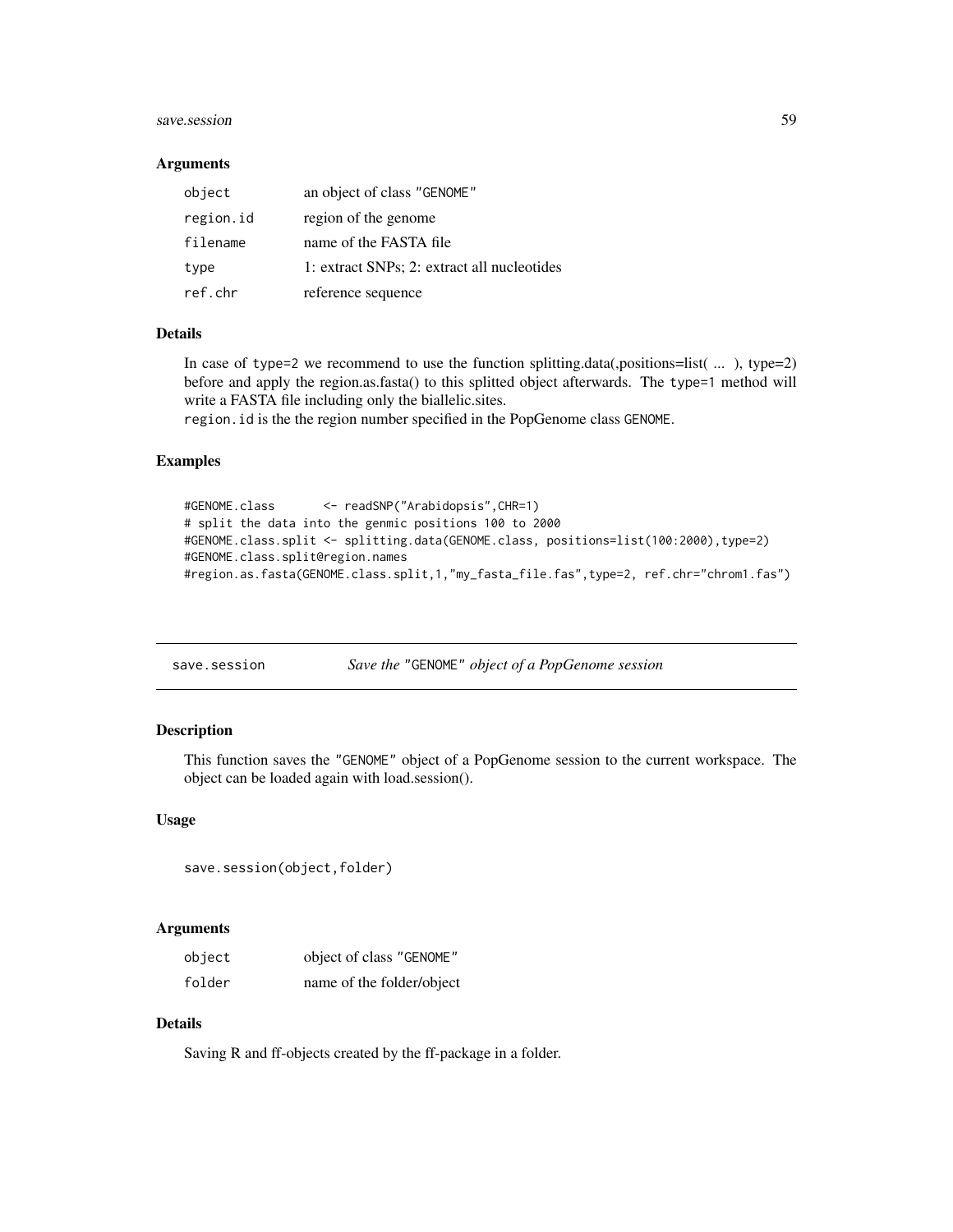#### save.session 59

#### **Arguments**

| object    | an object of class "GENOME"                 |
|-----------|---------------------------------------------|
| region.id | region of the genome                        |
| filename  | name of the FASTA file                      |
| type      | 1: extract SNPs; 2: extract all nucleotides |
| ref.chr   | reference sequence                          |

#### Details

In case of type=2 we recommend to use the function splitting.data(,positions=list( $\dots$ ), type=2) before and apply the region.as.fasta() to this splitted object afterwards. The type=1 method will write a FASTA file including only the biallelic.sites.

region.id is the the region number specified in the PopGenome class GENOME.

## Examples

```
#GENOME.class <- readSNP("Arabidopsis",CHR=1)
# split the data into the genmic positions 100 to 2000
#GENOME.class.split <- splitting.data(GENOME.class, positions=list(100:2000),type=2)
#GENOME.class.split@region.names
#region.as.fasta(GENOME.class.split,1,"my_fasta_file.fas",type=2, ref.chr="chrom1.fas")
```
save.session *Save the* "GENOME" *object of a PopGenome session*

#### Description

This function saves the "GENOME" object of a PopGenome session to the current workspace. The object can be loaded again with load.session().

#### Usage

```
save.session(object,folder)
```
#### Arguments

| object | object of class "GENOME"  |
|--------|---------------------------|
| folder | name of the folder/object |

## Details

Saving R and ff-objects created by the ff-package in a folder.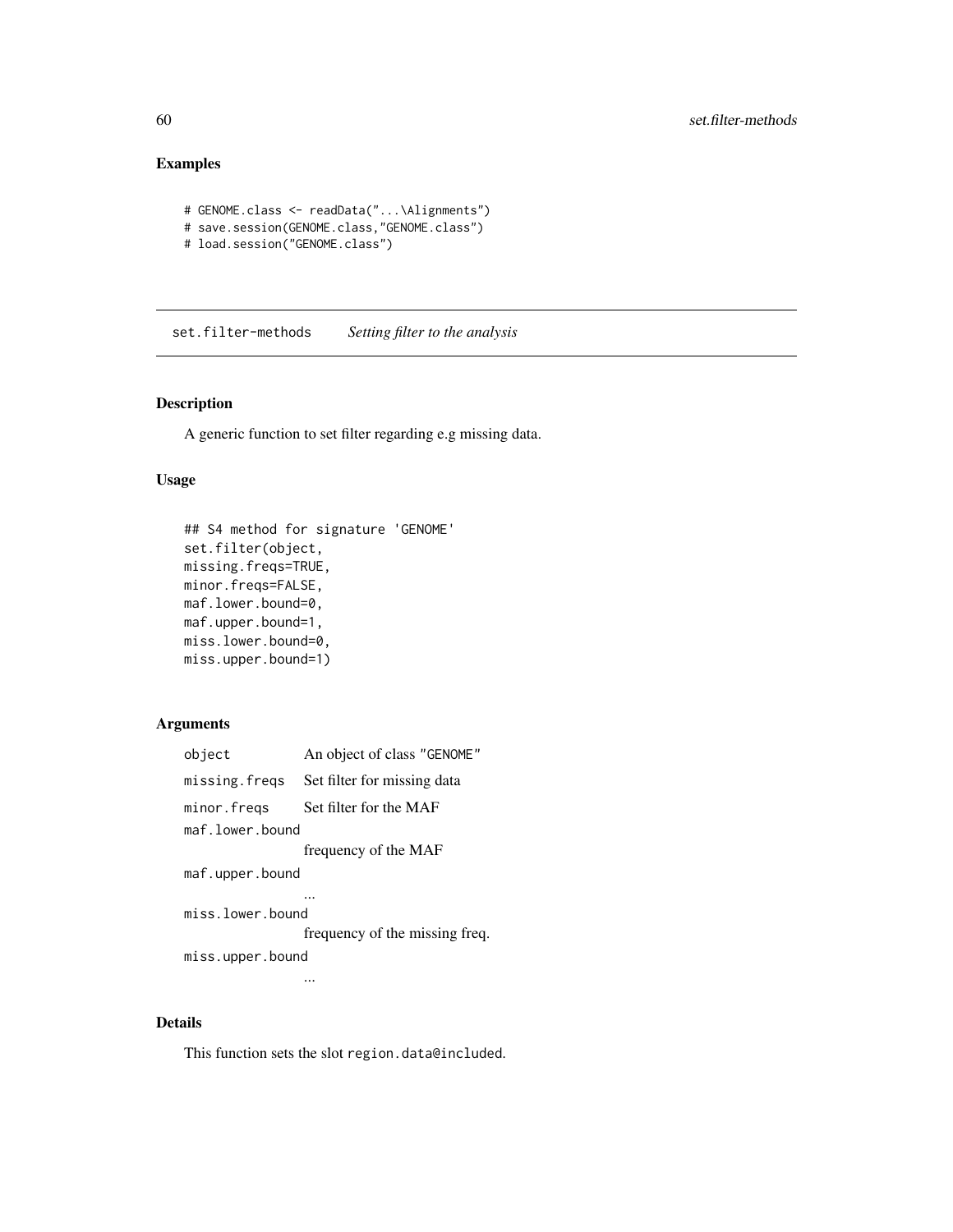# Examples

```
# GENOME.class <- readData("...\Alignments")
# save.session(GENOME.class,"GENOME.class")
# load.session("GENOME.class")
```
set.filter-methods *Setting filter to the analysis*

## Description

A generic function to set filter regarding e.g missing data.

## Usage

```
## S4 method for signature 'GENOME'
set.filter(object,
missing.freqs=TRUE,
minor.freqs=FALSE,
maf.lower.bound=0,
maf.upper.bound=1,
miss.lower.bound=0,
miss.upper.bound=1)
```
## Arguments

| object           | An object of class "GENOME"                |
|------------------|--------------------------------------------|
|                  | missing. freqs Set filter for missing data |
| minor.fregs      | Set filter for the MAF                     |
| maf.lower.bound  |                                            |
|                  | frequency of the MAF                       |
| maf.upper.bound  |                                            |
|                  |                                            |
| miss.lower.bound |                                            |
|                  | frequency of the missing freq.             |
| miss.upper.bound |                                            |
|                  |                                            |

...

#### Details

This function sets the slot region.data@included.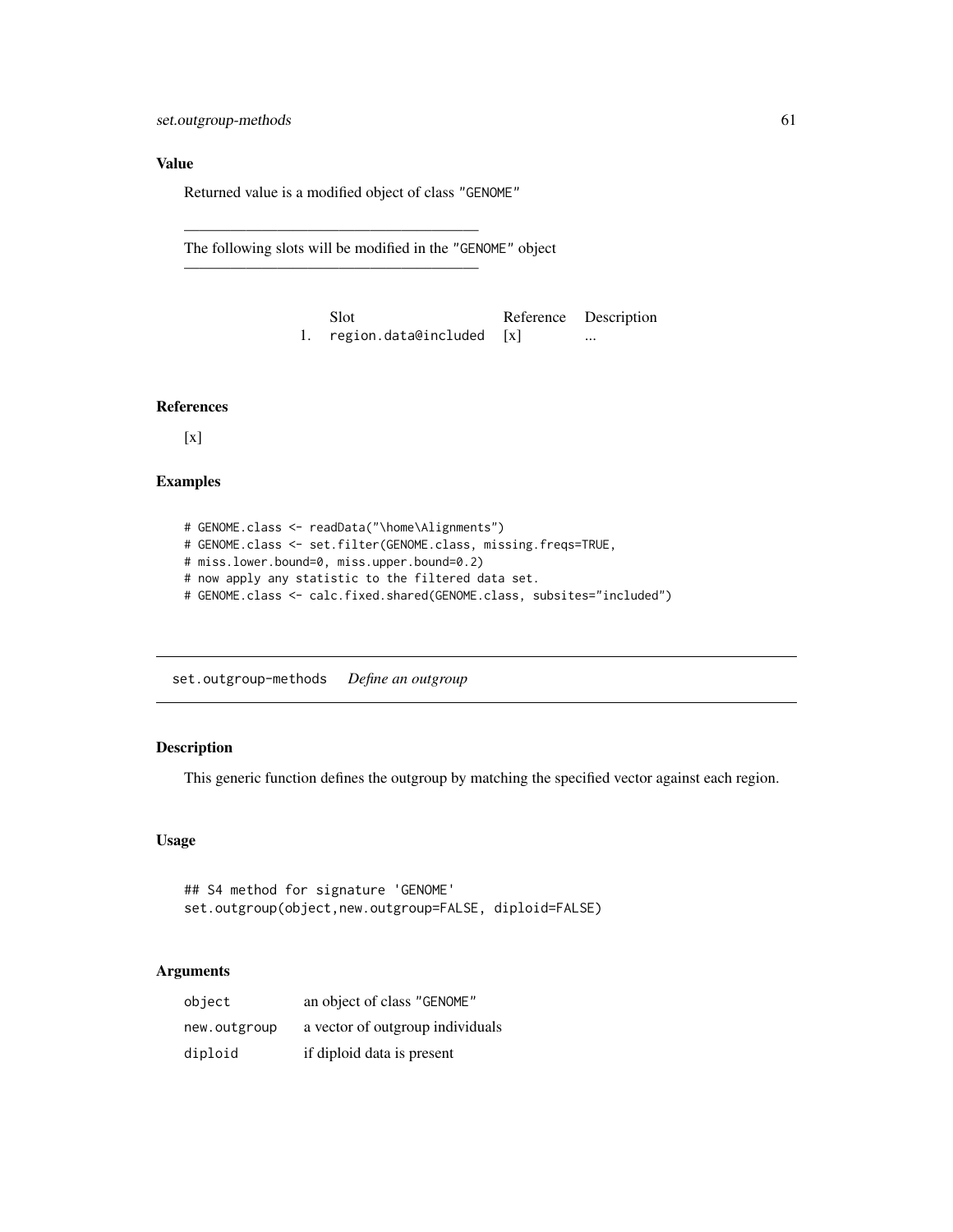# Value

Returned value is a modified object of class "GENOME"

———————————————————

———————————————————

The following slots will be modified in the "GENOME" object

| Slot                     | Reference Description |
|--------------------------|-----------------------|
| region.data@included [x] | $\cdots$              |

#### References

[x]

## Examples

```
# GENOME.class <- readData("\home\Alignments")
# GENOME.class <- set.filter(GENOME.class, missing.freqs=TRUE,
# miss.lower.bound=0, miss.upper.bound=0.2)
# now apply any statistic to the filtered data set.
# GENOME.class <- calc.fixed.shared(GENOME.class, subsites="included")
```
set.outgroup-methods *Define an outgroup*

## Description

This generic function defines the outgroup by matching the specified vector against each region.

## Usage

```
## S4 method for signature 'GENOME'
set.outgroup(object,new.outgroup=FALSE, diploid=FALSE)
```
## Arguments

| object       | an object of class "GENOME"      |
|--------------|----------------------------------|
| new.outgroup | a vector of outgroup individuals |
| diploid      | if diploid data is present       |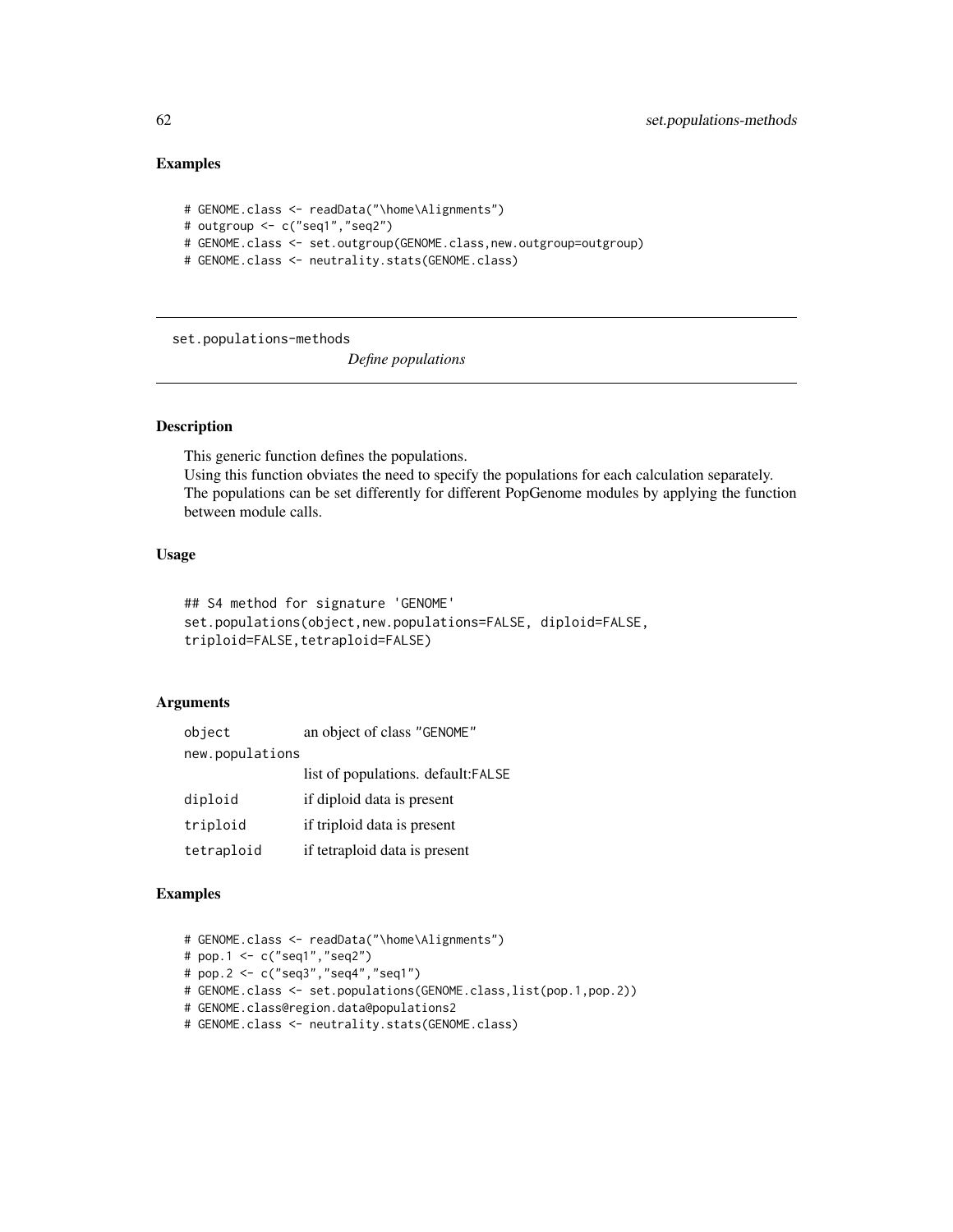## Examples

```
# GENOME.class <- readData("\home\Alignments")
# outgroup <- c("seq1","seq2")
# GENOME.class <- set.outgroup(GENOME.class,new.outgroup=outgroup)
# GENOME.class <- neutrality.stats(GENOME.class)
```
set.populations-methods

*Define populations*

# **Description**

This generic function defines the populations. Using this function obviates the need to specify the populations for each calculation separately. The populations can be set differently for different PopGenome modules by applying the function between module calls.

# Usage

```
## S4 method for signature 'GENOME'
set.populations(object,new.populations=FALSE, diploid=FALSE,
triploid=FALSE, tetraploid=FALSE)
```
## Arguments

| object          | an object of class "GENOME"         |
|-----------------|-------------------------------------|
| new.populations |                                     |
|                 | list of populations. default: FALSE |
| diploid         | if diploid data is present          |
| triploid        | if triploid data is present         |
| tetraploid      | if tetraploid data is present       |

## Examples

```
# GENOME.class <- readData("\home\Alignments")
# pop.1 <- c("seq1","seq2")
# pop.2 <- c("seq3","seq4","seq1")
# GENOME.class <- set.populations(GENOME.class,list(pop.1,pop.2))
# GENOME.class@region.data@populations2
# GENOME.class <- neutrality.stats(GENOME.class)
```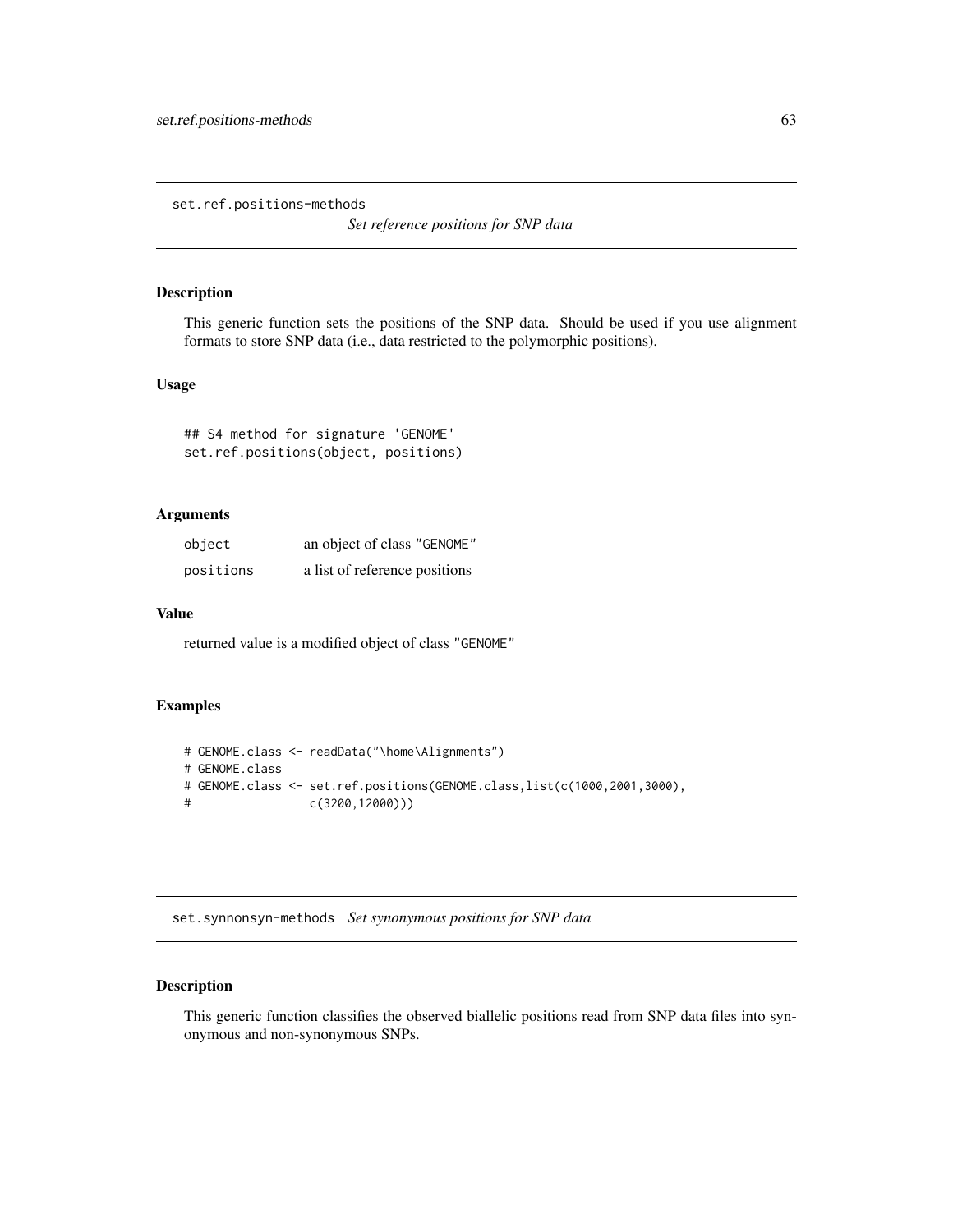set.ref.positions-methods

*Set reference positions for SNP data*

## Description

This generic function sets the positions of the SNP data. Should be used if you use alignment formats to store SNP data (i.e., data restricted to the polymorphic positions).

## Usage

## S4 method for signature 'GENOME' set.ref.positions(object, positions)

# Arguments

| object    | an object of class "GENOME"   |
|-----------|-------------------------------|
| positions | a list of reference positions |

#### Value

returned value is a modified object of class "GENOME"

#### Examples

```
# GENOME.class <- readData("\home\Alignments")
# GENOME.class
# GENOME.class <- set.ref.positions(GENOME.class,list(c(1000,2001,3000),
# c(3200,12000)))
```
set.synnonsyn-methods *Set synonymous positions for SNP data*

## Description

This generic function classifies the observed biallelic positions read from SNP data files into synonymous and non-synonymous SNPs.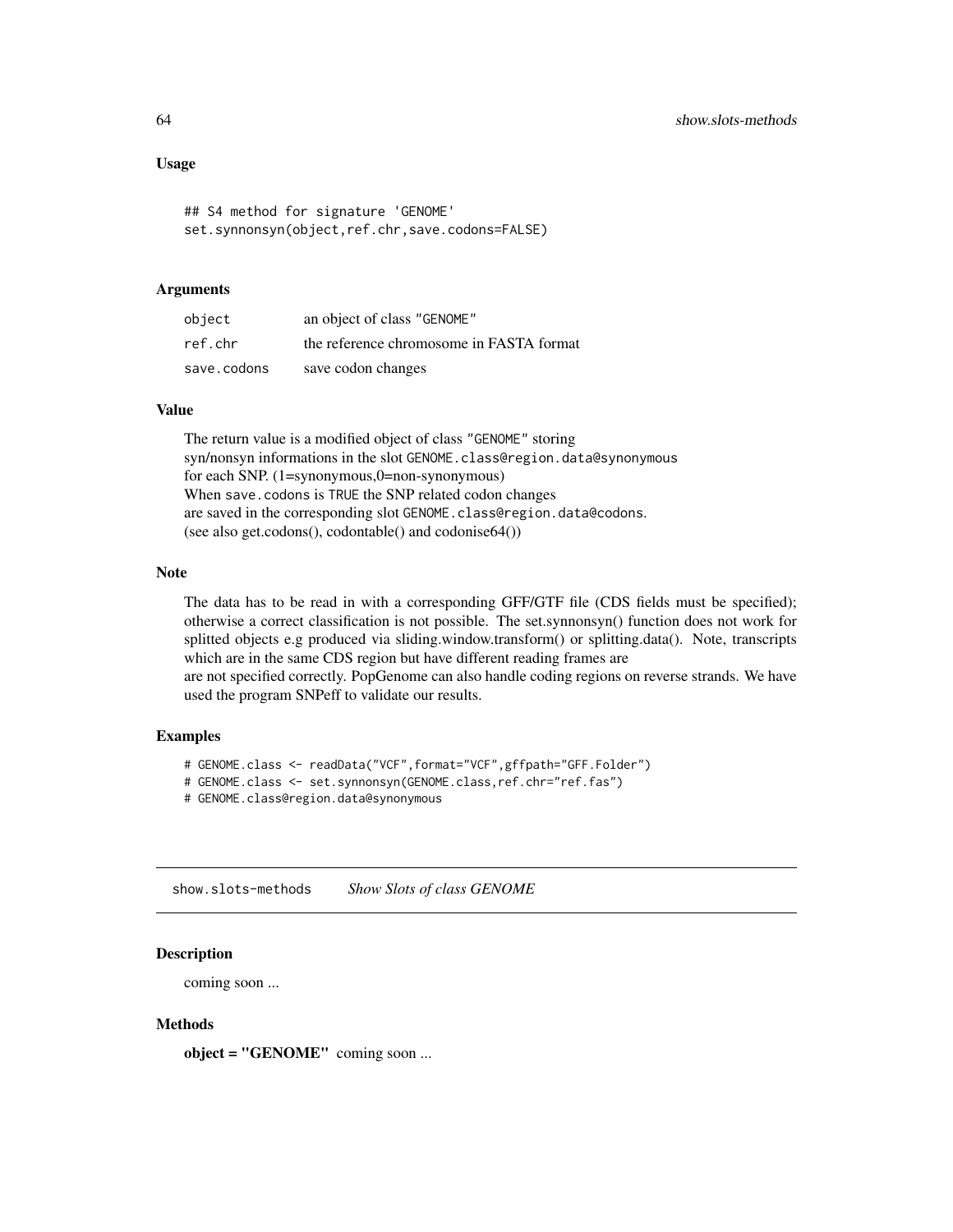## Usage

```
## S4 method for signature 'GENOME'
set.synnonsyn(object,ref.chr,save.codons=FALSE)
```
#### Arguments

| object      | an object of class "GENOME"              |
|-------------|------------------------------------------|
| ref.chr     | the reference chromosome in FASTA format |
| save.codons | save codon changes                       |

## Value

The return value is a modified object of class "GENOME" storing syn/nonsyn informations in the slot GENOME.class@region.data@synonymous for each SNP. (1=synonymous,0=non-synonymous) When save.codons is TRUE the SNP related codon changes are saved in the corresponding slot GENOME.class@region.data@codons. (see also get.codons(), codontable() and codonise64())

#### Note

The data has to be read in with a corresponding GFF/GTF file (CDS fields must be specified); otherwise a correct classification is not possible. The set.synnonsyn() function does not work for splitted objects e.g produced via sliding.window.transform() or splitting.data(). Note, transcripts which are in the same CDS region but have different reading frames are

are not specified correctly. PopGenome can also handle coding regions on reverse strands. We have used the program SNPeff to validate our results.

# Examples

```
# GENOME.class <- readData("VCF",format="VCF",gffpath="GFF.Folder")
```

```
# GENOME.class <- set.synnonsyn(GENOME.class,ref.chr="ref.fas")
```
# GENOME.class@region.data@synonymous

show.slots-methods *Show Slots of class GENOME*

#### Description

coming soon ...

#### **Methods**

object = "GENOME" coming soon ...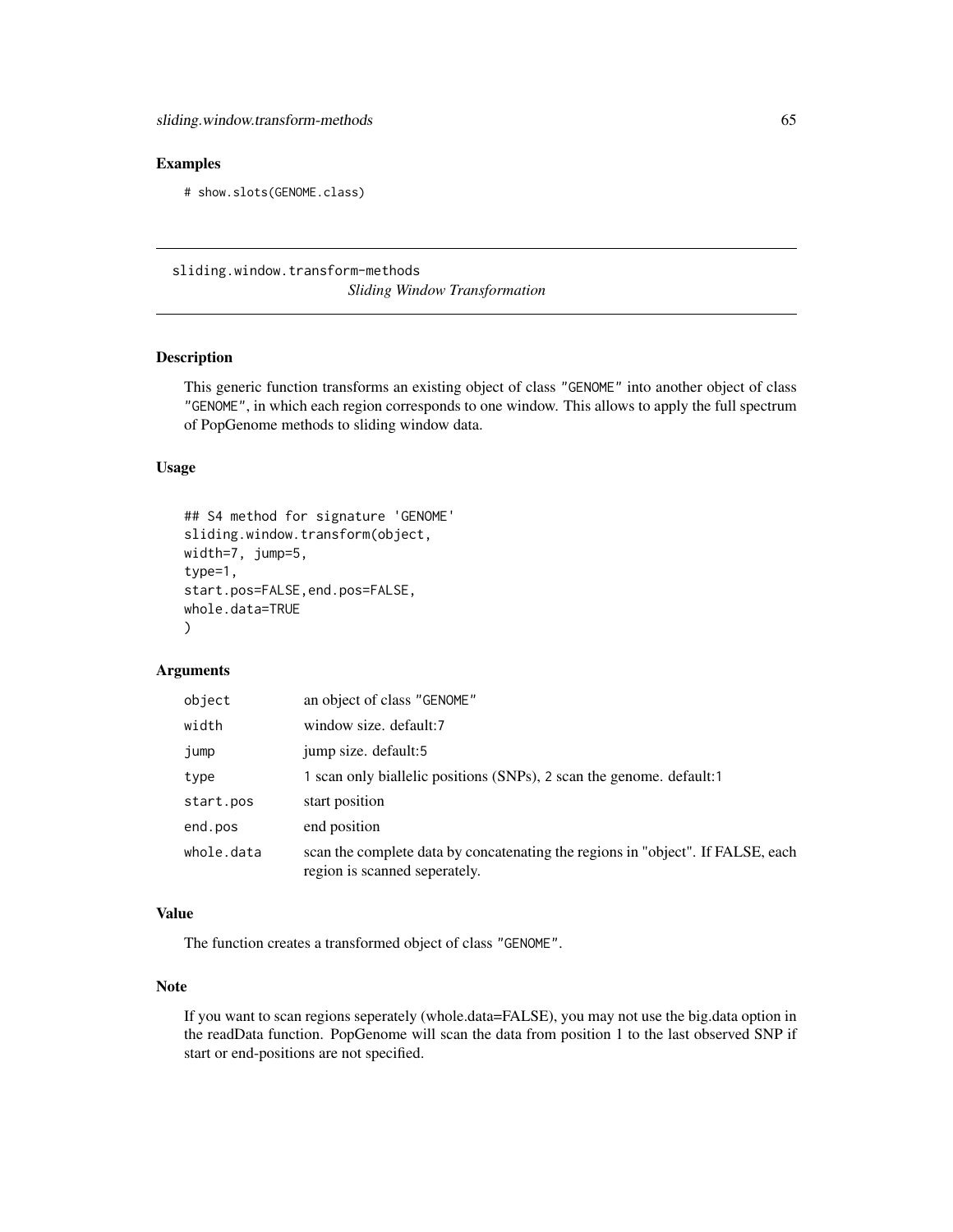#### Examples

# show.slots(GENOME.class)

sliding.window.transform-methods *Sliding Window Transformation*

## Description

This generic function transforms an existing object of class "GENOME" into another object of class "GENOME", in which each region corresponds to one window. This allows to apply the full spectrum of PopGenome methods to sliding window data.

### Usage

```
## S4 method for signature 'GENOME'
sliding.window.transform(object,
width=7, jump=5,
type=1,
start.pos=FALSE, end.pos=FALSE,
whole.data=TRUE
)
```
# Arguments

| object     | an object of class "GENOME"                                                                                      |
|------------|------------------------------------------------------------------------------------------------------------------|
| width      | window size, default:7                                                                                           |
| jump       | jump size. default:5                                                                                             |
| type       | 1 scan only biallelic positions (SNPs), 2 scan the genome. default:1                                             |
| start.pos  | start position                                                                                                   |
| end.pos    | end position                                                                                                     |
| whole.data | scan the complete data by concatenating the regions in "object". If FALSE, each<br>region is scanned seperately. |

## Value

The function creates a transformed object of class "GENOME".

#### Note

If you want to scan regions seperately (whole.data=FALSE), you may not use the big.data option in the readData function. PopGenome will scan the data from position 1 to the last observed SNP if start or end-positions are not specified.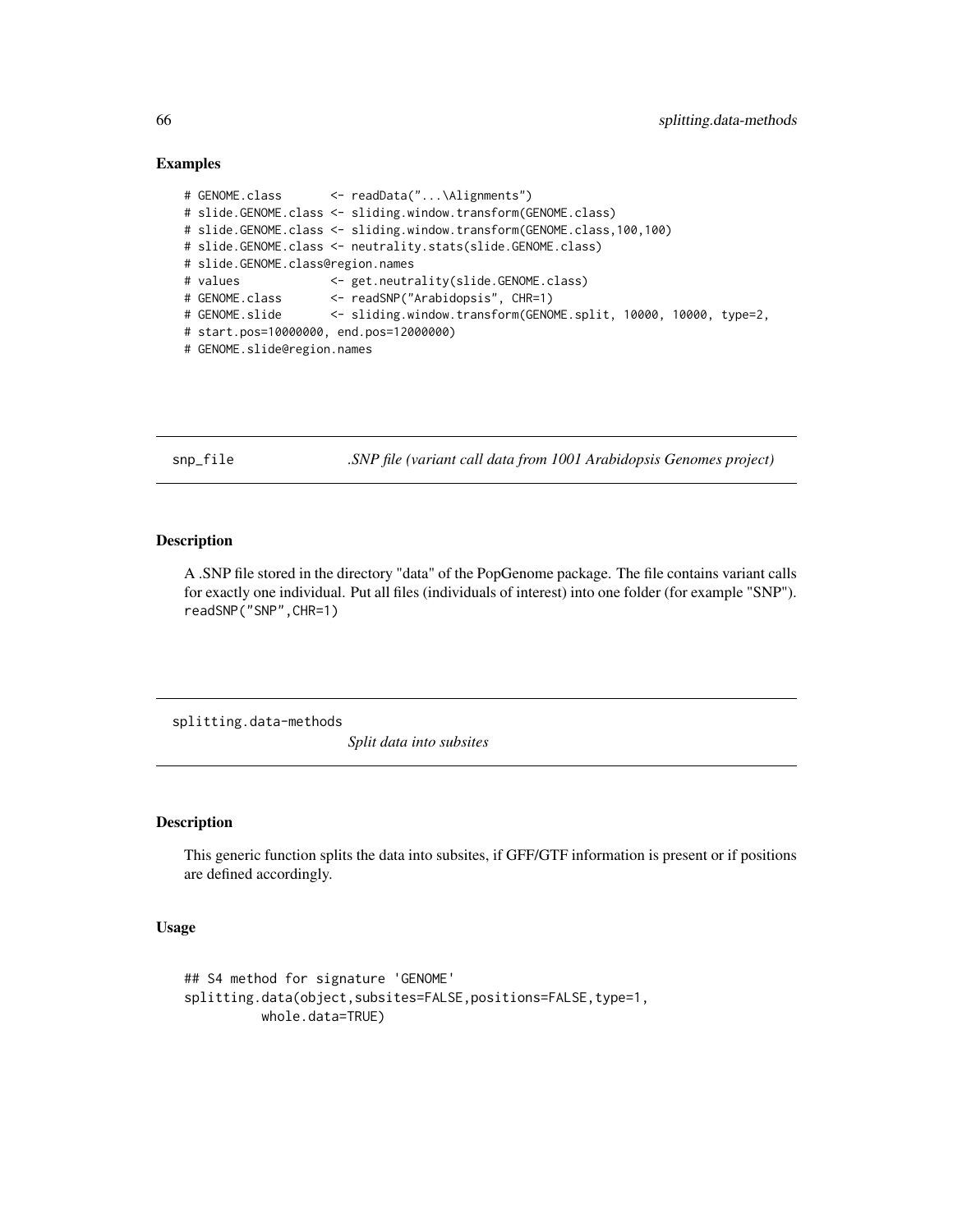#### Examples

```
# GENOME.class <- readData("...\Alignments")
# slide.GENOME.class <- sliding.window.transform(GENOME.class)
# slide.GENOME.class <- sliding.window.transform(GENOME.class,100,100)
# slide.GENOME.class <- neutrality.stats(slide.GENOME.class)
# slide.GENOME.class@region.names
# values <- get.neutrality(slide.GENOME.class)
# GENOME.class <- readSNP("Arabidopsis", CHR=1)
# GENOME.slide <- sliding.window.transform(GENOME.split, 10000, 10000, type=2,
# start.pos=10000000, end.pos=12000000)
# GENOME.slide@region.names
```
snp\_file *.SNP file (variant call data from 1001 Arabidopsis Genomes project)*

## **Description**

A .SNP file stored in the directory "data" of the PopGenome package. The file contains variant calls for exactly one individual. Put all files (individuals of interest) into one folder (for example "SNP"). readSNP("SNP",CHR=1)

splitting.data-methods

*Split data into subsites*

## Description

This generic function splits the data into subsites, if GFF/GTF information is present or if positions are defined accordingly.

#### Usage

```
## S4 method for signature 'GENOME'
splitting.data(object,subsites=FALSE,positions=FALSE,type=1,
          whole.data=TRUE)
```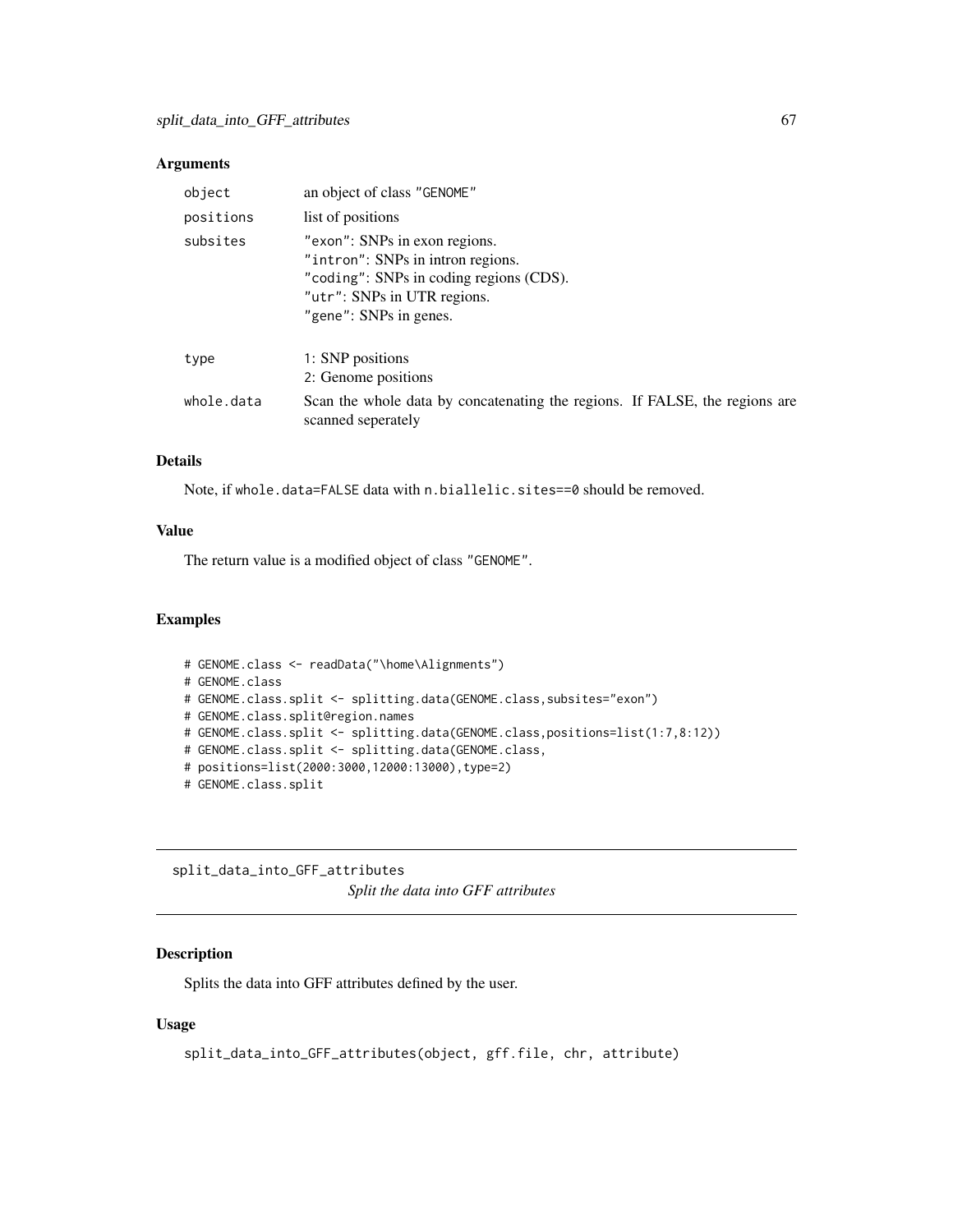## Arguments

| object     | an object of class "GENOME"                                                                                                                                            |
|------------|------------------------------------------------------------------------------------------------------------------------------------------------------------------------|
| positions  | list of positions                                                                                                                                                      |
| subsites   | "exon": SNPs in exon regions.<br>"intron": SNPs in intron regions.<br>"coding": SNPs in coding regions (CDS).<br>"utr": SNPs in UTR regions.<br>"gene": SNPs in genes. |
| type       | 1: SNP positions<br>2: Genome positions                                                                                                                                |
| whole.data | Scan the whole data by concatenating the regions. If FALSE, the regions are<br>scanned seperately                                                                      |

## Details

Note, if whole.data=FALSE data with n.biallelic.sites==0 should be removed.

## Value

The return value is a modified object of class "GENOME".

#### Examples

```
# GENOME.class <- readData("\home\Alignments")
# GENOME.class
# GENOME.class.split <- splitting.data(GENOME.class,subsites="exon")
# GENOME.class.split@region.names
# GENOME.class.split <- splitting.data(GENOME.class,positions=list(1:7,8:12))
# GENOME.class.split <- splitting.data(GENOME.class,
# positions=list(2000:3000,12000:13000),type=2)
# GENOME.class.split
```
split\_data\_into\_GFF\_attributes *Split the data into GFF attributes*

# Description

Splits the data into GFF attributes defined by the user.

#### Usage

```
split_data_into_GFF_attributes(object, gff.file, chr, attribute)
```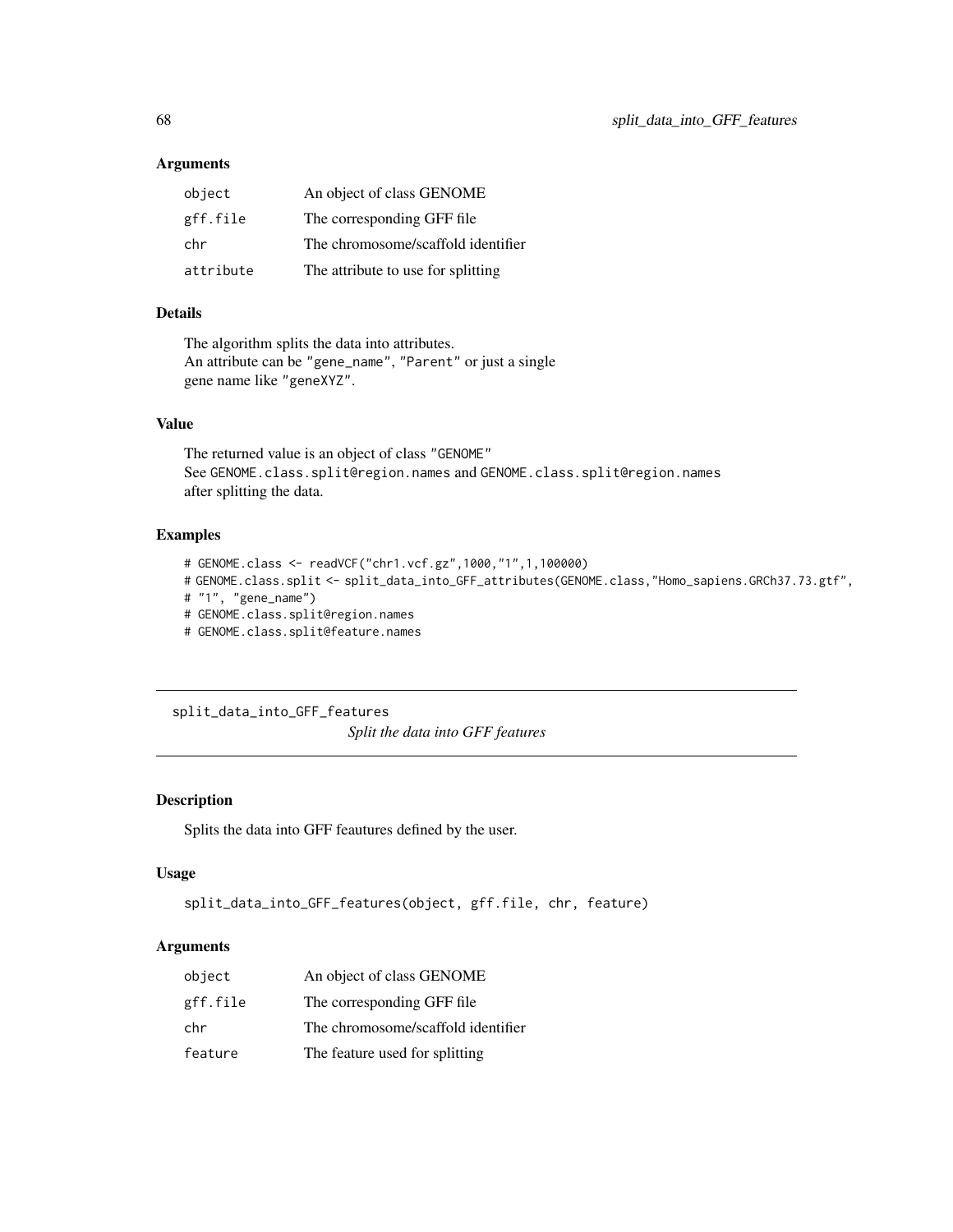#### Arguments

| object    | An object of class GENOME          |
|-----------|------------------------------------|
| gff.file  | The corresponding GFF file         |
| chr       | The chromosome/scaffold identifier |
| attribute | The attribute to use for splitting |

# Details

The algorithm splits the data into attributes. An attribute can be "gene\_name", "Parent" or just a single gene name like "geneXYZ".

## Value

The returned value is an object of class "GENOME" See GENOME.class.split@region.names and GENOME.class.split@region.names after splitting the data.

## Examples

```
# GENOME.class <- readVCF("chr1.vcf.gz",1000,"1",1,100000)
```
- # GENOME.class.split <- split\_data\_into\_GFF\_attributes(GENOME.class,"Homo\_sapiens.GRCh37.73.gtf",
- # "1", "gene\_name")
- # GENOME.class.split@region.names
- # GENOME.class.split@feature.names

split\_data\_into\_GFF\_features

*Split the data into GFF features*

## Description

Splits the data into GFF feautures defined by the user.

#### Usage

```
split_data_into_GFF_features(object, gff.file, chr, feature)
```
#### Arguments

| object   | An object of class GENOME          |
|----------|------------------------------------|
| gff.file | The corresponding GFF file         |
| chr      | The chromosome/scaffold identifier |
| feature  | The feature used for splitting     |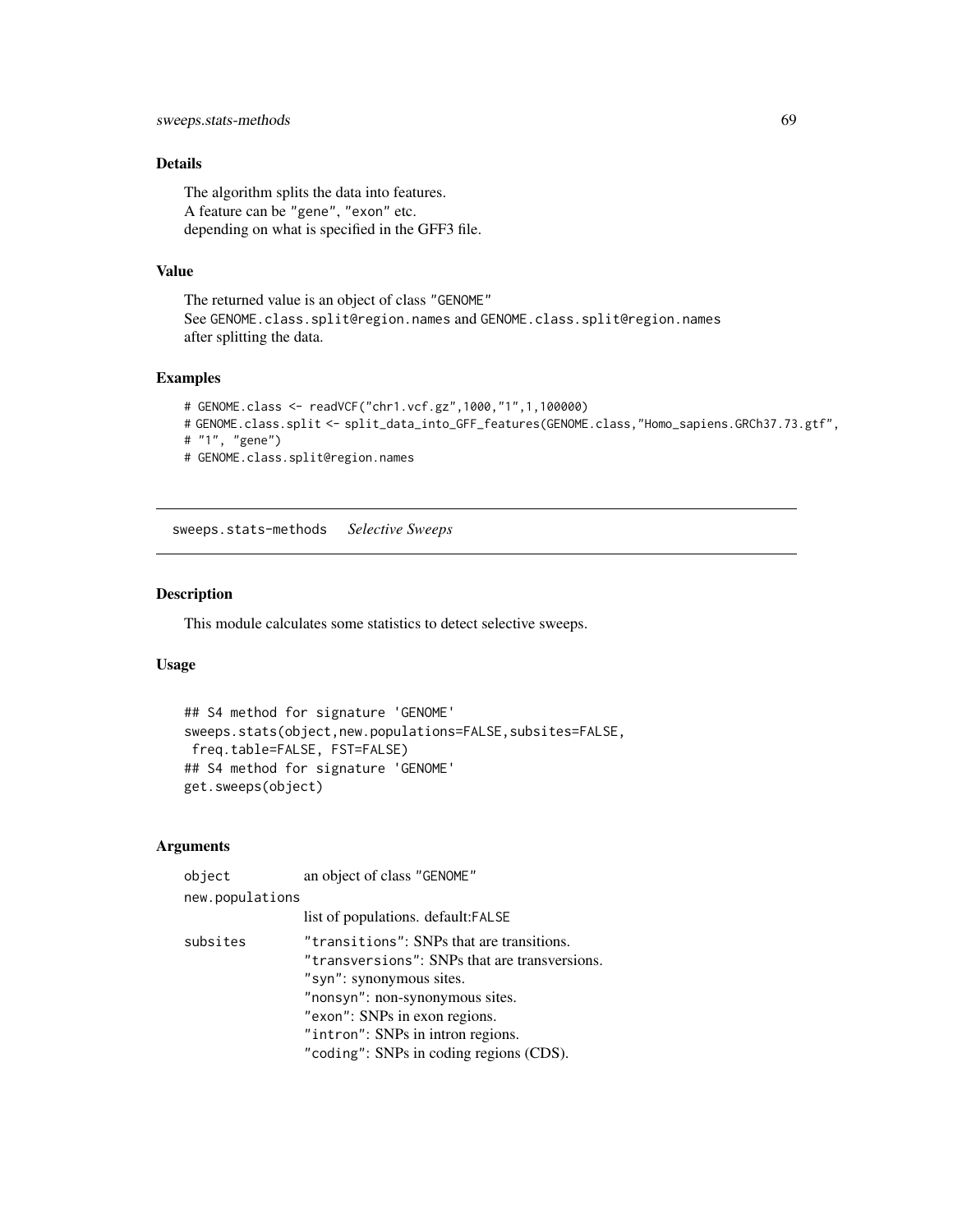# Details

The algorithm splits the data into features. A feature can be "gene", "exon" etc. depending on what is specified in the GFF3 file.

#### Value

The returned value is an object of class "GENOME" See GENOME.class.split@region.names and GENOME.class.split@region.names after splitting the data.

## Examples

```
# GENOME.class <- readVCF("chr1.vcf.gz",1000,"1",1,100000)
# GENOME.class.split <- split_data_into_GFF_features(GENOME.class,"Homo_sapiens.GRCh37.73.gtf",
# "1", "gene")
# GENOME.class.split@region.names
```
sweeps.stats-methods *Selective Sweeps*

#### Description

This module calculates some statistics to detect selective sweeps.

#### Usage

```
## S4 method for signature 'GENOME'
sweeps.stats(object,new.populations=FALSE,subsites=FALSE,
freq.table=FALSE, FST=FALSE)
## S4 method for signature 'GENOME'
get.sweeps(object)
```
## Arguments

| object          | an object of class "GENOME"                                                                                                                                                                                                                                                |  |
|-----------------|----------------------------------------------------------------------------------------------------------------------------------------------------------------------------------------------------------------------------------------------------------------------------|--|
| new.populations |                                                                                                                                                                                                                                                                            |  |
|                 | list of populations. default: FALSE                                                                                                                                                                                                                                        |  |
| subsites        | "transitions": SNPs that are transitions.<br>"transversions": SNPs that are transversions.<br>"syn": synonymous sites.<br>"nonsyn": non-synonymous sites.<br>"exon": SNPs in exon regions.<br>"intron": SNPs in intron regions.<br>"coding": SNPs in coding regions (CDS). |  |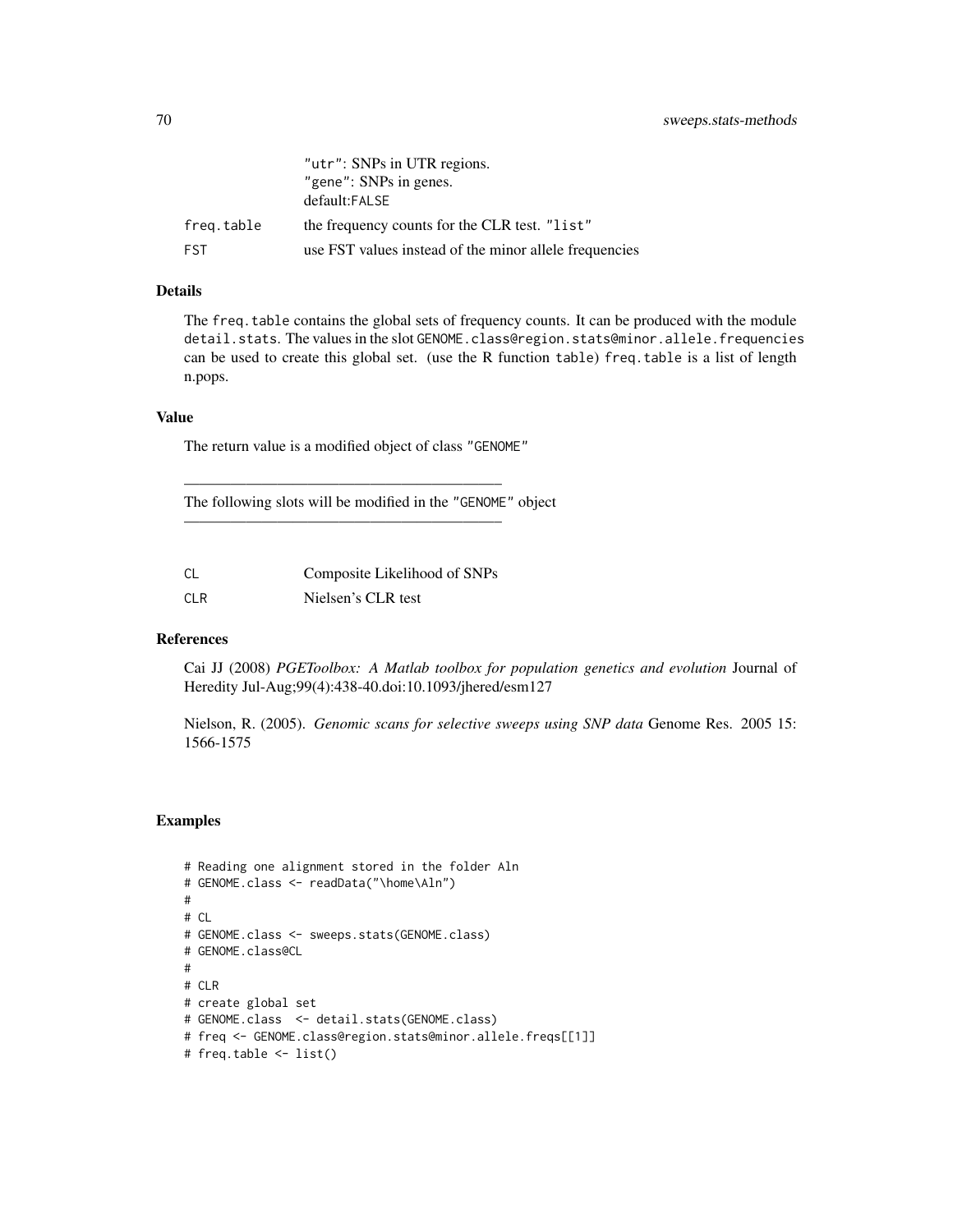|            | "utr": SNPs in UTR regions.<br>"gene": SNPs in genes.<br>default:FALSE |
|------------|------------------------------------------------------------------------|
| freg.table | the frequency counts for the CLR test. "list"                          |
| <b>FST</b> | use FST values instead of the minor allele frequencies                 |

## Details

The freq.table contains the global sets of frequency counts. It can be produced with the module detail.stats. The values in the slot GENOME.class@region.stats@minor.allele.frequencies can be used to create this global set. (use the R function table) freq.table is a list of length n.pops.

#### Value

The return value is a modified object of class "GENOME"

————————————————————–

————————————————————–

The following slots will be modified in the "GENOME" object

| - CL | Composite Likelihood of SNPs |
|------|------------------------------|
| CLR  | Nielsen's CLR test           |

#### References

Cai JJ (2008) *PGEToolbox: A Matlab toolbox for population genetics and evolution* Journal of Heredity Jul-Aug;99(4):438-40.doi:10.1093/jhered/esm127

Nielson, R. (2005). *Genomic scans for selective sweeps using SNP data* Genome Res. 2005 15: 1566-1575

## Examples

```
# Reading one alignment stored in the folder Aln
# GENOME.class <- readData("\home\Aln")
#
# CL
# GENOME.class <- sweeps.stats(GENOME.class)
# GENOME.class@CL
#
# CLR
# create global set
# GENOME.class <- detail.stats(GENOME.class)
# freq <- GENOME.class@region.stats@minor.allele.freqs[[1]]
# freq.table <- list()
```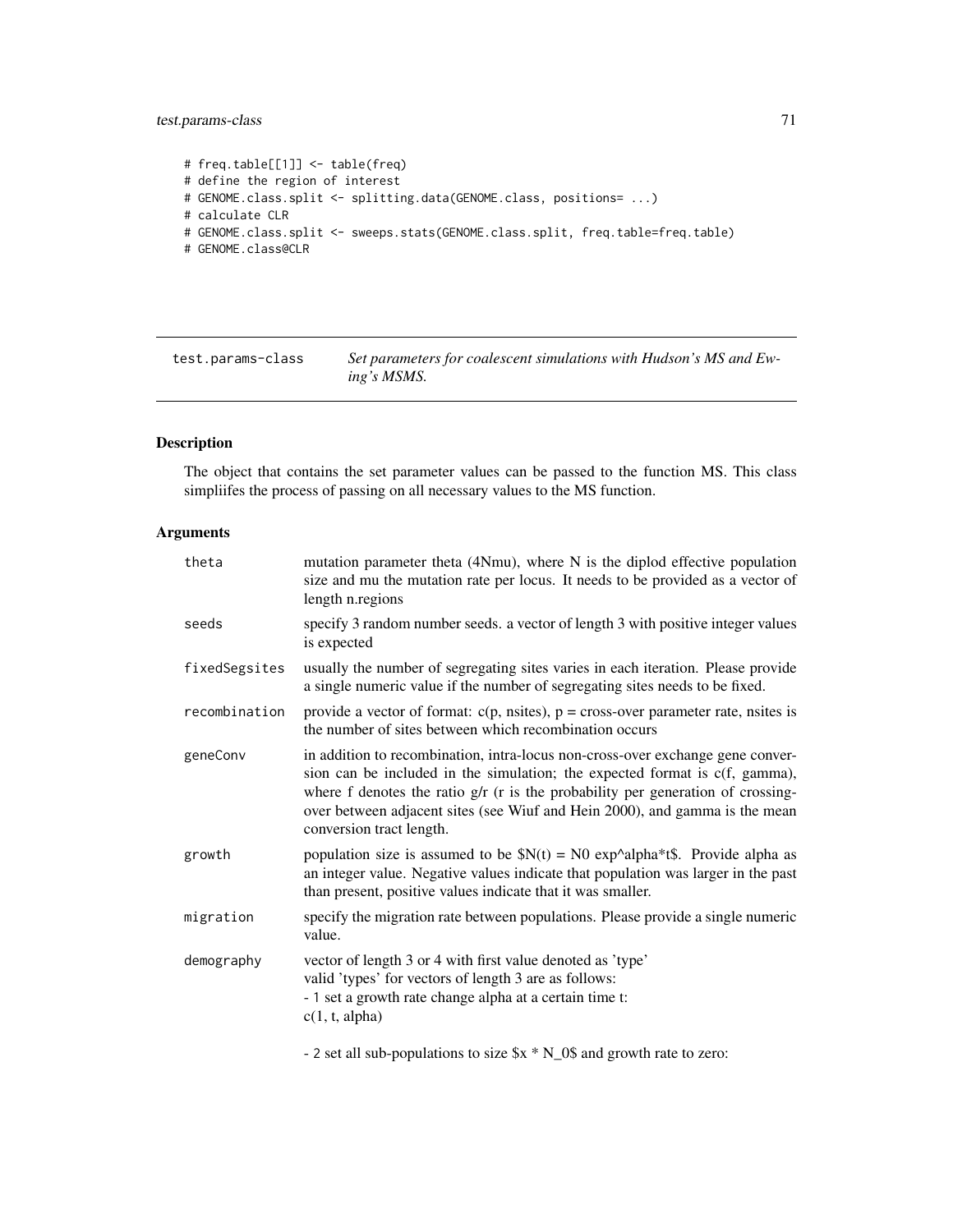## test.params-class 71

```
# freq.table[[1]] <- table(freq)
# define the region of interest
# GENOME.class.split <- splitting.data(GENOME.class, positions= ...)
# calculate CLR
# GENOME.class.split <- sweeps.stats(GENOME.class.split, freq.table=freq.table)
# GENOME.class@CLR
```
test.params-class *Set parameters for coalescent simulations with Hudson's MS and Ewing's MSMS.*

# Description

The object that contains the set parameter values can be passed to the function MS. This class simpliifes the process of passing on all necessary values to the MS function.

## Arguments

| theta         | mutation parameter theta (4Nmu), where N is the diplod effective population<br>size and mu the mutation rate per locus. It needs to be provided as a vector of<br>length n. regions                                                                                                                                                                                |
|---------------|--------------------------------------------------------------------------------------------------------------------------------------------------------------------------------------------------------------------------------------------------------------------------------------------------------------------------------------------------------------------|
| seeds         | specify 3 random number seeds. a vector of length 3 with positive integer values<br>is expected                                                                                                                                                                                                                                                                    |
| fixedSegsites | usually the number of segregating sites varies in each iteration. Please provide<br>a single numeric value if the number of segregating sites needs to be fixed.                                                                                                                                                                                                   |
| recombination | provide a vector of format: $c(p, nsites)$ , $p = cross-over parameter rate$ , nsites is<br>the number of sites between which recombination occurs                                                                                                                                                                                                                 |
| geneConv      | in addition to recombination, intra-locus non-cross-over exchange gene conver-<br>sion can be included in the simulation; the expected format is c(f, gamma),<br>where $f$ denotes the ratio $g/r$ ( $r$ is the probability per generation of crossing-<br>over between adjacent sites (see Wiuf and Hein 2000), and gamma is the mean<br>conversion tract length. |
| growth        | population size is assumed to be $N(t) = N0 \exp^{\lambda} \alpha + \frac{1}{2}$ . Provide alpha as<br>an integer value. Negative values indicate that population was larger in the past<br>than present, positive values indicate that it was smaller.                                                                                                            |
| migration     | specify the migration rate between populations. Please provide a single numeric<br>value.                                                                                                                                                                                                                                                                          |
| demography    | vector of length 3 or 4 with first value denoted as 'type'<br>valid 'types' for vectors of length 3 are as follows:<br>- 1 set a growth rate change alpha at a certain time t:<br>c(1, t, alpha)                                                                                                                                                                   |
|               | $\blacksquare$                                                                                                                                                                                                                                                                                                                                                     |

- 2 set all sub-populations to size \$x \* N\_0\$ and growth rate to zero: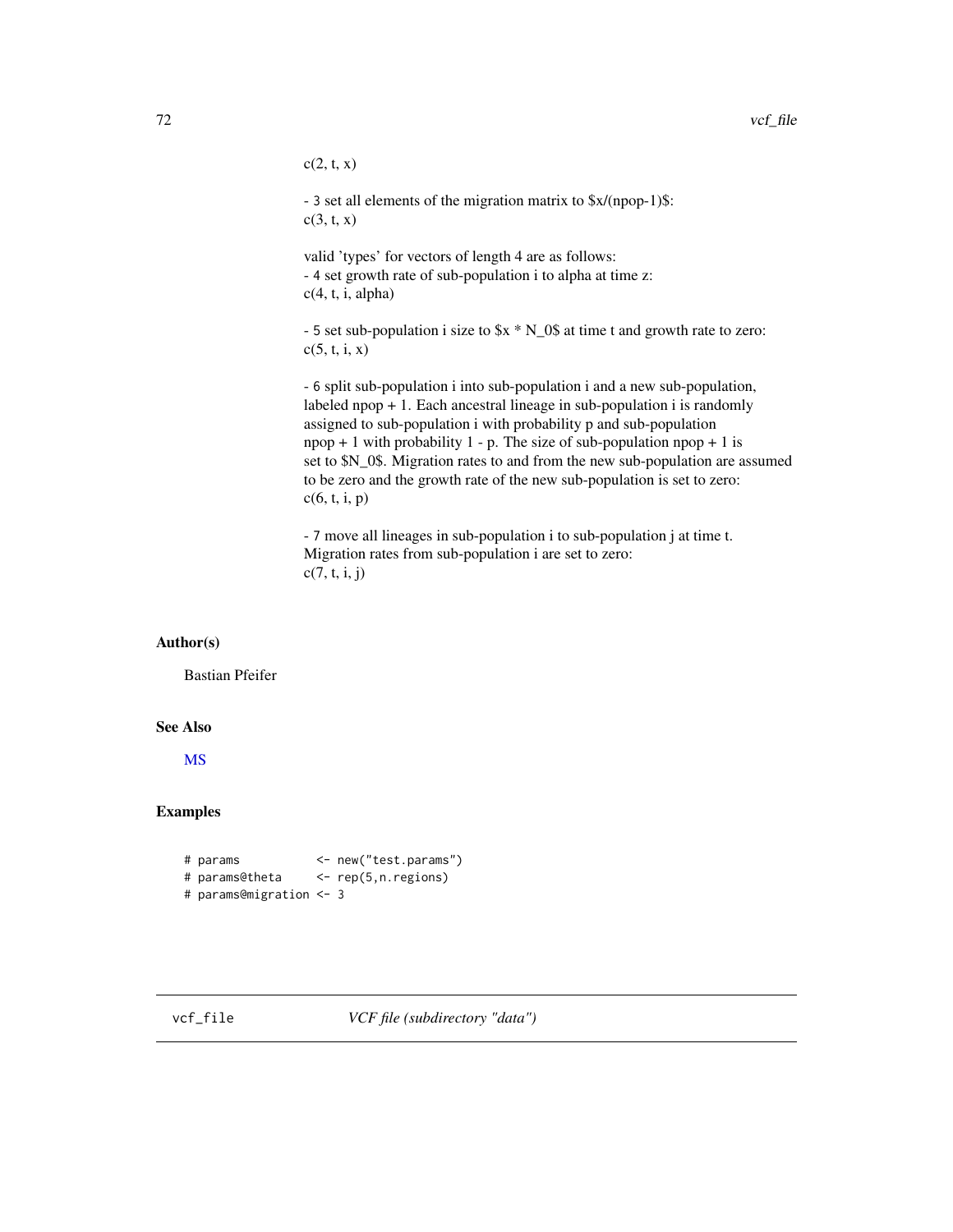$c(2, t, x)$ 

- 3 set all elements of the migration matrix to \$x/(npop-1)\$:  $c(3, t, x)$ 

valid 'types' for vectors of length 4 are as follows: - 4 set growth rate of sub-population i to alpha at time z:  $c(4, t, i, alpha)$ 

- 5 set sub-population i size to \$x \* N\_0\$ at time t and growth rate to zero:  $c(5, t, i, x)$ 

- 6 split sub-population i into sub-population i and a new sub-population, labeled npop + 1. Each ancestral lineage in sub-population i is randomly assigned to sub-population i with probability p and sub-population  $npop + 1$  with probability 1 - p. The size of sub-population npop + 1 is set to \$N\_0\$. Migration rates to and from the new sub-population are assumed to be zero and the growth rate of the new sub-population is set to zero:  $c(6, t, i, p)$ 

- 7 move all lineages in sub-population i to sub-population j at time t. Migration rates from sub-population i are set to zero:  $c(7, t, i, j)$ 

#### Author(s)

Bastian Pfeifer

#### See Also

[MS](#page-39-0)

## Examples

```
# params <- new("test.params")
# params@theta <- rep(5,n.regions)
# params@migration <- 3
```
vcf\_file *VCF file (subdirectory "data")*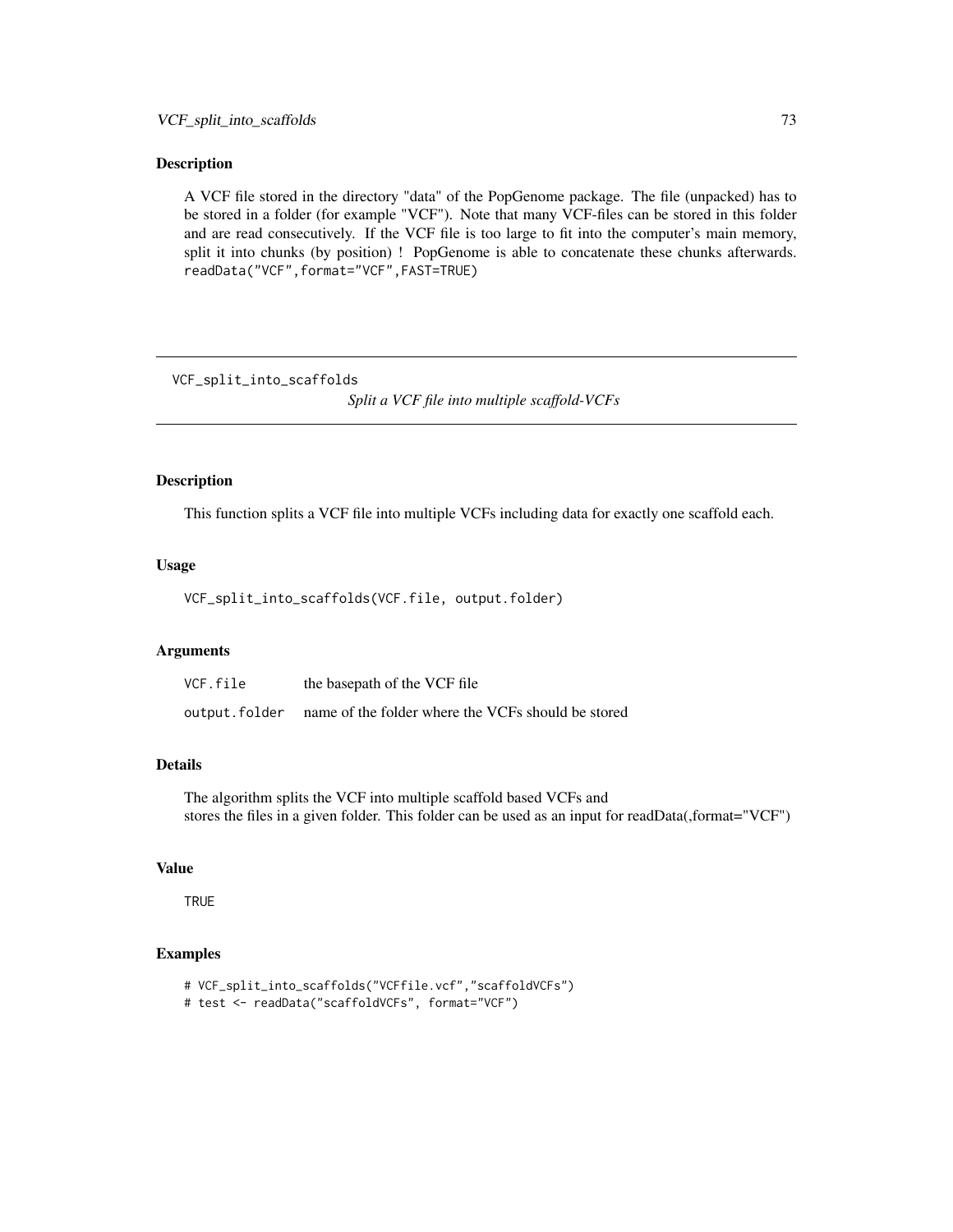#### <span id="page-72-0"></span>Description

A VCF file stored in the directory "data" of the PopGenome package. The file (unpacked) has to be stored in a folder (for example "VCF"). Note that many VCF-files can be stored in this folder and are read consecutively. If the VCF file is too large to fit into the computer's main memory, split it into chunks (by position) ! PopGenome is able to concatenate these chunks afterwards. readData("VCF",format="VCF",FAST=TRUE)

VCF\_split\_into\_scaffolds

*Split a VCF file into multiple scaffold-VCFs*

# Description

This function splits a VCF file into multiple VCFs including data for exactly one scaffold each.

### Usage

VCF\_split\_into\_scaffolds(VCF.file, output.folder)

# Arguments

| VCF.file      | the basepath of the VCF file                       |
|---------------|----------------------------------------------------|
| output.folder | name of the folder where the VCFs should be stored |

## Details

The algorithm splits the VCF into multiple scaffold based VCFs and stores the files in a given folder. This folder can be used as an input for readData(,format="VCF")

## Value

**TRUE** 

# Examples

- # VCF\_split\_into\_scaffolds("VCFfile.vcf","scaffoldVCFs")
- # test <- readData("scaffoldVCFs", format="VCF")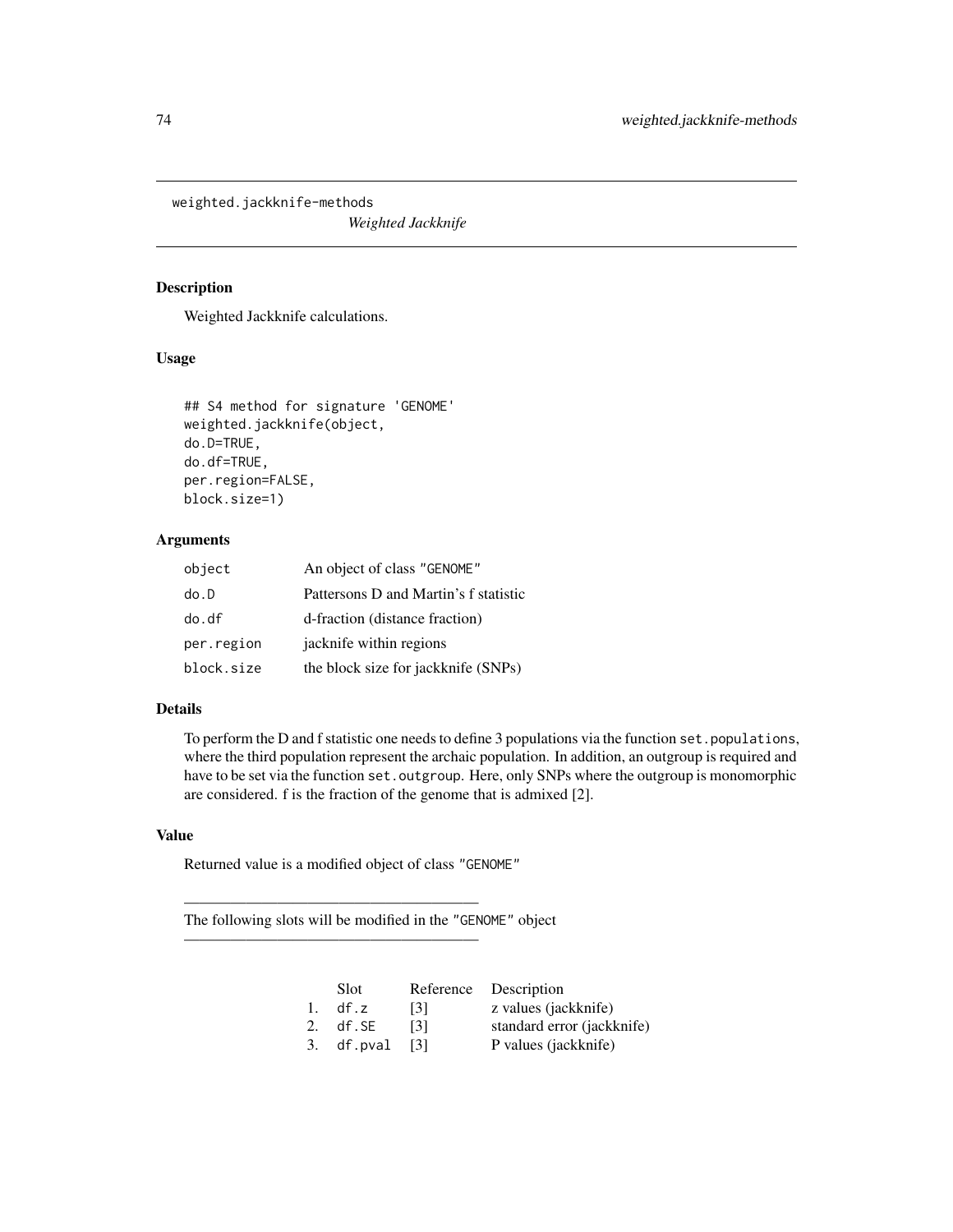<span id="page-73-0"></span>weighted.jackknife-methods

*Weighted Jackknife*

### Description

Weighted Jackknife calculations.

# Usage

```
## S4 method for signature 'GENOME'
weighted.jackknife(object,
do.D=TRUE,
do.df=TRUE,
per.region=FALSE,
block.size=1)
```
# Arguments

| object     | An object of class "GENOME"           |
|------------|---------------------------------------|
| do.D       | Pattersons D and Martin's f statistic |
| do.df      | d-fraction (distance fraction)        |
| per.region | jacknife within regions               |
| block.size | the block size for jackknife (SNPs)   |

#### Details

To perform the D and f statistic one needs to define 3 populations via the function set.populations, where the third population represent the archaic population. In addition, an outgroup is required and have to be set via the function set. outgroup. Here, only SNPs where the outgroup is monomorphic are considered. f is the fraction of the genome that is admixed [2].

## Value

Returned value is a modified object of class "GENOME"

———————————————————

———————————————————

The following slots will be modified in the "GENOME" object

|                | Slot       |      | Reference Description      |
|----------------|------------|------|----------------------------|
| $\mathbf{1}$ . | df.z       | [3]  | z values (jackknife)       |
|                | 2. df.SE   | [3]  | standard error (jackknife) |
|                | 3. df.pval | -131 | P values (jackknife)       |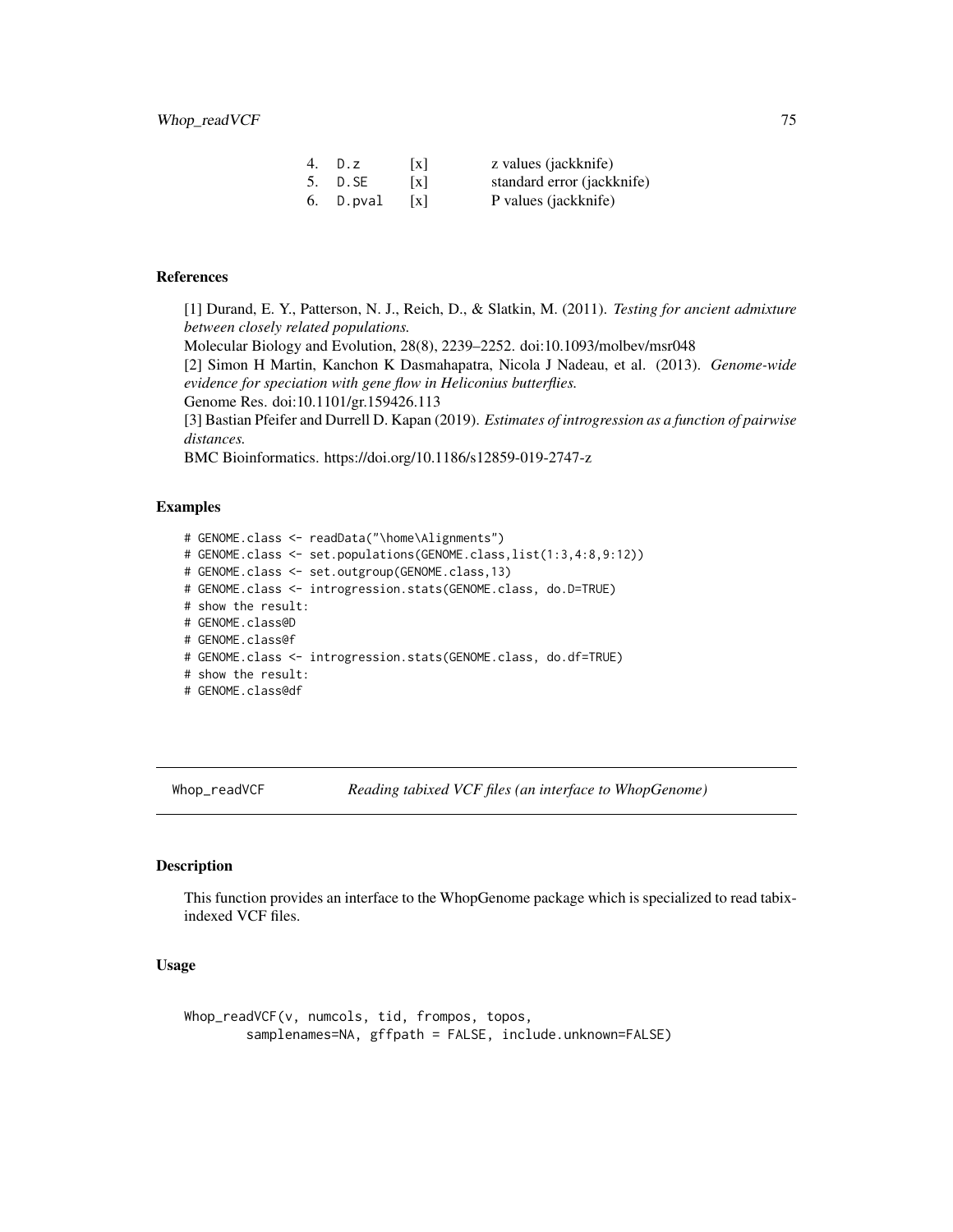<span id="page-74-0"></span>

| 4. | D.Z       | $\lceil x \rceil$ | z values (jackknife)       |
|----|-----------|-------------------|----------------------------|
|    | 5. D.SE   | $\lceil x \rceil$ | standard error (jackknife) |
|    | 6. D.pval | $\vert x \vert$   | P values (jackknife)       |

## References

[1] Durand, E. Y., Patterson, N. J., Reich, D., & Slatkin, M. (2011). *Testing for ancient admixture between closely related populations.* Molecular Biology and Evolution, 28(8), 2239–2252. doi:10.1093/molbev/msr048 [2] Simon H Martin, Kanchon K Dasmahapatra, Nicola J Nadeau, et al. (2013). *Genome-wide evidence for speciation with gene flow in Heliconius butterflies.* Genome Res. doi:10.1101/gr.159426.113 [3] Bastian Pfeifer and Durrell D. Kapan (2019). *Estimates of introgression as a function of pairwise distances.*

BMC Bioinformatics. https://doi.org/10.1186/s12859-019-2747-z

# **Examples**

# GENOME.class <- readData("\home\Alignments") # GENOME.class <- set.populations(GENOME.class,list(1:3,4:8,9:12)) # GENOME.class <- set.outgroup(GENOME.class,13) # GENOME.class <- introgression.stats(GENOME.class, do.D=TRUE) # show the result: # GENOME.class@D # GENOME.class@f # GENOME.class <- introgression.stats(GENOME.class, do.df=TRUE) # show the result: # GENOME.class@df

Whop\_readVCF *Reading tabixed VCF files (an interface to WhopGenome)*

#### Description

This function provides an interface to the WhopGenome package which is specialized to read tabixindexed VCF files.

## Usage

```
Whop_readVCF(v, numcols, tid, frompos, topos,
        samplenames=NA, gffpath = FALSE, include.unknown=FALSE)
```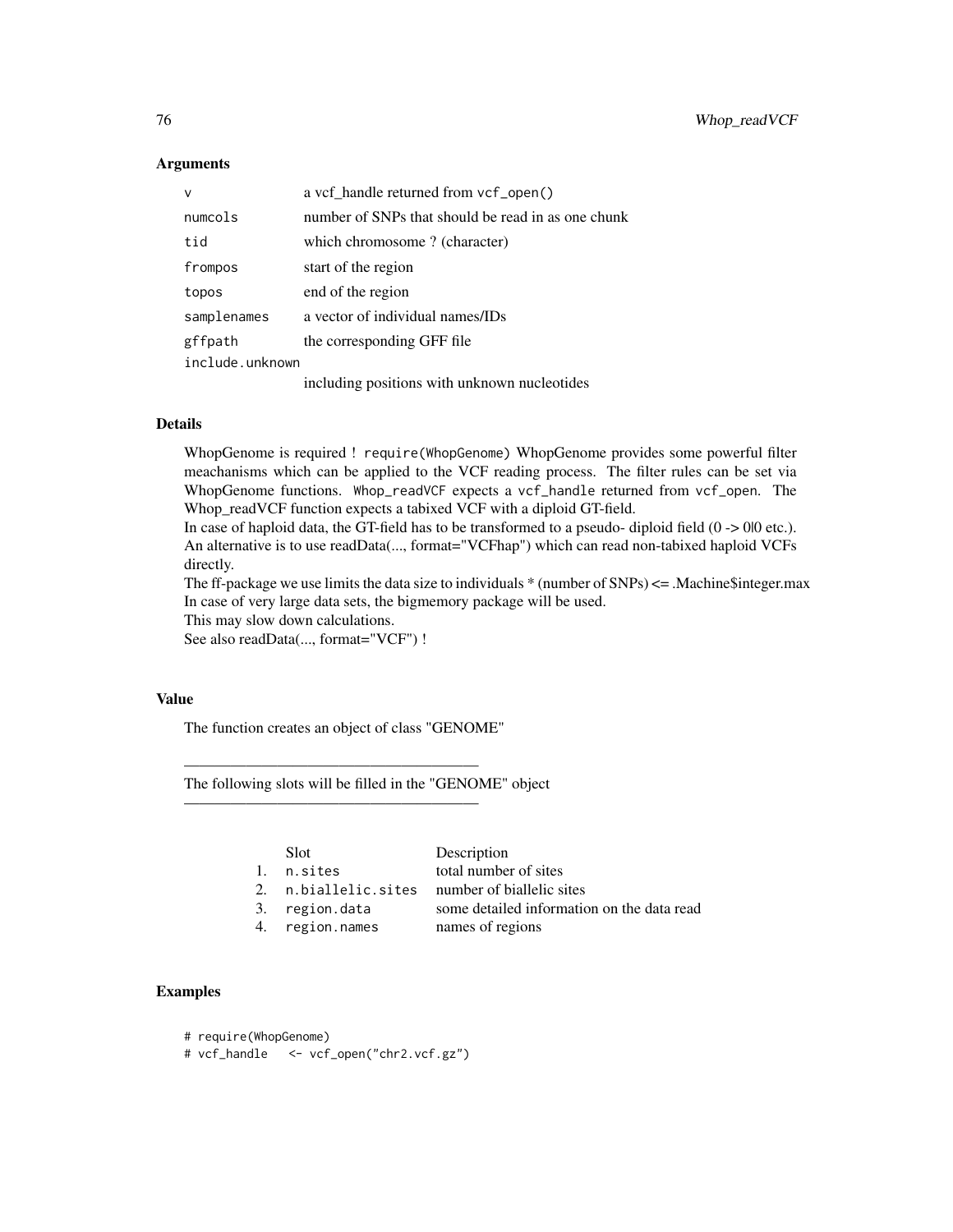#### Arguments

| $\vee$          | a vcf_handle returned from vcf_open()              |  |
|-----------------|----------------------------------------------------|--|
| numcols         | number of SNPs that should be read in as one chunk |  |
| tid             | which chromosome? (character)                      |  |
| frompos         | start of the region                                |  |
| topos           | end of the region                                  |  |
| samplenames     | a vector of individual names/IDs                   |  |
| gffpath         | the corresponding GFF file                         |  |
| include.unknown |                                                    |  |
|                 | including positions with unknown nucleotides       |  |

# Details

WhopGenome is required ! require(WhopGenome) WhopGenome provides some powerful filter meachanisms which can be applied to the VCF reading process. The filter rules can be set via WhopGenome functions. Whop\_readVCF expects a vcf\_handle returned from vcf\_open. The Whop\_readVCF function expects a tabixed VCF with a diploid GT-field.

In case of haploid data, the GT-field has to be transformed to a pseudo- diploid field  $(0 \rightarrow 0|0 \text{ etc.})$ . An alternative is to use readData(..., format="VCFhap") which can read non-tabixed haploid VCFs directly.

The ff-package we use limits the data size to individuals  $*$  (number of SNPs)  $\lt =$  .Machine\$integer.max In case of very large data sets, the bigmemory package will be used.

This may slow down calculations.

See also readData(..., format="VCF") !

## Value

The function creates an object of class "GENOME"

———————————————————

———————————————————

The following slots will be filled in the "GENOME" object

|    | Slot              | Description                                |
|----|-------------------|--------------------------------------------|
|    | 1. n.sites        | total number of sites                      |
| 2. | n.biallelic.sites | number of biallelic sites                  |
|    | 3. region.data    | some detailed information on the data read |
|    | 4. region.names   | names of regions                           |
|    |                   |                                            |

# Examples

|  | # require(WhopGenome) |  |
|--|-----------------------|--|
|--|-----------------------|--|

# vcf\_handle <- vcf\_open("chr2.vcf.gz")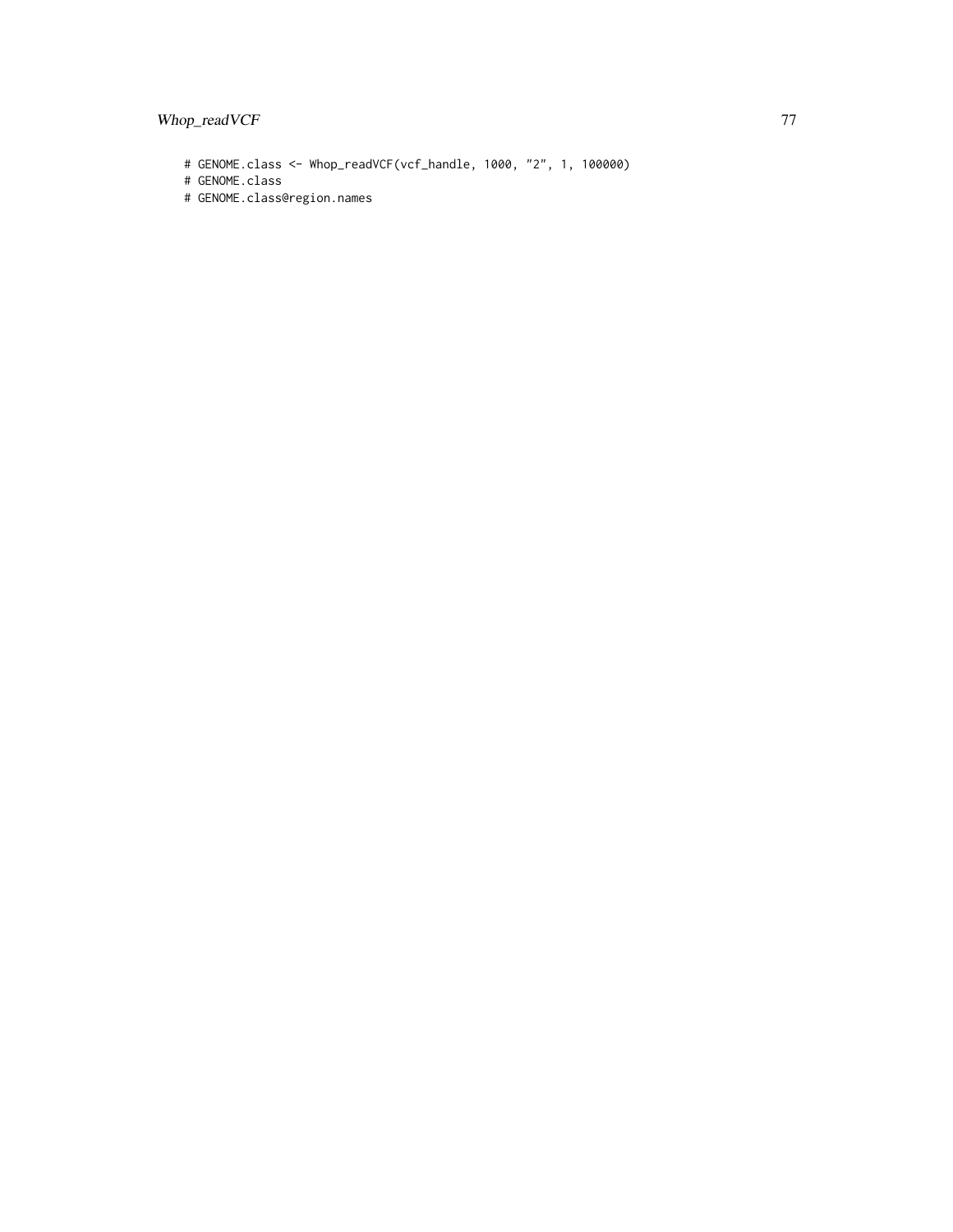```
# GENOME.class <- Whop_readVCF(vcf_handle, 1000, "2", 1, 100000)
```

```
# GENOME.class
```
# GENOME.class@region.names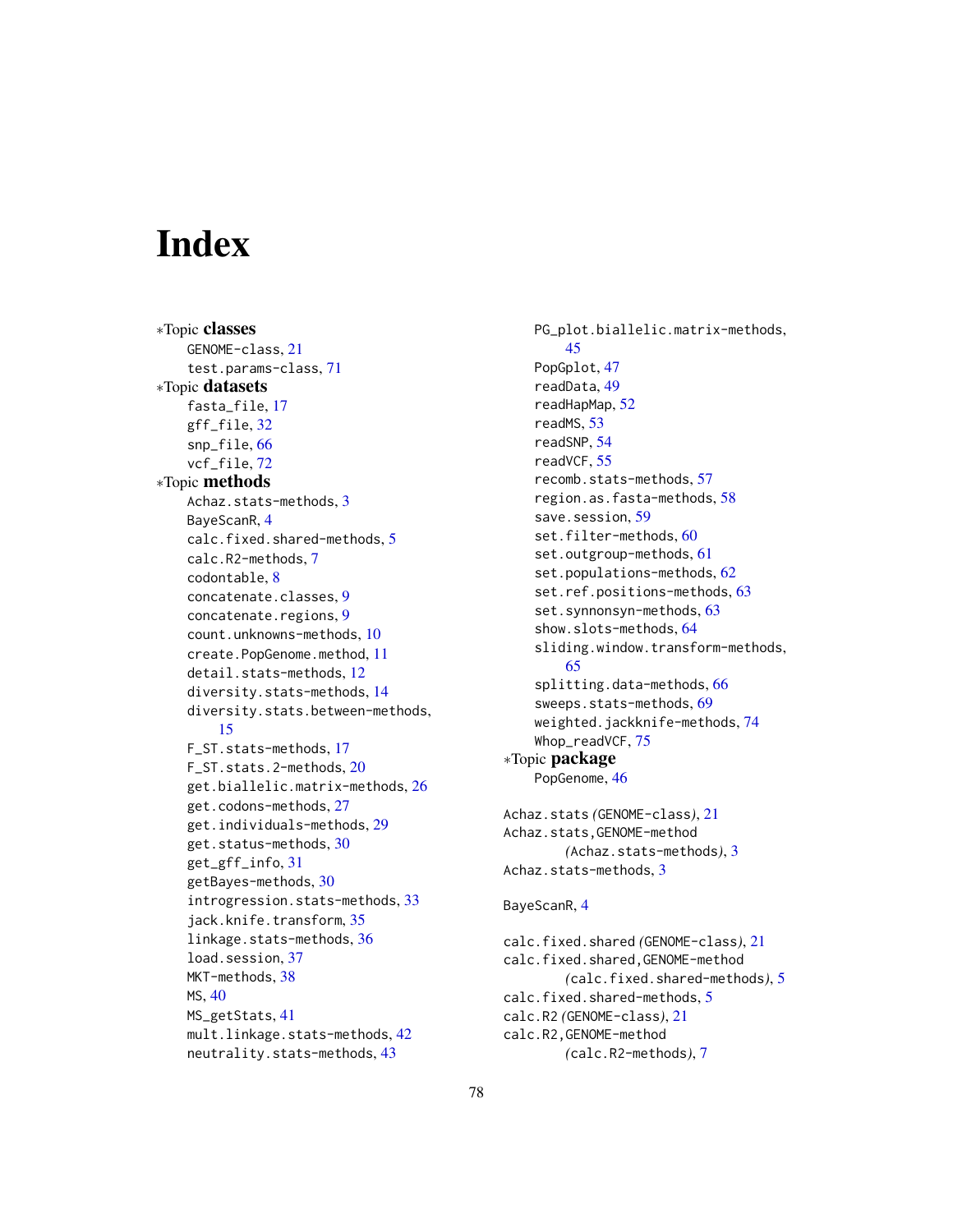# **Index**

∗Topic classes GENOME-class, [21](#page-20-0) test.params-class, [71](#page-70-0) ∗Topic datasets fasta\_file, [17](#page-16-0) gff\_file, [32](#page-31-0) snp\_file, [66](#page-65-0) vcf\_file, [72](#page-71-0) ∗Topic methods Achaz.stats-methods, [3](#page-2-0) BayeScanR, [4](#page-3-0) calc.fixed.shared-methods, [5](#page-4-0) calc.R2-methods, [7](#page-6-0) codontable, [8](#page-7-0) concatenate.classes, [9](#page-8-0) concatenate.regions, [9](#page-8-0) count.unknowns-methods, [10](#page-9-0) create.PopGenome.method, [11](#page-10-0) detail.stats-methods, [12](#page-11-0) diversity.stats-methods, [14](#page-13-0) diversity.stats.between-methods, [15](#page-14-0) F\_ST.stats-methods, [17](#page-16-0) F\_ST.stats.2-methods, [20](#page-19-0) get.biallelic.matrix-methods, [26](#page-25-0) get.codons-methods, [27](#page-26-0) get.individuals-methods, [29](#page-28-0) get.status-methods, [30](#page-29-0) get\_gff\_info, [31](#page-30-0) getBayes-methods, [30](#page-29-0) introgression.stats-methods, [33](#page-32-0) jack.knife.transform, [35](#page-34-0) linkage.stats-methods, [36](#page-35-0) load.session, [37](#page-36-0) MKT-methods, [38](#page-37-0) MS, [40](#page-39-0) MS\_getStats, [41](#page-40-0) mult.linkage.stats-methods, [42](#page-41-0) neutrality.stats-methods, [43](#page-42-0)

PG\_plot.biallelic.matrix-methods, [45](#page-44-0) PopGplot, [47](#page-46-0) readData, [49](#page-48-0) readHapMap, [52](#page-51-0) readMS, [53](#page-52-0) readSNP, [54](#page-53-0) readVCF, [55](#page-54-0) recomb.stats-methods, [57](#page-56-0) region.as.fasta-methods, [58](#page-57-0) save.session. [59](#page-58-0) set.filter-methods, [60](#page-59-0) set.outgroup-methods, [61](#page-60-0) set.populations-methods, [62](#page-61-0) set.ref.positions-methods, [63](#page-62-0) set.synnonsyn-methods, [63](#page-62-0) show.slots-methods, [64](#page-63-0) sliding.window.transform-methods, [65](#page-64-0) splitting.data-methods, [66](#page-65-0) sweeps.stats-methods, [69](#page-68-0) weighted.jackknife-methods, [74](#page-73-0) Whop\_readVCF, [75](#page-74-0) ∗Topic package PopGenome, [46](#page-45-0) Achaz.stats *(*GENOME-class*)*, [21](#page-20-0) Achaz.stats,GENOME-method *(*Achaz.stats-methods*)*, [3](#page-2-0) Achaz.stats-methods, [3](#page-2-0) BayeScanR, [4](#page-3-0) calc.fixed.shared *(*GENOME-class*)*, [21](#page-20-0) calc.fixed.shared,GENOME-method *(*calc.fixed.shared-methods*)*, [5](#page-4-0) calc.fixed.shared-methods, [5](#page-4-0) calc.R2 *(*GENOME-class*)*, [21](#page-20-0)

calc.R2,GENOME-method

*(*calc.R2-methods*)*, [7](#page-6-0)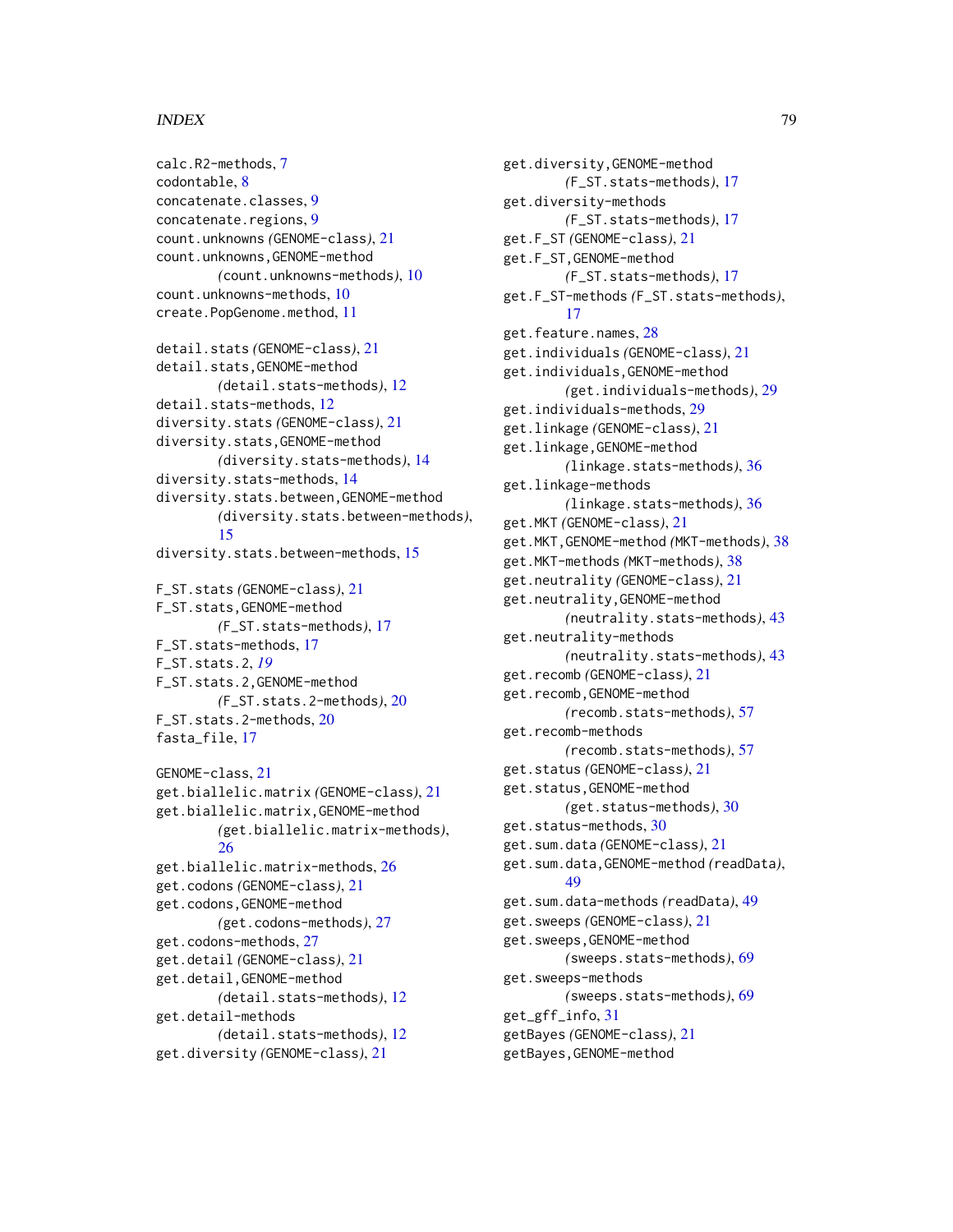#### INDEX 29

calc.R2-methods, [7](#page-6-0) codontable, [8](#page-7-0) concatenate.classes, [9](#page-8-0) concatenate.regions, [9](#page-8-0) count.unknowns *(*GENOME-class*)*, [21](#page-20-0) count.unknowns,GENOME-method *(*count.unknowns-methods*)*, [10](#page-9-0) count.unknowns-methods, [10](#page-9-0) create.PopGenome.method, [11](#page-10-0) detail.stats *(*GENOME-class*)*, [21](#page-20-0) detail.stats,GENOME-method *(*detail.stats-methods*)*, [12](#page-11-0) detail.stats-methods, [12](#page-11-0) diversity.stats *(*GENOME-class*)*, [21](#page-20-0) diversity.stats,GENOME-method *(*diversity.stats-methods*)*, [14](#page-13-0) diversity.stats-methods, [14](#page-13-0) diversity.stats.between,GENOME-method *(*diversity.stats.between-methods*)*, [15](#page-14-0) diversity.stats.between-methods, [15](#page-14-0) F\_ST.stats *(*GENOME-class*)*, [21](#page-20-0) F\_ST.stats,GENOME-method *(*F\_ST.stats-methods*)*, [17](#page-16-0) F ST.stats-methods, [17](#page-16-0) F\_ST.stats.2, *[19](#page-18-0)* F\_ST.stats.2,GENOME-method *(*F\_ST.stats.2-methods*)*, [20](#page-19-0) F\_ST.stats.2-methods, [20](#page-19-0) fasta\_file, [17](#page-16-0) GENOME-class, [21](#page-20-0) get.biallelic.matrix *(*GENOME-class*)*, [21](#page-20-0) get.biallelic.matrix,GENOME-method *(*get.biallelic.matrix-methods*)*, [26](#page-25-0) get.biallelic.matrix-methods, [26](#page-25-0) get.codons *(*GENOME-class*)*, [21](#page-20-0) get.codons,GENOME-method *(*get.codons-methods*)*, [27](#page-26-0) get.codons-methods, [27](#page-26-0) get.detail *(*GENOME-class*)*, [21](#page-20-0) get.detail,GENOME-method *(*detail.stats-methods*)*, [12](#page-11-0) get.detail-methods *(*detail.stats-methods*)*, [12](#page-11-0)

```
get.diversity (GENOME-class), 21
```
get.diversity,GENOME-method *(*F\_ST.stats-methods*)*, [17](#page-16-0) get.diversity-methods *(*F\_ST.stats-methods*)*, [17](#page-16-0) get.F\_ST *(*GENOME-class*)*, [21](#page-20-0) get.F\_ST,GENOME-method *(*F\_ST.stats-methods*)*, [17](#page-16-0) get.F\_ST-methods *(*F\_ST.stats-methods*)*, [17](#page-16-0) get.feature.names, [28](#page-27-0) get.individuals *(*GENOME-class*)*, [21](#page-20-0) get.individuals,GENOME-method *(*get.individuals-methods*)*, [29](#page-28-0) get.individuals-methods, [29](#page-28-0) get.linkage *(*GENOME-class*)*, [21](#page-20-0) get.linkage,GENOME-method *(*linkage.stats-methods*)*, [36](#page-35-0) get.linkage-methods *(*linkage.stats-methods*)*, [36](#page-35-0) get.MKT *(*GENOME-class*)*, [21](#page-20-0) get.MKT,GENOME-method *(*MKT-methods*)*, [38](#page-37-0) get.MKT-methods *(*MKT-methods*)*, [38](#page-37-0) get.neutrality *(*GENOME-class*)*, [21](#page-20-0) get.neutrality,GENOME-method *(*neutrality.stats-methods*)*, [43](#page-42-0) get.neutrality-methods *(*neutrality.stats-methods*)*, [43](#page-42-0) get.recomb *(*GENOME-class*)*, [21](#page-20-0) get.recomb,GENOME-method *(*recomb.stats-methods*)*, [57](#page-56-0) get.recomb-methods *(*recomb.stats-methods*)*, [57](#page-56-0) get.status *(*GENOME-class*)*, [21](#page-20-0) get.status,GENOME-method *(*get.status-methods*)*, [30](#page-29-0) get.status-methods, [30](#page-29-0) get.sum.data *(*GENOME-class*)*, [21](#page-20-0) get.sum.data,GENOME-method *(*readData*)*, [49](#page-48-0) get.sum.data-methods *(*readData*)*, [49](#page-48-0) get.sweeps *(*GENOME-class*)*, [21](#page-20-0) get.sweeps,GENOME-method *(*sweeps.stats-methods*)*, [69](#page-68-0) get.sweeps-methods *(*sweeps.stats-methods*)*, [69](#page-68-0) get\_gff\_info, [31](#page-30-0) getBayes *(*GENOME-class*)*, [21](#page-20-0) getBayes,GENOME-method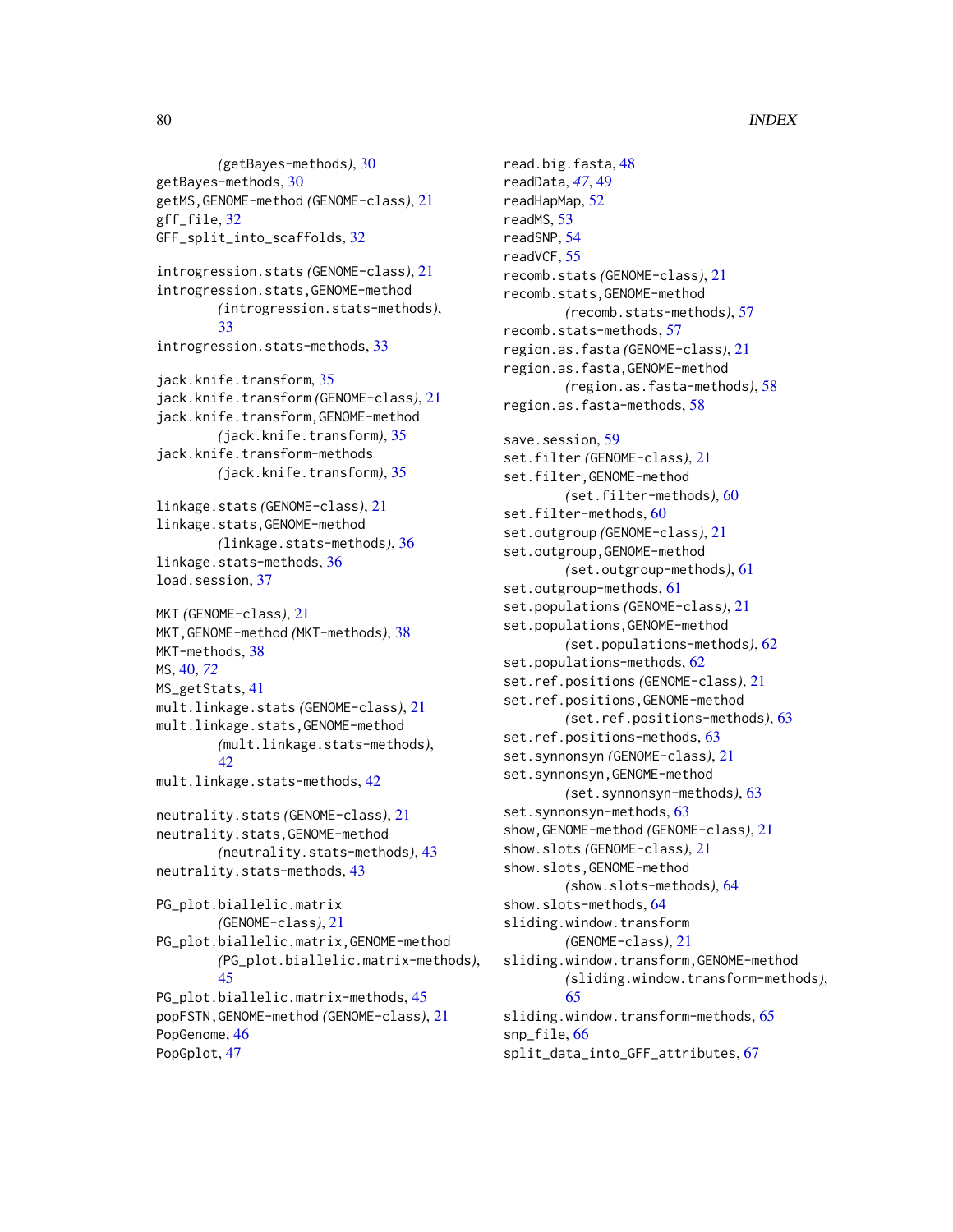*(*getBayes-methods*)*, [30](#page-29-0) getBayes-methods, [30](#page-29-0) getMS,GENOME-method *(*GENOME-class*)*, [21](#page-20-0) gff\_file, [32](#page-31-0) GFF\_split\_into\_scaffolds, [32](#page-31-0) introgression.stats *(*GENOME-class*)*, [21](#page-20-0) introgression.stats,GENOME-method *(*introgression.stats-methods*)*, [33](#page-32-0) introgression.stats-methods, [33](#page-32-0) jack.knife.transform, [35](#page-34-0) jack.knife.transform *(*GENOME-class*)*, [21](#page-20-0) jack.knife.transform,GENOME-method *(*jack.knife.transform*)*, [35](#page-34-0) jack.knife.transform-methods *(*jack.knife.transform*)*, [35](#page-34-0) linkage.stats *(*GENOME-class*)*, [21](#page-20-0) linkage.stats,GENOME-method *(*linkage.stats-methods*)*, [36](#page-35-0) linkage.stats-methods, [36](#page-35-0) load.session, [37](#page-36-0) MKT *(*GENOME-class*)*, [21](#page-20-0) MKT,GENOME-method *(*MKT-methods*)*, [38](#page-37-0) MKT-methods, [38](#page-37-0) MS, [40,](#page-39-0) *[72](#page-71-0)* MS\_getStats, [41](#page-40-0) mult.linkage.stats *(*GENOME-class*)*, [21](#page-20-0) mult.linkage.stats,GENOME-method *(*mult.linkage.stats-methods*)*, [42](#page-41-0) mult.linkage.stats-methods, [42](#page-41-0) neutrality.stats *(*GENOME-class*)*, [21](#page-20-0) neutrality.stats,GENOME-method *(*neutrality.stats-methods*)*, [43](#page-42-0) neutrality.stats-methods, [43](#page-42-0) PG\_plot.biallelic.matrix *(*GENOME-class*)*, [21](#page-20-0) PG\_plot.biallelic.matrix,GENOME-method *(*PG\_plot.biallelic.matrix-methods*)*, [45](#page-44-0) PG\_plot.biallelic.matrix-methods, [45](#page-44-0) popFSTN,GENOME-method *(*GENOME-class*)*, [21](#page-20-0) PopGenome, [46](#page-45-0) PopGplot, [47](#page-46-0)

read.big.fasta, [48](#page-47-0) readData, *[47](#page-46-0)*, [49](#page-48-0) readHapMap, [52](#page-51-0) readMS, [53](#page-52-0) readSNP, [54](#page-53-0) readVCF, [55](#page-54-0) recomb.stats *(*GENOME-class*)*, [21](#page-20-0) recomb.stats,GENOME-method *(*recomb.stats-methods*)*, [57](#page-56-0) recomb.stats-methods, [57](#page-56-0) region.as.fasta *(*GENOME-class*)*, [21](#page-20-0) region.as.fasta,GENOME-method *(*region.as.fasta-methods*)*, [58](#page-57-0) region.as.fasta-methods, [58](#page-57-0) save.session. [59](#page-58-0) set.filter *(*GENOME-class*)*, [21](#page-20-0) set.filter,GENOME-method *(*set.filter-methods*)*, [60](#page-59-0) set.filter-methods, [60](#page-59-0) set.outgroup *(*GENOME-class*)*, [21](#page-20-0) set.outgroup,GENOME-method *(*set.outgroup-methods*)*, [61](#page-60-0) set.outgroup-methods, [61](#page-60-0) set.populations *(*GENOME-class*)*, [21](#page-20-0) set.populations,GENOME-method *(*set.populations-methods*)*, [62](#page-61-0) set.populations-methods, [62](#page-61-0) set.ref.positions *(*GENOME-class*)*, [21](#page-20-0) set.ref.positions,GENOME-method *(*set.ref.positions-methods*)*, [63](#page-62-0) set.ref.positions-methods, [63](#page-62-0) set.synnonsyn *(*GENOME-class*)*, [21](#page-20-0) set.synnonsyn,GENOME-method *(*set.synnonsyn-methods*)*, [63](#page-62-0) set.synnonsyn-methods, [63](#page-62-0) show,GENOME-method *(*GENOME-class*)*, [21](#page-20-0) show.slots *(*GENOME-class*)*, [21](#page-20-0) show.slots,GENOME-method *(*show.slots-methods*)*, [64](#page-63-0) show.slots-methods, [64](#page-63-0) sliding.window.transform *(*GENOME-class*)*, [21](#page-20-0) sliding.window.transform,GENOME-method *(*sliding.window.transform-methods*)*, [65](#page-64-0) sliding.window.transform-methods, [65](#page-64-0) snp\_file, [66](#page-65-0) split\_data\_into\_GFF\_attributes, [67](#page-66-0)